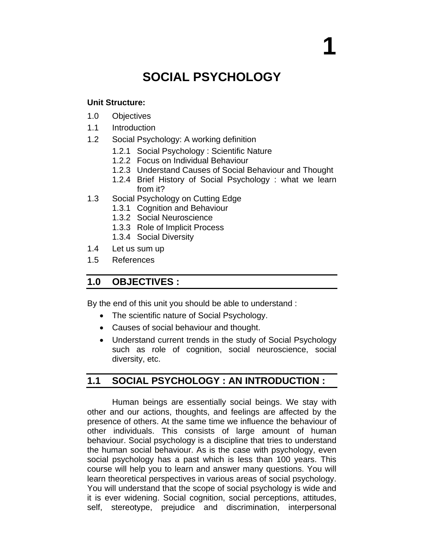# **SOCIAL PSYCHOLOGY**

**1** 

#### **Unit Structure:**

- 1.0 Objectives
- 1.1 Introduction
- 1.2 Social Psychology: A working definition
	- 1.2.1 Social Psychology : Scientific Nature
	- 1.2.2 Focus on Individual Behaviour
	- 1.2.3 Understand Causes of Social Behaviour and Thought
	- 1.2.4 Brief History of Social Psychology : what we learn from it?
- 1.3 Social Psychology on Cutting Edge
	- 1.3.1 Cognition and Behaviour
	- 1.3.2 Social Neuroscience
	- 1.3.3 Role of Implicit Process
	- 1.3.4 Social Diversity
- 1.4 Let us sum up
- 1.5 References

# **1.0 OBJECTIVES :**

By the end of this unit you should be able to understand :

- The scientific nature of Social Psychology.
- Causes of social behaviour and thought.
- Understand current trends in the study of Social Psychology such as role of cognition, social neuroscience, social diversity, etc.

# **1.1 SOCIAL PSYCHOLOGY : AN INTRODUCTION :**

Human beings are essentially social beings. We stay with other and our actions, thoughts, and feelings are affected by the presence of others. At the same time we influence the behaviour of other individuals. This consists of large amount of human behaviour. Social psychology is a discipline that tries to understand the human social behaviour. As is the case with psychology, even social psychology has a past which is less than 100 years. This course will help you to learn and answer many questions. You will learn theoretical perspectives in various areas of social psychology. You will understand that the scope of social psychology is wide and it is ever widening. Social cognition, social perceptions, attitudes, self, stereotype, prejudice and discrimination, interpersonal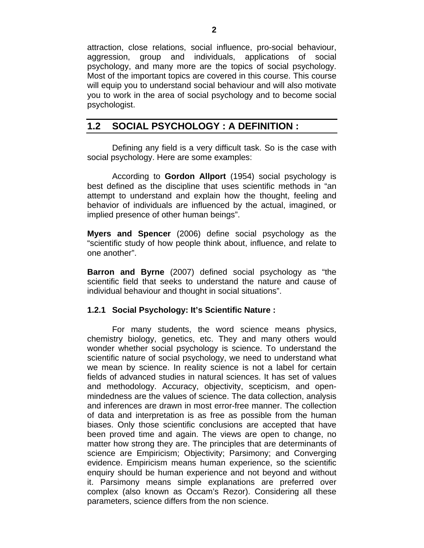attraction, close relations, social influence, pro-social behaviour, aggression, group and individuals, applications of social psychology, and many more are the topics of social psychology. Most of the important topics are covered in this course. This course will equip you to understand social behaviour and will also motivate you to work in the area of social psychology and to become social psychologist.

# **1.2 SOCIAL PSYCHOLOGY : A DEFINITION :**

Defining any field is a very difficult task. So is the case with social psychology. Here are some examples:

According to **Gordon Allport** (1954) social psychology is best defined as the discipline that uses scientific methods in "an attempt to understand and explain how the thought, feeling and behavior of individuals are influenced by the actual, imagined, or implied presence of other human beings".

**Myers and Spencer** (2006) define social psychology as the "scientific study of how people think about, influence, and relate to one another".

**Barron and Byrne** (2007) defined social psychology as "the scientific field that seeks to understand the nature and cause of individual behaviour and thought in social situations".

#### **1.2.1 Social Psychology: It's Scientific Nature :**

For many students, the word science means physics, chemistry biology, genetics, etc. They and many others would wonder whether social psychology is science. To understand the scientific nature of social psychology, we need to understand what we mean by science. In reality science is not a label for certain fields of advanced studies in natural sciences. It has set of values and methodology. Accuracy, objectivity, scepticism, and openmindedness are the values of science. The data collection, analysis and inferences are drawn in most error-free manner. The collection of data and interpretation is as free as possible from the human biases. Only those scientific conclusions are accepted that have been proved time and again. The views are open to change, no matter how strong they are. The principles that are determinants of science are Empiricism; Objectivity; Parsimony; and Converging evidence. Empiricism means human experience, so the scientific enquiry should be human experience and not beyond and without it. Parsimony means simple explanations are preferred over complex (also known as Occam's Rezor). Considering all these parameters, science differs from the non science.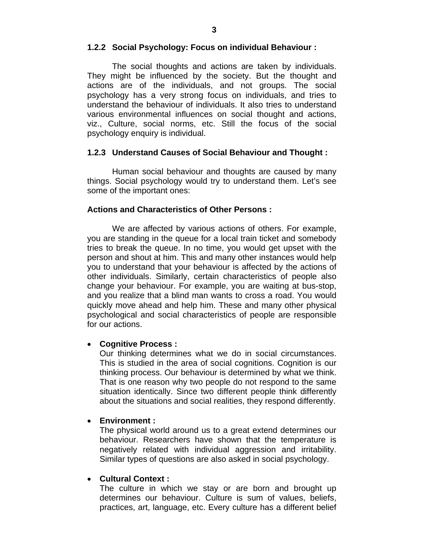The social thoughts and actions are taken by individuals. They might be influenced by the society. But the thought and actions are of the individuals, and not groups. The social psychology has a very strong focus on individuals, and tries to understand the behaviour of individuals. It also tries to understand various environmental influences on social thought and actions, viz., Culture, social norms, etc. Still the focus of the social psychology enquiry is individual.

#### **1.2.3 Understand Causes of Social Behaviour and Thought :**

Human social behaviour and thoughts are caused by many things. Social psychology would try to understand them. Let's see some of the important ones:

#### **Actions and Characteristics of Other Persons :**

We are affected by various actions of others. For example, you are standing in the queue for a local train ticket and somebody tries to break the queue. In no time, you would get upset with the person and shout at him. This and many other instances would help you to understand that your behaviour is affected by the actions of other individuals. Similarly, certain characteristics of people also change your behaviour. For example, you are waiting at bus-stop, and you realize that a blind man wants to cross a road. You would quickly move ahead and help him. These and many other physical psychological and social characteristics of people are responsible for our actions.

#### • **Cognitive Process :**

Our thinking determines what we do in social circumstances. This is studied in the area of social cognitions. Cognition is our thinking process. Our behaviour is determined by what we think. That is one reason why two people do not respond to the same situation identically. Since two different people think differently about the situations and social realities, they respond differently.

#### • **Environment :**

The physical world around us to a great extend determines our behaviour. Researchers have shown that the temperature is negatively related with individual aggression and irritability. Similar types of questions are also asked in social psychology.

#### • **Cultural Context :**

The culture in which we stay or are born and brought up determines our behaviour. Culture is sum of values, beliefs, practices, art, language, etc. Every culture has a different belief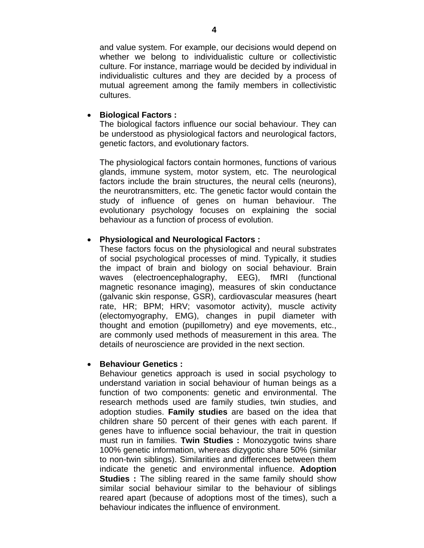and value system. For example, our decisions would depend on whether we belong to individualistic culture or collectivistic culture. For instance, marriage would be decided by individual in individualistic cultures and they are decided by a process of mutual agreement among the family members in collectivistic cultures.

#### • **Biological Factors :**

The biological factors influence our social behaviour. They can be understood as physiological factors and neurological factors, genetic factors, and evolutionary factors.

The physiological factors contain hormones, functions of various glands, immune system, motor system, etc. The neurological factors include the brain structures, the neural cells (neurons), the neurotransmitters, etc. The genetic factor would contain the study of influence of genes on human behaviour. The evolutionary psychology focuses on explaining the social behaviour as a function of process of evolution.

#### • **Physiological and Neurological Factors :**

These factors focus on the physiological and neural substrates of social psychological processes of mind. Typically, it studies the impact of brain and biology on social behaviour. Brain waves (electroencephalography, EEG), fMRI (functional magnetic resonance imaging), measures of skin conductance (galvanic skin response, GSR), cardiovascular measures (heart rate, HR; BPM; HRV; vasomotor activity), muscle activity (electomyography, EMG), changes in pupil diameter with thought and emotion (pupillometry) and eye movements, etc., are commonly used methods of measurement in this area. The details of neuroscience are provided in the next section.

#### • **Behaviour Genetics :**

Behaviour genetics approach is used in social psychology to understand variation in social behaviour of human beings as a function of two components: genetic and environmental. The research methods used are family studies, twin studies, and adoption studies. **Family studies** are based on the idea that children share 50 percent of their genes with each parent. If genes have to influence social behaviour, the trait in question must run in families. **Twin Studies :** Monozygotic twins share 100% genetic information, whereas dizygotic share 50% (similar to non-twin siblings). Similarities and differences between them indicate the genetic and environmental influence. **Adoption Studies** : The sibling reared in the same family should show similar social behaviour similar to the behaviour of siblings reared apart (because of adoptions most of the times), such a behaviour indicates the influence of environment.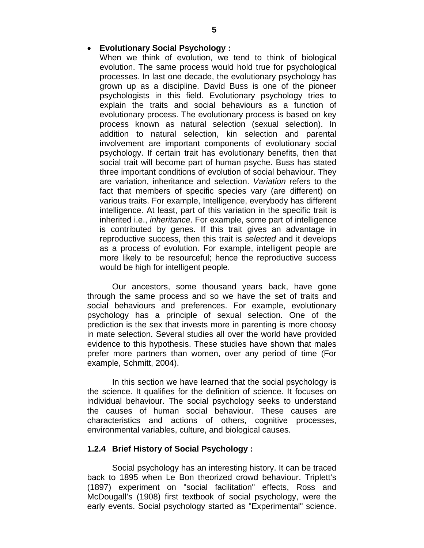#### • **Evolutionary Social Psychology :**

When we think of evolution, we tend to think of biological evolution. The same process would hold true for psychological processes. In last one decade, the evolutionary psychology has grown up as a discipline. David Buss is one of the pioneer psychologists in this field. Evolutionary psychology tries to explain the traits and social behaviours as a function of evolutionary process. The evolutionary process is based on key process known as natural selection (sexual selection). In addition to natural selection, kin selection and parental involvement are important components of evolutionary social psychology. If certain trait has evolutionary benefits, then that social trait will become part of human psyche. Buss has stated three important conditions of evolution of social behaviour. They are variation, inheritance and selection. *Variation* refers to the fact that members of specific species vary (are different) on various traits. For example, Intelligence, everybody has different intelligence. At least, part of this variation in the specific trait is inherited i.e., *inheritance*. For example, some part of intelligence is contributed by genes. If this trait gives an advantage in reproductive success, then this trait is *selected* and it develops as a process of evolution. For example, intelligent people are more likely to be resourceful; hence the reproductive success would be high for intelligent people.

Our ancestors, some thousand years back, have gone through the same process and so we have the set of traits and social behaviours and preferences. For example, evolutionary psychology has a principle of sexual selection. One of the prediction is the sex that invests more in parenting is more choosy in mate selection. Several studies all over the world have provided evidence to this hypothesis. These studies have shown that males prefer more partners than women, over any period of time (For example, Schmitt, 2004).

In this section we have learned that the social psychology is the science. It qualifies for the definition of science. It focuses on individual behaviour. The social psychology seeks to understand the causes of human social behaviour. These causes are characteristics and actions of others, cognitive processes, environmental variables, culture, and biological causes.

#### **1.2.4 Brief History of Social Psychology :**

Social psychology has an interesting history. It can be traced back to 1895 when Le Bon theorized crowd behaviour. Triplett's (1897) experiment on "social facilitation" effects, Ross and McDougall's (1908) first textbook of social psychology, were the early events. Social psychology started as "Experimental" science.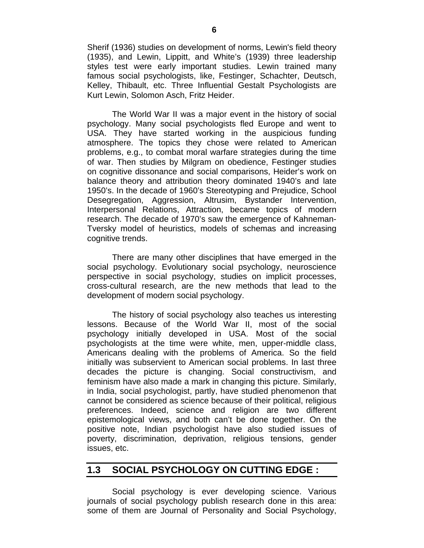Sherif (1936) studies on development of norms, Lewin's field theory (1935), and Lewin, Lippitt, and White's (1939) three leadership styles test were early important studies. Lewin trained many famous social psychologists, like, Festinger, Schachter, Deutsch, Kelley, Thibault, etc. Three Influential Gestalt Psychologists are Kurt Lewin, Solomon Asch, Fritz Heider.

The World War II was a major event in the history of social psychology. Many social psychologists fled Europe and went to USA. They have started working in the auspicious funding atmosphere. The topics they chose were related to American problems, e.g., to combat moral warfare strategies during the time of war. Then studies by Milgram on obedience, Festinger studies on cognitive dissonance and social comparisons, Heider's work on balance theory and attribution theory dominated 1940's and late 1950's. In the decade of 1960's Stereotyping and Prejudice, School Desegregation, Aggression, Altrusim, Bystander Intervention, Interpersonal Relations, Attraction, became topics of modern research. The decade of 1970's saw the emergence of Kahneman-Tversky model of heuristics, models of schemas and increasing cognitive trends.

There are many other disciplines that have emerged in the social psychology. Evolutionary social psychology, neuroscience perspective in social psychology, studies on implicit processes, cross-cultural research, are the new methods that lead to the development of modern social psychology.

The history of social psychology also teaches us interesting lessons. Because of the World War II, most of the social psychology initially developed in USA. Most of the social psychologists at the time were white, men, upper-middle class, Americans dealing with the problems of America. So the field initially was subservient to American social problems. In last three decades the picture is changing. Social constructivism, and feminism have also made a mark in changing this picture. Similarly, in India, social psychologist, partly, have studied phenomenon that cannot be considered as science because of their political, religious preferences. Indeed, science and religion are two different epistemological views, and both can't be done together. On the positive note, Indian psychologist have also studied issues of poverty, discrimination, deprivation, religious tensions, gender issues, etc.

### **1.3 SOCIAL PSYCHOLOGY ON CUTTING EDGE :**

Social psychology is ever developing science. Various journals of social psychology publish research done in this area: some of them are Journal of Personality and Social Psychology,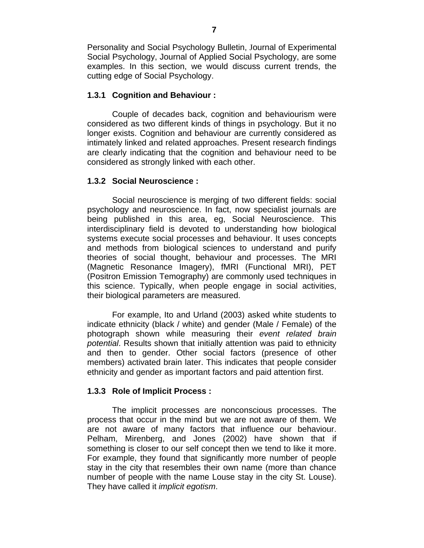Personality and Social Psychology Bulletin, Journal of Experimental Social Psychology, Journal of Applied Social Psychology, are some examples. In this section, we would discuss current trends, the cutting edge of Social Psychology.

#### **1.3.1 Cognition and Behaviour :**

Couple of decades back, cognition and behaviourism were considered as two different kinds of things in psychology. But it no longer exists. Cognition and behaviour are currently considered as intimately linked and related approaches. Present research findings are clearly indicating that the cognition and behaviour need to be considered as strongly linked with each other.

#### **1.3.2 Social Neuroscience :**

Social neuroscience is merging of two different fields: social psychology and neuroscience. In fact, now specialist journals are being published in this area, eg, Social Neuroscience. This interdisciplinary field is devoted to understanding how biological systems execute social processes and behaviour. It uses concepts and methods from biological sciences to understand and purify theories of social thought, behaviour and processes. The MRI (Magnetic Resonance Imagery), fMRI (Functional MRI), PET (Positron Emission Temography) are commonly used techniques in this science. Typically, when people engage in social activities, their biological parameters are measured.

For example, Ito and Urland (2003) asked white students to indicate ethnicity (black / white) and gender (Male / Female) of the photograph shown while measuring their *event related brain potential*. Results shown that initially attention was paid to ethnicity and then to gender. Other social factors (presence of other members) activated brain later. This indicates that people consider ethnicity and gender as important factors and paid attention first.

#### **1.3.3 Role of Implicit Process :**

The implicit processes are nonconscious processes. The process that occur in the mind but we are not aware of them. We are not aware of many factors that influence our behaviour. Pelham, Mirenberg, and Jones (2002) have shown that if something is closer to our self concept then we tend to like it more. For example, they found that significantly more number of people stay in the city that resembles their own name (more than chance number of people with the name Louse stay in the city St. Louse). They have called it *implicit egotism*.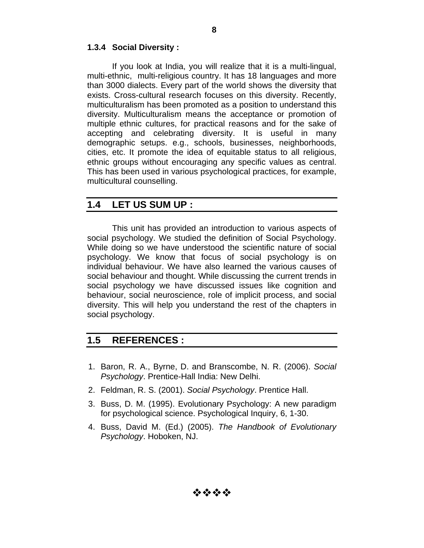#### **1.3.4 Social Diversity :**

If you look at India, you will realize that it is a multi-lingual, multi-ethnic, multi-religious country. It has 18 languages and more than 3000 dialects. Every part of the world shows the diversity that exists. Cross-cultural research focuses on this diversity. Recently, multiculturalism has been promoted as a position to understand this diversity. Multiculturalism means the acceptance or promotion of multiple ethnic cultures, for practical reasons and for the sake of accepting and celebrating diversity. It is useful in many demographic setups. e.g., schools, businesses, neighborhoods, cities, etc. It promote the idea of equitable status to all religious, ethnic groups without encouraging any specific values as central. This has been used in various psychological practices, for example, multicultural counselling.

## **1.4 LET US SUM UP :**

This unit has provided an introduction to various aspects of social psychology. We studied the definition of Social Psychology. While doing so we have understood the scientific nature of social psychology. We know that focus of social psychology is on individual behaviour. We have also learned the various causes of social behaviour and thought. While discussing the current trends in social psychology we have discussed issues like cognition and behaviour, social neuroscience, role of implicit process, and social diversity. This will help you understand the rest of the chapters in social psychology.

# **1.5 REFERENCES :**

- 1. Baron, R. A., Byrne, D. and Branscombe, N. R. (2006). *Social Psychology*. Prentice-Hall India: New Delhi.
- 2. Feldman, R. S. (2001). *Social Psychology*. Prentice Hall.
- 3. Buss, D. M. (1995). Evolutionary Psychology: A new paradigm for psychological science. Psychological Inquiry, 6, 1-30.
- 4. Buss, David M. (Ed.) (2005). *The Handbook of Evolutionary Psychology*. Hoboken, NJ.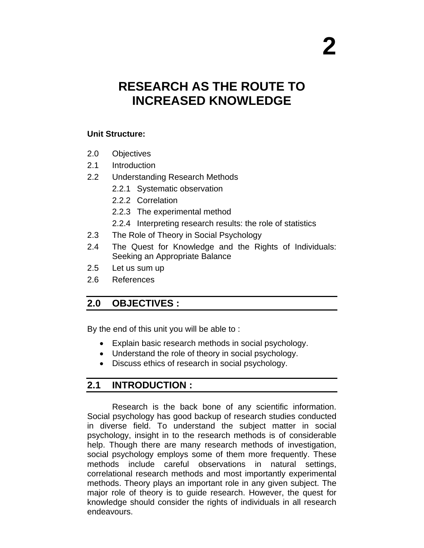# **RESEARCH AS THE ROUTE TO INCREASED KNOWLEDGE**

### **Unit Structure:**

- 2.0 Objectives
- 2.1 Introduction
- 2.2 Understanding Research Methods
	- 2.2.1 Systematic observation
	- 2.2.2 Correlation
	- 2.2.3 The experimental method
	- 2.2.4 Interpreting research results: the role of statistics
- 2.3 The Role of Theory in Social Psychology
- 2.4 The Quest for Knowledge and the Rights of Individuals: Seeking an Appropriate Balance
- 2.5 Let us sum up
- 2.6 References

# **2.0 OBJECTIVES :**

By the end of this unit you will be able to :

- Explain basic research methods in social psychology.
- Understand the role of theory in social psychology.
- Discuss ethics of research in social psychology.

# **2.1 INTRODUCTION :**

 Research is the back bone of any scientific information. Social psychology has good backup of research studies conducted in diverse field. To understand the subject matter in social psychology, insight in to the research methods is of considerable help. Though there are many research methods of investigation, social psychology employs some of them more frequently. These methods include careful observations in natural settings, correlational research methods and most importantly experimental methods. Theory plays an important role in any given subject. The major role of theory is to guide research. However, the quest for knowledge should consider the rights of individuals in all research endeavours.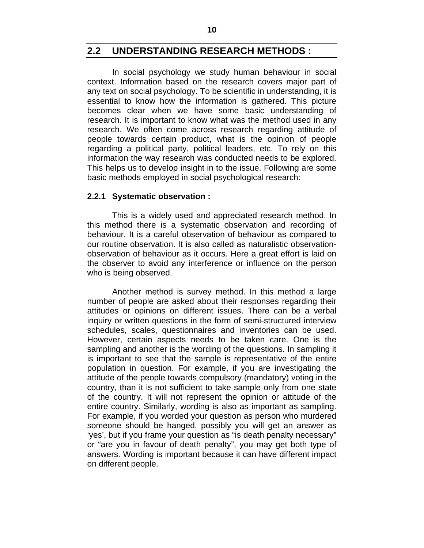#### **2.2 UNDERSTANDING RESEARCH METHODS :**

 In social psychology we study human behaviour in social context. Information based on the research covers major part of any text on social psychology. To be scientific in understanding, it is essential to know how the information is gathered. This picture becomes clear when we have some basic understanding of research. It is important to know what was the method used in any research. We often come across research regarding attitude of people towards certain product, what is the opinion of people regarding a political party, political leaders, etc. To rely on this information the way research was conducted needs to be explored. This helps us to develop insight in to the issue. Following are some basic methods employed in social psychological research:

#### **2.2.1 Systematic observation :**

 This is a widely used and appreciated research method. In this method there is a systematic observation and recording of behaviour. It is a careful observation of behaviour as compared to our routine observation. It is also called as naturalistic observationobservation of behaviour as it occurs. Here a great effort is laid on the observer to avoid any interference or influence on the person who is being observed.

 Another method is survey method. In this method a large number of people are asked about their responses regarding their attitudes or opinions on different issues. There can be a verbal inquiry or written questions in the form of semi-structured interview schedules, scales, questionnaires and inventories can be used. However, certain aspects needs to be taken care. One is the sampling and another is the wording of the questions. In sampling it is important to see that the sample is representative of the entire population in question. For example, if you are investigating the attitude of the people towards compulsory (mandatory) voting in the country, than it is not sufficient to take sample only from one state of the country. It will not represent the opinion or attitude of the entire country. Similarly, wording is also as important as sampling. For example, if you worded your question as person who murdered someone should be hanged, possibly you will get an answer as 'yes', but if you frame your question as "is death penalty necessary" or "are you in favour of death penalty", you may get both type of answers. Wording is important because it can have different impact on different people.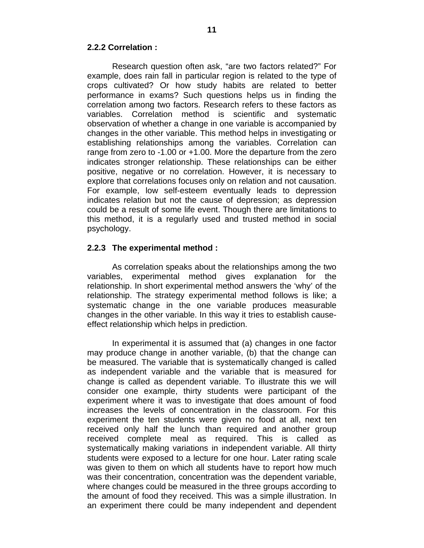#### **2.2.2 Correlation :**

 Research question often ask, "are two factors related?" For example, does rain fall in particular region is related to the type of crops cultivated? Or how study habits are related to better performance in exams? Such questions helps us in finding the correlation among two factors. Research refers to these factors as variables. Correlation method is scientific and systematic observation of whether a change in one variable is accompanied by changes in the other variable. This method helps in investigating or establishing relationships among the variables. Correlation can range from zero to -1.00 or +1.00. More the departure from the zero indicates stronger relationship. These relationships can be either positive, negative or no correlation. However, it is necessary to explore that correlations focuses only on relation and not causation. For example, low self-esteem eventually leads to depression indicates relation but not the cause of depression; as depression could be a result of some life event. Though there are limitations to this method, it is a regularly used and trusted method in social psychology.

#### **2.2.3 The experimental method :**

 As correlation speaks about the relationships among the two variables, experimental method gives explanation for the relationship. In short experimental method answers the 'why' of the relationship. The strategy experimental method follows is like; a systematic change in the one variable produces measurable changes in the other variable. In this way it tries to establish causeeffect relationship which helps in prediction.

 In experimental it is assumed that (a) changes in one factor may produce change in another variable, (b) that the change can be measured. The variable that is systematically changed is called as independent variable and the variable that is measured for change is called as dependent variable. To illustrate this we will consider one example, thirty students were participant of the experiment where it was to investigate that does amount of food increases the levels of concentration in the classroom. For this experiment the ten students were given no food at all, next ten received only half the lunch than required and another group received complete meal as required. This is called as systematically making variations in independent variable. All thirty students were exposed to a lecture for one hour. Later rating scale was given to them on which all students have to report how much was their concentration, concentration was the dependent variable, where changes could be measured in the three groups according to the amount of food they received. This was a simple illustration. In an experiment there could be many independent and dependent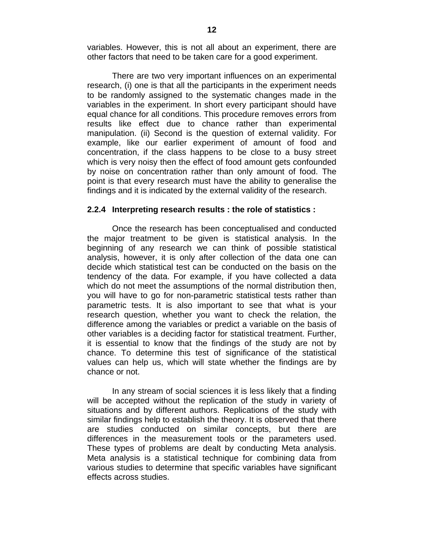variables. However, this is not all about an experiment, there are other factors that need to be taken care for a good experiment.

 There are two very important influences on an experimental research, (i) one is that all the participants in the experiment needs to be randomly assigned to the systematic changes made in the variables in the experiment. In short every participant should have equal chance for all conditions. This procedure removes errors from results like effect due to chance rather than experimental manipulation. (ii) Second is the question of external validity. For example, like our earlier experiment of amount of food and concentration, if the class happens to be close to a busy street which is very noisy then the effect of food amount gets confounded by noise on concentration rather than only amount of food. The point is that every research must have the ability to generalise the findings and it is indicated by the external validity of the research.

#### **2.2.4 Interpreting research results : the role of statistics :**

 Once the research has been conceptualised and conducted the major treatment to be given is statistical analysis. In the beginning of any research we can think of possible statistical analysis, however, it is only after collection of the data one can decide which statistical test can be conducted on the basis on the tendency of the data. For example, if you have collected a data which do not meet the assumptions of the normal distribution then, you will have to go for non-parametric statistical tests rather than parametric tests. It is also important to see that what is your research question, whether you want to check the relation, the difference among the variables or predict a variable on the basis of other variables is a deciding factor for statistical treatment. Further, it is essential to know that the findings of the study are not by chance. To determine this test of significance of the statistical values can help us, which will state whether the findings are by chance or not.

 In any stream of social sciences it is less likely that a finding will be accepted without the replication of the study in variety of situations and by different authors. Replications of the study with similar findings help to establish the theory. It is observed that there are studies conducted on similar concepts, but there are differences in the measurement tools or the parameters used. These types of problems are dealt by conducting Meta analysis. Meta analysis is a statistical technique for combining data from various studies to determine that specific variables have significant effects across studies.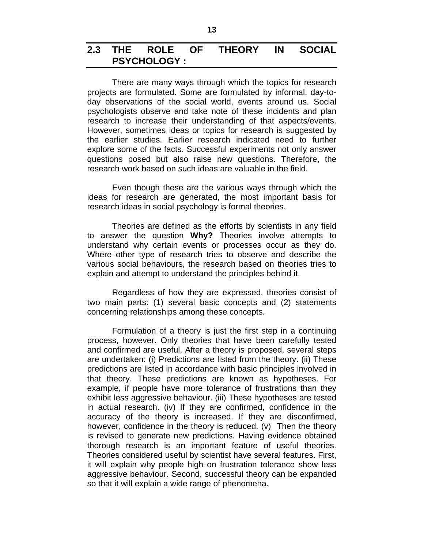# **2.3 THE ROLE OF THEORY IN SOCIAL PSYCHOLOGY :**

There are many ways through which the topics for research projects are formulated. Some are formulated by informal, day-today observations of the social world, events around us. Social psychologists observe and take note of these incidents and plan research to increase their understanding of that aspects/events. However, sometimes ideas or topics for research is suggested by the earlier studies. Earlier research indicated need to further explore some of the facts. Successful experiments not only answer questions posed but also raise new questions. Therefore, the research work based on such ideas are valuable in the field.

Even though these are the various ways through which the ideas for research are generated, the most important basis for research ideas in social psychology is formal theories.

Theories are defined as the efforts by scientists in any field to answer the question **Why?** Theories involve attempts to understand why certain events or processes occur as they do. Where other type of research tries to observe and describe the various social behaviours, the research based on theories tries to explain and attempt to understand the principles behind it.

Regardless of how they are expressed, theories consist of two main parts: (1) several basic concepts and (2) statements concerning relationships among these concepts.

Formulation of a theory is just the first step in a continuing process, however. Only theories that have been carefully tested and confirmed are useful. After a theory is proposed, several steps are undertaken: (i) Predictions are listed from the theory. (ii) These predictions are listed in accordance with basic principles involved in that theory. These predictions are known as hypotheses. For example, if people have more tolerance of frustrations than they exhibit less aggressive behaviour. (iii) These hypotheses are tested in actual research. (iv) If they are confirmed, confidence in the accuracy of the theory is increased. If they are disconfirmed, however, confidence in the theory is reduced. (v) Then the theory is revised to generate new predictions. Having evidence obtained thorough research is an important feature of useful theories. Theories considered useful by scientist have several features. First, it will explain why people high on frustration tolerance show less aggressive behaviour. Second, successful theory can be expanded so that it will explain a wide range of phenomena.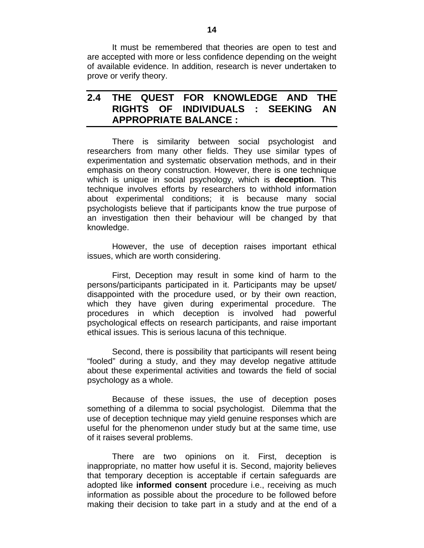It must be remembered that theories are open to test and are accepted with more or less confidence depending on the weight of available evidence. In addition, research is never undertaken to prove or verify theory.

## **2.4 THE QUEST FOR KNOWLEDGE AND THE RIGHTS OF INDIVIDUALS : SEEKING AN APPROPRIATE BALANCE :**

There is similarity between social psychologist and researchers from many other fields. They use similar types of experimentation and systematic observation methods, and in their emphasis on theory construction. However, there is one technique which is unique in social psychology, which is **deception**. This technique involves efforts by researchers to withhold information about experimental conditions; it is because many social psychologists believe that if participants know the true purpose of an investigation then their behaviour will be changed by that knowledge.

However, the use of deception raises important ethical issues, which are worth considering.

First, Deception may result in some kind of harm to the persons/participants participated in it. Participants may be upset/ disappointed with the procedure used, or by their own reaction, which they have given during experimental procedure. The procedures in which deception is involved had powerful psychological effects on research participants, and raise important ethical issues. This is serious lacuna of this technique.

Second, there is possibility that participants will resent being "fooled" during a study, and they may develop negative attitude about these experimental activities and towards the field of social psychology as a whole.

Because of these issues, the use of deception poses something of a dilemma to social psychologist. Dilemma that the use of deception technique may yield genuine responses which are useful for the phenomenon under study but at the same time, use of it raises several problems.

There are two opinions on it. First, deception is inappropriate, no matter how useful it is. Second, majority believes that temporary deception is acceptable if certain safeguards are adopted like **informed consent** procedure i.e., receiving as much information as possible about the procedure to be followed before making their decision to take part in a study and at the end of a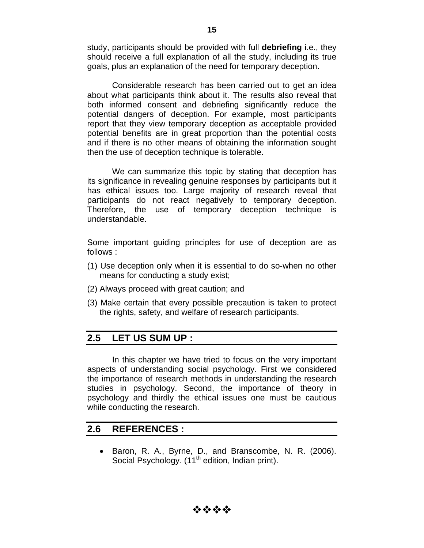study, participants should be provided with full **debriefing** i.e., they should receive a full explanation of all the study, including its true goals, plus an explanation of the need for temporary deception.

Considerable research has been carried out to get an idea about what participants think about it. The results also reveal that both informed consent and debriefing significantly reduce the potential dangers of deception. For example, most participants report that they view temporary deception as acceptable provided potential benefits are in great proportion than the potential costs and if there is no other means of obtaining the information sought then the use of deception technique is tolerable.

We can summarize this topic by stating that deception has its significance in revealing genuine responses by participants but it has ethical issues too. Large majority of research reveal that participants do not react negatively to temporary deception. Therefore, the use of temporary deception technique is understandable.

Some important guiding principles for use of deception are as follows :

- (1) Use deception only when it is essential to do so-when no other means for conducting a study exist;
- (2) Always proceed with great caution; and
- (3) Make certain that every possible precaution is taken to protect the rights, safety, and welfare of research participants.

# **2.5 LET US SUM UP :**

 In this chapter we have tried to focus on the very important aspects of understanding social psychology. First we considered the importance of research methods in understanding the research studies in psychology. Second, the importance of theory in psychology and thirdly the ethical issues one must be cautious while conducting the research.

# **2.6 REFERENCES :**

• Baron, R. A., Byrne, D., and Branscombe, N. R. (2006). Social Psychology. (11<sup>th</sup> edition, Indian print).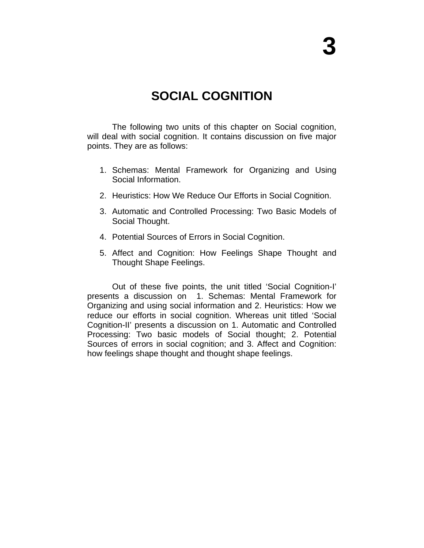# **SOCIAL COGNITION**

The following two units of this chapter on Social cognition, will deal with social cognition. It contains discussion on five major points. They are as follows:

- 1. Schemas: Mental Framework for Organizing and Using Social Information.
- 2. Heuristics: How We Reduce Our Efforts in Social Cognition.
- 3. Automatic and Controlled Processing: Two Basic Models of Social Thought.
- 4. Potential Sources of Errors in Social Cognition.
- 5. Affect and Cognition: How Feelings Shape Thought and Thought Shape Feelings.

Out of these five points, the unit titled 'Social Cognition-I' presents a discussion on 1. Schemas: Mental Framework for Organizing and using social information and 2. Heuristics: How we reduce our efforts in social cognition. Whereas unit titled 'Social Cognition-II' presents a discussion on 1. Automatic and Controlled Processing: Two basic models of Social thought; 2. Potential Sources of errors in social cognition; and 3. Affect and Cognition: how feelings shape thought and thought shape feelings.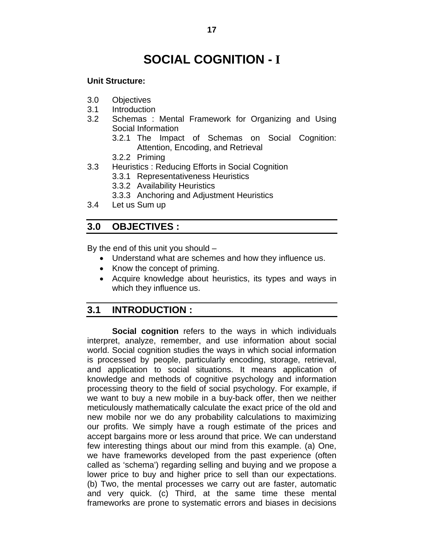# **SOCIAL COGNITION - I**

#### **Unit Structure:**

- 3.0 Objectives
- 3.1 Introduction
- 3.2 Schemas : Mental Framework for Organizing and Using Social Information
	- 3.2.1 The Impact of Schemas on Social Cognition: Attention, Encoding, and Retrieval
	- 3.2.2 Priming
- 3.3 Heuristics : Reducing Efforts in Social Cognition
	- 3.3.1 Representativeness Heuristics
	- 3.3.2 Availability Heuristics
	- 3.3.3 Anchoring and Adjustment Heuristics
- 3.4 Let us Sum up

### **3.0 OBJECTIVES :**

By the end of this unit you should –

- Understand what are schemes and how they influence us.
- Know the concept of priming.
- Acquire knowledge about heuristics, its types and ways in which they influence us.

# **3.1 INTRODUCTION :**

**Social cognition** refers to the ways in which individuals interpret, analyze, remember, and use information about social world. Social cognition studies the ways in which social information is processed by people, particularly encoding, storage, retrieval, and application to social situations. It means application of knowledge and methods of cognitive psychology and information processing theory to the field of social psychology. For example, if we want to buy a new mobile in a buy-back offer, then we neither meticulously mathematically calculate the exact price of the old and new mobile nor we do any probability calculations to maximizing our profits. We simply have a rough estimate of the prices and accept bargains more or less around that price. We can understand few interesting things about our mind from this example. (a) One, we have frameworks developed from the past experience (often called as 'schema') regarding selling and buying and we propose a lower price to buy and higher price to sell than our expectations. (b) Two, the mental processes we carry out are faster, automatic and very quick. (c) Third, at the same time these mental frameworks are prone to systematic errors and biases in decisions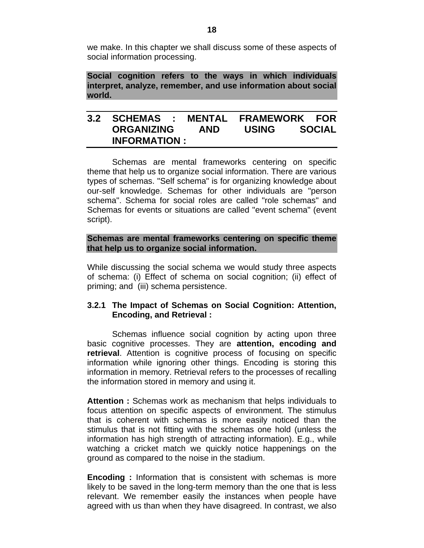we make. In this chapter we shall discuss some of these aspects of social information processing.

**Social cognition refers to the ways in which individuals interpret, analyze, remember, and use information about social world.** 

# **3.2 SCHEMAS : MENTAL FRAMEWORK FOR ORGANIZING AND USING SOCIAL INFORMATION :**

Schemas are mental frameworks centering on specific theme that help us to organize social information. There are various types of schemas. "Self schema" is for organizing knowledge about our-self knowledge. Schemas for other individuals are "person schema". Schema for social roles are called "role schemas" and Schemas for events or situations are called "event schema" (event script).

**Schemas are mental frameworks centering on specific theme that help us to organize social information.** 

While discussing the social schema we would study three aspects of schema: (i) Effect of schema on social cognition; (ii) effect of priming; and (iii) schema persistence.

#### **3.2.1 The Impact of Schemas on Social Cognition: Attention, Encoding, and Retrieval :**

Schemas influence social cognition by acting upon three basic cognitive processes. They are **attention, encoding and retrieval**. Attention is cognitive process of focusing on specific information while ignoring other things. Encoding is storing this information in memory. Retrieval refers to the processes of recalling the information stored in memory and using it.

**Attention :** Schemas work as mechanism that helps individuals to focus attention on specific aspects of environment. The stimulus that is coherent with schemas is more easily noticed than the stimulus that is not fitting with the schemas one hold (unless the information has high strength of attracting information). E.g., while watching a cricket match we quickly notice happenings on the ground as compared to the noise in the stadium.

**Encoding :** Information that is consistent with schemas is more likely to be saved in the long-term memory than the one that is less relevant. We remember easily the instances when people have agreed with us than when they have disagreed. In contrast, we also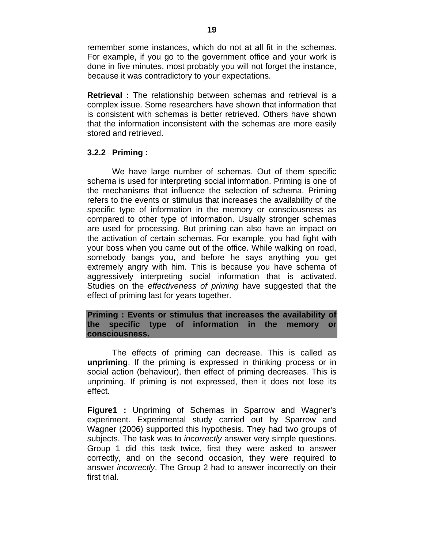remember some instances, which do not at all fit in the schemas. For example, if you go to the government office and your work is done in five minutes, most probably you will not forget the instance, because it was contradictory to your expectations.

**Retrieval :** The relationship between schemas and retrieval is a complex issue. Some researchers have shown that information that is consistent with schemas is better retrieved. Others have shown that the information inconsistent with the schemas are more easily stored and retrieved.

#### **3.2.2 Priming :**

We have large number of schemas. Out of them specific schema is used for interpreting social information. Priming is one of the mechanisms that influence the selection of schema. Priming refers to the events or stimulus that increases the availability of the specific type of information in the memory or consciousness as compared to other type of information. Usually stronger schemas are used for processing. But priming can also have an impact on the activation of certain schemas. For example, you had fight with your boss when you came out of the office. While walking on road, somebody bangs you, and before he says anything you get extremely angry with him. This is because you have schema of aggressively interpreting social information that is activated. Studies on the *effectiveness of priming* have suggested that the effect of priming last for years together.

#### **Priming : Events or stimulus that increases the availability of the specific type of information in the memory or consciousness.**

The effects of priming can decrease. This is called as **unpriming**. If the priming is expressed in thinking process or in social action (behaviour), then effect of priming decreases. This is unpriming. If priming is not expressed, then it does not lose its effect.

**Figure1 :** Unpriming of Schemas in Sparrow and Wagner's experiment. Experimental study carried out by Sparrow and Wagner (2006) supported this hypothesis. They had two groups of subjects. The task was to *incorrectly* answer very simple questions. Group 1 did this task twice, first they were asked to answer correctly, and on the second occasion, they were required to answer *incorrectly*. The Group 2 had to answer incorrectly on their first trial.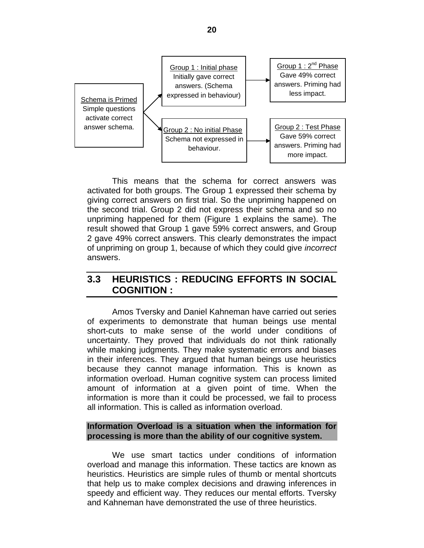

This means that the schema for correct answers was activated for both groups. The Group 1 expressed their schema by giving correct answers on first trial. So the unpriming happened on the second trial. Group 2 did not express their schema and so no unpriming happened for them (Figure 1 explains the same). The result showed that Group 1 gave 59% correct answers, and Group 2 gave 49% correct answers. This clearly demonstrates the impact of unpriming on group 1, because of which they could give *incorrect* answers.

# **3.3 HEURISTICS : REDUCING EFFORTS IN SOCIAL COGNITION :**

Amos Tversky and Daniel Kahneman have carried out series of experiments to demonstrate that human beings use mental short-cuts to make sense of the world under conditions of uncertainty. They proved that individuals do not think rationally while making judgments. They make systematic errors and biases in their inferences. They argued that human beings use heuristics because they cannot manage information. This is known as information overload. Human cognitive system can process limited amount of information at a given point of time. When the information is more than it could be processed, we fail to process all information. This is called as information overload.

#### **Information Overload is a situation when the information for processing is more than the ability of our cognitive system.**

We use smart tactics under conditions of information overload and manage this information. These tactics are known as heuristics. Heuristics are simple rules of thumb or mental shortcuts that help us to make complex decisions and drawing inferences in speedy and efficient way. They reduces our mental efforts. Tversky and Kahneman have demonstrated the use of three heuristics.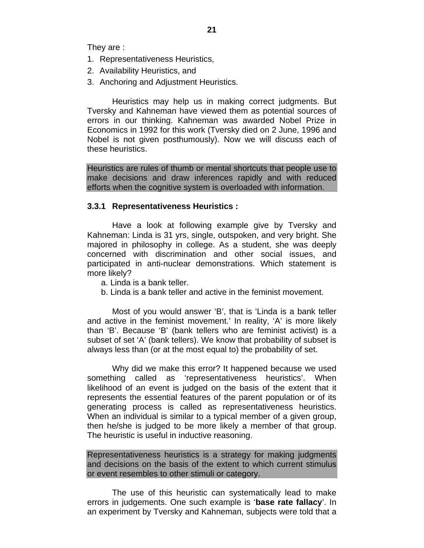They are :

- 1. Representativeness Heuristics,
- 2. Availability Heuristics, and
- 3. Anchoring and Adjustment Heuristics.

Heuristics may help us in making correct judgments. But Tversky and Kahneman have viewed them as potential sources of errors in our thinking. Kahneman was awarded Nobel Prize in Economics in 1992 for this work (Tversky died on 2 June, 1996 and Nobel is not given posthumously). Now we will discuss each of these heuristics.

Heuristics are rules of thumb or mental shortcuts that people use to make decisions and draw inferences rapidly and with reduced efforts when the cognitive system is overloaded with information.

#### **3.3.1 Representativeness Heuristics :**

Have a look at following example give by Tversky and Kahneman: Linda is 31 yrs, single, outspoken, and very bright. She majored in philosophy in college. As a student, she was deeply concerned with discrimination and other social issues, and participated in anti-nuclear demonstrations. Which statement is more likely?

- a. Linda is a bank teller.
- b. Linda is a bank teller and active in the feminist movement.

Most of you would answer 'B', that is 'Linda is a bank teller and active in the feminist movement.' In reality, 'A' is more likely than 'B'. Because 'B' (bank tellers who are feminist activist) is a subset of set 'A' (bank tellers). We know that probability of subset is always less than (or at the most equal to) the probability of set.

Why did we make this error? It happened because we used something called as 'representativeness heuristics'. When likelihood of an event is judged on the basis of the extent that it represents the essential features of the parent population or of its generating process is called as representativeness heuristics. When an individual is similar to a typical member of a given group, then he/she is judged to be more likely a member of that group. The heuristic is useful in inductive reasoning.

Representativeness heuristics is a strategy for making judgments and decisions on the basis of the extent to which current stimulus or event resembles to other stimuli or category.

The use of this heuristic can systematically lead to make errors in judgements. One such example is '**base rate fallacy**'. In an experiment by Tversky and Kahneman, subjects were told that a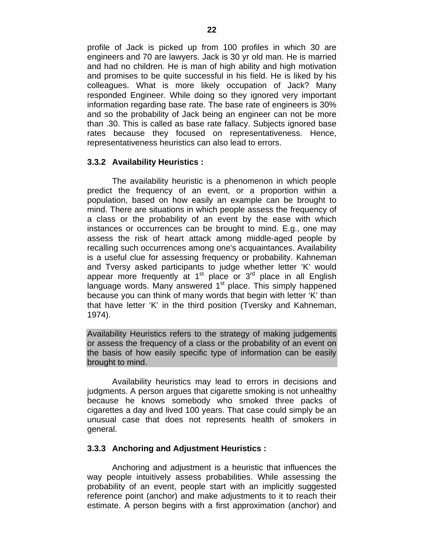profile of Jack is picked up from 100 profiles in which 30 are engineers and 70 are lawyers. Jack is 30 yr old man. He is married and had no children. He is man of high ability and high motivation and promises to be quite successful in his field. He is liked by his colleagues. What is more likely occupation of Jack? Many responded Engineer. While doing so they ignored very important information regarding base rate. The base rate of engineers is 30% and so the probability of Jack being an engineer can not be more than .30. This is called as base rate fallacy. Subjects ignored base rates because they focused on representativeness. Hence, representativeness heuristics can also lead to errors.

#### **3.3.2 Availability Heuristics :**

The availability heuristic is a phenomenon in which people predict the frequency of an event, or a proportion within a population, based on how easily an example can be brought to mind. There are situations in which people assess the frequency of a class or the probability of an event by the ease with which instances or occurrences can be brought to mind. E.g., one may assess the risk of heart attack among middle-aged people by recalling such occurrences among one's acquaintances. Availability is a useful clue for assessing frequency or probability. Kahneman and Tversy asked participants to judge whether letter 'K' would appear more frequently at  $1<sup>st</sup>$  place or  $3<sup>rd</sup>$  place in all English language words. Many answered  $1<sup>st</sup>$  place. This simply happened because you can think of many words that begin with letter 'K' than that have letter 'K' in the third position (Tversky and Kahneman, 1974).

Availability Heuristics refers to the strategy of making judgements or assess the frequency of a class or the probability of an event on the basis of how easily specific type of information can be easily brought to mind.

Availability heuristics may lead to errors in decisions and judgments. A person argues that cigarette smoking is not unhealthy because he knows somebody who smoked three packs of cigarettes a day and lived 100 years. That case could simply be an unusual case that does not represents health of smokers in general.

#### **3.3.3 Anchoring and Adjustment Heuristics :**

Anchoring and adjustment is a heuristic that influences the way people intuitively assess probabilities. While assessing the probability of an event, people start with an implicitly suggested reference point (anchor) and make adjustments to it to reach their estimate. A person begins with a first approximation (anchor) and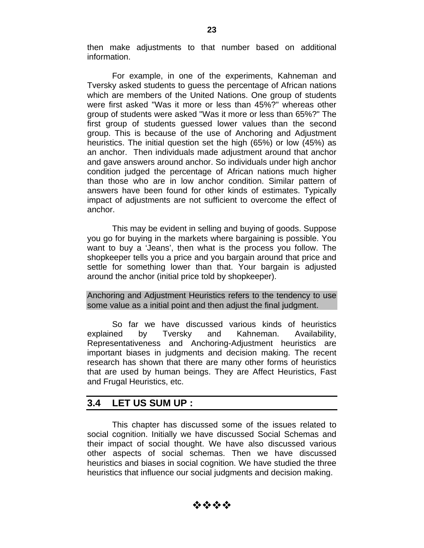then make adjustments to that number based on additional information.

For example, in one of the experiments, Kahneman and Tversky asked students to guess the percentage of African nations which are members of the United Nations. One group of students were first asked "Was it more or less than 45%?" whereas other group of students were asked "Was it more or less than 65%?" The first group of students guessed lower values than the second group. This is because of the use of Anchoring and Adjustment heuristics. The initial question set the high (65%) or low (45%) as an anchor. Then individuals made adjustment around that anchor and gave answers around anchor. So individuals under high anchor condition judged the percentage of African nations much higher than those who are in low anchor condition. Similar pattern of answers have been found for other kinds of estimates. Typically impact of adjustments are not sufficient to overcome the effect of anchor.

This may be evident in selling and buying of goods. Suppose you go for buying in the markets where bargaining is possible. You want to buy a 'Jeans', then what is the process you follow. The shopkeeper tells you a price and you bargain around that price and settle for something lower than that. Your bargain is adjusted around the anchor (initial price told by shopkeeper).

Anchoring and Adjustment Heuristics refers to the tendency to use some value as a initial point and then adjust the final judgment.

So far we have discussed various kinds of heuristics explained by Tversky and Kahneman. Availability, Representativeness and Anchoring-Adjustment heuristics are important biases in judgments and decision making. The recent research has shown that there are many other forms of heuristics that are used by human beings. They are Affect Heuristics, Fast and Frugal Heuristics, etc.

# **3.4 LET US SUM UP :**

This chapter has discussed some of the issues related to social cognition. Initially we have discussed Social Schemas and their impact of social thought. We have also discussed various other aspects of social schemas. Then we have discussed heuristics and biases in social cognition. We have studied the three heuristics that influence our social judgments and decision making.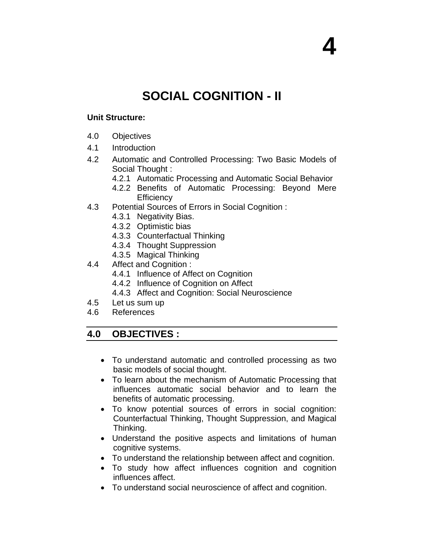# **SOCIAL COGNITION - II**

**4** 

#### **Unit Structure:**

- 4.0 Objectives
- 4.1 Introduction
- 4.2 Automatic and Controlled Processing: Two Basic Models of Social Thought :
	- 4.2.1 Automatic Processing and Automatic Social Behavior
	- 4.2.2 Benefits of Automatic Processing: Beyond Mere **Efficiency**
- 4.3 Potential Sources of Errors in Social Cognition :
	- 4.3.1 Negativity Bias.
	- 4.3.2 Optimistic bias
	- 4.3.3 Counterfactual Thinking
	- 4.3.4 Thought Suppression
	- 4.3.5 Magical Thinking
- 4.4 Affect and Cognition :
	- 4.4.1 Influence of Affect on Cognition
	- 4.4.2 Influence of Cognition on Affect
	- 4.4.3 Affect and Cognition: Social Neuroscience
- 4.5 Let us sum up
- 4.6 References

# **4.0 OBJECTIVES :**

- To understand automatic and controlled processing as two basic models of social thought.
- To learn about the mechanism of Automatic Processing that influences automatic social behavior and to learn the benefits of automatic processing.
- To know potential sources of errors in social cognition: Counterfactual Thinking, Thought Suppression, and Magical Thinking.
- Understand the positive aspects and limitations of human cognitive systems.
- To understand the relationship between affect and cognition.
- To study how affect influences cognition and cognition influences affect.
- To understand social neuroscience of affect and cognition.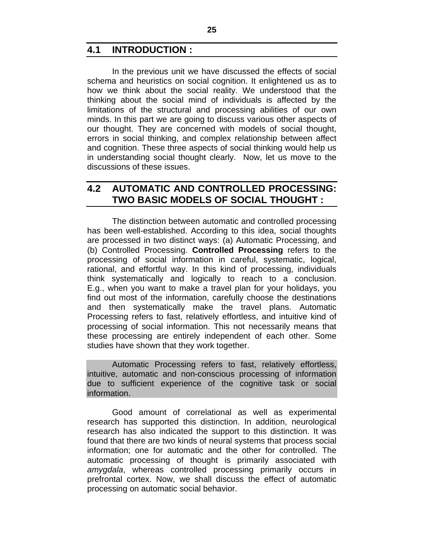#### **4.1 INTRODUCTION :**

In the previous unit we have discussed the effects of social schema and heuristics on social cognition. It enlightened us as to how we think about the social reality. We understood that the thinking about the social mind of individuals is affected by the limitations of the structural and processing abilities of our own minds. In this part we are going to discuss various other aspects of our thought. They are concerned with models of social thought, errors in social thinking, and complex relationship between affect and cognition. These three aspects of social thinking would help us in understanding social thought clearly. Now, let us move to the discussions of these issues.

### **4.2 AUTOMATIC AND CONTROLLED PROCESSING: TWO BASIC MODELS OF SOCIAL THOUGHT :**

The distinction between automatic and controlled processing has been well-established. According to this idea, social thoughts are processed in two distinct ways: (a) Automatic Processing, and (b) Controlled Processing. **Controlled Processing** refers to the processing of social information in careful, systematic, logical, rational, and effortful way. In this kind of processing, individuals think systematically and logically to reach to a conclusion. E.g., when you want to make a travel plan for your holidays, you find out most of the information, carefully choose the destinations and then systematically make the travel plans. Automatic Processing refers to fast, relatively effortless, and intuitive kind of processing of social information. This not necessarily means that these processing are entirely independent of each other. Some studies have shown that they work together.

Automatic Processing refers to fast, relatively effortless, intuitive, automatic and non-conscious processing of information due to sufficient experience of the cognitive task or social information.

Good amount of correlational as well as experimental research has supported this distinction. In addition, neurological research has also indicated the support to this distinction. It was found that there are two kinds of neural systems that process social information; one for automatic and the other for controlled. The automatic processing of thought is primarily associated with *amygdala*, whereas controlled processing primarily occurs in prefrontal cortex. Now, we shall discuss the effect of automatic processing on automatic social behavior.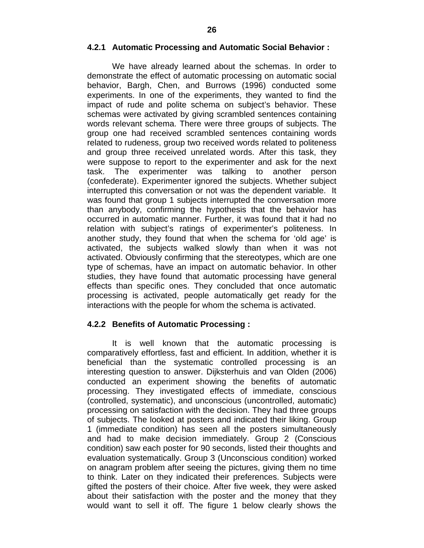We have already learned about the schemas. In order to demonstrate the effect of automatic processing on automatic social behavior, Bargh, Chen, and Burrows (1996) conducted some experiments. In one of the experiments, they wanted to find the impact of rude and polite schema on subject's behavior. These schemas were activated by giving scrambled sentences containing words relevant schema. There were three groups of subjects. The group one had received scrambled sentences containing words related to rudeness, group two received words related to politeness and group three received unrelated words. After this task, they were suppose to report to the experimenter and ask for the next task. The experimenter was talking to another person (confederate). Experimenter ignored the subjects. Whether subject interrupted this conversation or not was the dependent variable. It was found that group 1 subjects interrupted the conversation more than anybody, confirming the hypothesis that the behavior has occurred in automatic manner. Further, it was found that it had no relation with subject's ratings of experimenter's politeness. In another study, they found that when the schema for 'old age' is activated, the subjects walked slowly than when it was not activated. Obviously confirming that the stereotypes, which are one type of schemas, have an impact on automatic behavior. In other studies, they have found that automatic processing have general effects than specific ones. They concluded that once automatic processing is activated, people automatically get ready for the interactions with the people for whom the schema is activated.

#### **4.2.2 Benefits of Automatic Processing :**

It is well known that the automatic processing is comparatively effortless, fast and efficient. In addition, whether it is beneficial than the systematic controlled processing is an interesting question to answer. Dijksterhuis and van Olden (2006) conducted an experiment showing the benefits of automatic processing. They investigated effects of immediate, conscious (controlled, systematic), and unconscious (uncontrolled, automatic) processing on satisfaction with the decision. They had three groups of subjects. The looked at posters and indicated their liking. Group 1 (immediate condition) has seen all the posters simultaneously and had to make decision immediately. Group 2 (Conscious condition) saw each poster for 90 seconds, listed their thoughts and evaluation systematically. Group 3 (Unconscious condition) worked on anagram problem after seeing the pictures, giving them no time to think. Later on they indicated their preferences. Subjects were gifted the posters of their choice. After five week, they were asked about their satisfaction with the poster and the money that they would want to sell it off. The figure 1 below clearly shows the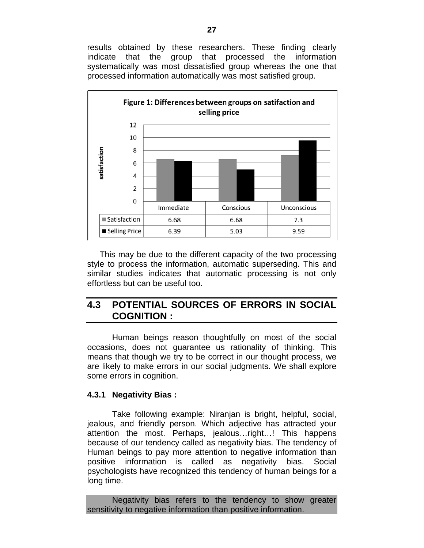results obtained by these researchers. These finding clearly indicate that the group that processed the information systematically was most dissatisfied group whereas the one that processed information automatically was most satisfied group.



This may be due to the different capacity of the two processing style to process the information, automatic superseding. This and similar studies indicates that automatic processing is not only effortless but can be useful too.

# **4.3 POTENTIAL SOURCES OF ERRORS IN SOCIAL COGNITION :**

Human beings reason thoughtfully on most of the social occasions, does not guarantee us rationality of thinking. This means that though we try to be correct in our thought process, we are likely to make errors in our social judgments. We shall explore some errors in cognition.

#### **4.3.1 Negativity Bias :**

Take following example: Niranjan is bright, helpful, social, jealous, and friendly person. Which adjective has attracted your attention the most. Perhaps, jealous…right…! This happens because of our tendency called as negativity bias. The tendency of Human beings to pay more attention to negative information than positive information is called as negativity bias. Social psychologists have recognized this tendency of human beings for a long time.

Negativity bias refers to the tendency to show greater sensitivity to negative information than positive information.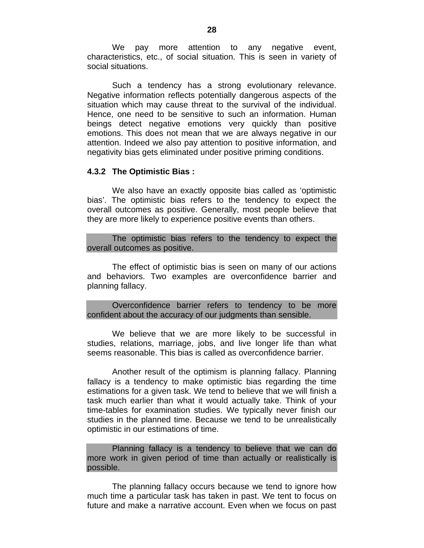We pay more attention to any negative event, characteristics, etc., of social situation. This is seen in variety of social situations.

Such a tendency has a strong evolutionary relevance. Negative information reflects potentially dangerous aspects of the situation which may cause threat to the survival of the individual. Hence, one need to be sensitive to such an information. Human beings detect negative emotions very quickly than positive emotions. This does not mean that we are always negative in our attention. Indeed we also pay attention to positive information, and negativity bias gets eliminated under positive priming conditions.

#### **4.3.2 The Optimistic Bias :**

We also have an exactly opposite bias called as 'optimistic bias'. The optimistic bias refers to the tendency to expect the overall outcomes as positive. Generally, most people believe that they are more likely to experience positive events than others.

The optimistic bias refers to the tendency to expect the overall outcomes as positive.

The effect of optimistic bias is seen on many of our actions and behaviors. Two examples are overconfidence barrier and planning fallacy.

Overconfidence barrier refers to tendency to be more confident about the accuracy of our judgments than sensible.

We believe that we are more likely to be successful in studies, relations, marriage, jobs, and live longer life than what seems reasonable. This bias is called as overconfidence barrier.

Another result of the optimism is planning fallacy. Planning fallacy is a tendency to make optimistic bias regarding the time estimations for a given task. We tend to believe that we will finish a task much earlier than what it would actually take. Think of your time-tables for examination studies. We typically never finish our studies in the planned time. Because we tend to be unrealistically optimistic in our estimations of time.

Planning fallacy is a tendency to believe that we can do more work in given period of time than actually or realistically is possible.

The planning fallacy occurs because we tend to ignore how much time a particular task has taken in past. We tent to focus on future and make a narrative account. Even when we focus on past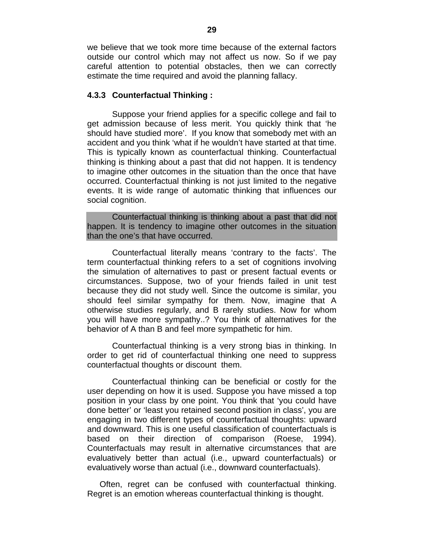we believe that we took more time because of the external factors outside our control which may not affect us now. So if we pay careful attention to potential obstacles, then we can correctly estimate the time required and avoid the planning fallacy.

#### **4.3.3 Counterfactual Thinking :**

Suppose your friend applies for a specific college and fail to get admission because of less merit. You quickly think that 'he should have studied more'. If you know that somebody met with an accident and you think 'what if he wouldn't have started at that time. This is typically known as counterfactual thinking. Counterfactual thinking is thinking about a past that did not happen. It is tendency to imagine other outcomes in the situation than the once that have occurred. Counterfactual thinking is not just limited to the negative events. It is wide range of automatic thinking that influences our social cognition.

Counterfactual thinking is thinking about a past that did not happen. It is tendency to imagine other outcomes in the situation than the one's that have occurred.

Counterfactual literally means 'contrary to the facts'. The term counterfactual thinking refers to a set of cognitions involving the simulation of alternatives to past or present factual events or circumstances. Suppose, two of your friends failed in unit test because they did not study well. Since the outcome is similar, you should feel similar sympathy for them. Now, imagine that A otherwise studies regularly, and B rarely studies. Now for whom you will have more sympathy..? You think of alternatives for the behavior of A than B and feel more sympathetic for him.

Counterfactual thinking is a very strong bias in thinking. In order to get rid of counterfactual thinking one need to suppress counterfactual thoughts or discount them.

Counterfactual thinking can be beneficial or costly for the user depending on how it is used. Suppose you have missed a top position in your class by one point. You think that 'you could have done better' or 'least you retained second position in class', you are engaging in two different types of counterfactual thoughts: upward and downward. This is one useful classification of counterfactuals is based on their direction of comparison (Roese, 1994). Counterfactuals may result in alternative circumstances that are evaluatively better than actual (i.e., upward counterfactuals) or evaluatively worse than actual (i.e., downward counterfactuals).

Often, regret can be confused with counterfactual thinking. Regret is an emotion whereas counterfactual thinking is thought.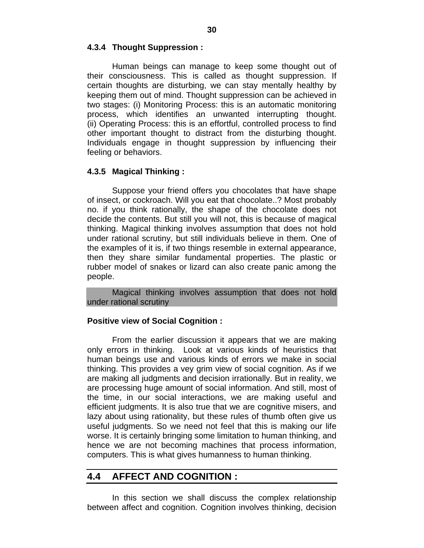#### **4.3.4 Thought Suppression :**

Human beings can manage to keep some thought out of their consciousness. This is called as thought suppression. If certain thoughts are disturbing, we can stay mentally healthy by keeping them out of mind. Thought suppression can be achieved in two stages: (i) Monitoring Process: this is an automatic monitoring process, which identifies an unwanted interrupting thought. (ii) Operating Process: this is an effortful, controlled process to find other important thought to distract from the disturbing thought. Individuals engage in thought suppression by influencing their feeling or behaviors.

#### **4.3.5 Magical Thinking :**

Suppose your friend offers you chocolates that have shape of insect, or cockroach. Will you eat that chocolate..? Most probably no. if you think rationally, the shape of the chocolate does not decide the contents. But still you will not, this is because of magical thinking. Magical thinking involves assumption that does not hold under rational scrutiny, but still individuals believe in them. One of the examples of it is, if two things resemble in external appearance, then they share similar fundamental properties. The plastic or rubber model of snakes or lizard can also create panic among the people.

Magical thinking involves assumption that does not hold under rational scrutiny

#### **Positive view of Social Cognition :**

From the earlier discussion it appears that we are making only errors in thinking. Look at various kinds of heuristics that human beings use and various kinds of errors we make in social thinking. This provides a vey grim view of social cognition. As if we are making all judgments and decision irrationally. But in reality, we are processing huge amount of social information. And still, most of the time, in our social interactions, we are making useful and efficient judgments. It is also true that we are cognitive misers, and lazy about using rationality, but these rules of thumb often give us useful judgments. So we need not feel that this is making our life worse. It is certainly bringing some limitation to human thinking, and hence we are not becoming machines that process information, computers. This is what gives humanness to human thinking.

# **4.4 AFFECT AND COGNITION :**

In this section we shall discuss the complex relationship between affect and cognition. Cognition involves thinking, decision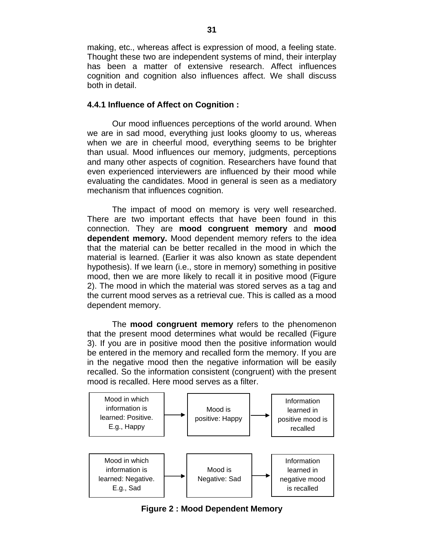making, etc., whereas affect is expression of mood, a feeling state. Thought these two are independent systems of mind, their interplay has been a matter of extensive research. Affect influences cognition and cognition also influences affect. We shall discuss both in detail.

#### **4.4.1 Influence of Affect on Cognition :**

Our mood influences perceptions of the world around. When we are in sad mood, everything just looks gloomy to us, whereas when we are in cheerful mood, everything seems to be brighter than usual. Mood influences our memory, judgments, perceptions and many other aspects of cognition. Researchers have found that even experienced interviewers are influenced by their mood while evaluating the candidates. Mood in general is seen as a mediatory mechanism that influences cognition.

The impact of mood on memory is very well researched. There are two important effects that have been found in this connection. They are **mood congruent memory** and **mood dependent memory.** Mood dependent memory refers to the idea that the material can be better recalled in the mood in which the material is learned. (Earlier it was also known as state dependent hypothesis). If we learn (i.e., store in memory) something in positive mood, then we are more likely to recall it in positive mood (Figure 2). The mood in which the material was stored serves as a tag and the current mood serves as a retrieval cue. This is called as a mood dependent memory.

The **mood congruent memory** refers to the phenomenon that the present mood determines what would be recalled (Figure 3). If you are in positive mood then the positive information would be entered in the memory and recalled form the memory. If you are in the negative mood then the negative information will be easily recalled. So the information consistent (congruent) with the present mood is recalled. Here mood serves as a filter.



**Figure 2 : Mood Dependent Memory**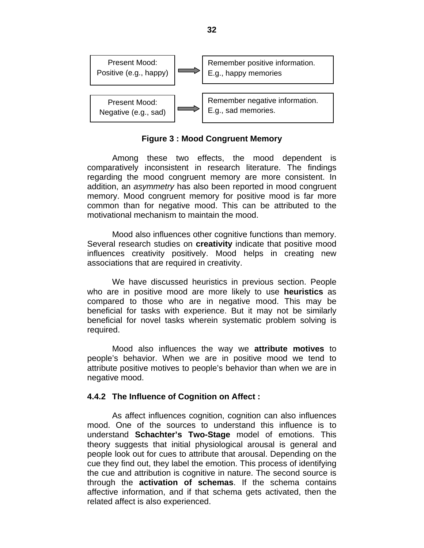

**Figure 3 : Mood Congruent Memory** 

Among these two effects, the mood dependent is comparatively inconsistent in research literature. The findings regarding the mood congruent memory are more consistent. In addition, an *asymmetry* has also been reported in mood congruent memory. Mood congruent memory for positive mood is far more common than for negative mood. This can be attributed to the motivational mechanism to maintain the mood.

Mood also influences other cognitive functions than memory. Several research studies on **creativity** indicate that positive mood influences creativity positively. Mood helps in creating new associations that are required in creativity.

We have discussed heuristics in previous section. People who are in positive mood are more likely to use **heuristics** as compared to those who are in negative mood. This may be beneficial for tasks with experience. But it may not be similarly beneficial for novel tasks wherein systematic problem solving is required.

Mood also influences the way we **attribute motives** to people's behavior. When we are in positive mood we tend to attribute positive motives to people's behavior than when we are in negative mood.

#### **4.4.2 The Influence of Cognition on Affect :**

As affect influences cognition, cognition can also influences mood. One of the sources to understand this influence is to understand **Schachter's Two-Stage** model of emotions. This theory suggests that initial physiological arousal is general and people look out for cues to attribute that arousal. Depending on the cue they find out, they label the emotion. This process of identifying the cue and attribution is cognitive in nature. The second source is through the **activation of schemas**. If the schema contains affective information, and if that schema gets activated, then the related affect is also experienced.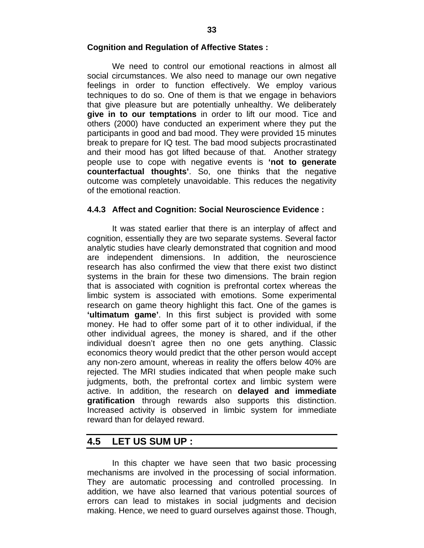#### **Cognition and Regulation of Affective States :**

We need to control our emotional reactions in almost all social circumstances. We also need to manage our own negative feelings in order to function effectively. We employ various techniques to do so. One of them is that we engage in behaviors that give pleasure but are potentially unhealthy. We deliberately **give in to our temptations** in order to lift our mood. Tice and others (2000) have conducted an experiment where they put the participants in good and bad mood. They were provided 15 minutes break to prepare for IQ test. The bad mood subjects procrastinated and their mood has got lifted because of that. Another strategy people use to cope with negative events is **'not to generate counterfactual thoughts'**. So, one thinks that the negative outcome was completely unavoidable. This reduces the negativity of the emotional reaction.

#### **4.4.3 Affect and Cognition: Social Neuroscience Evidence :**

It was stated earlier that there is an interplay of affect and cognition, essentially they are two separate systems. Several factor analytic studies have clearly demonstrated that cognition and mood are independent dimensions. In addition, the neuroscience research has also confirmed the view that there exist two distinct systems in the brain for these two dimensions. The brain region that is associated with cognition is prefrontal cortex whereas the limbic system is associated with emotions. Some experimental research on game theory highlight this fact. One of the games is **'ultimatum game'**. In this first subject is provided with some money. He had to offer some part of it to other individual, if the other individual agrees, the money is shared, and if the other individual doesn't agree then no one gets anything. Classic economics theory would predict that the other person would accept any non-zero amount, whereas in reality the offers below 40% are rejected. The MRI studies indicated that when people make such judgments, both, the prefrontal cortex and limbic system were active. In addition, the research on **delayed and immediate gratification** through rewards also supports this distinction. Increased activity is observed in limbic system for immediate reward than for delayed reward.

#### **4.5 LET US SUM UP :**

In this chapter we have seen that two basic processing mechanisms are involved in the processing of social information. They are automatic processing and controlled processing. In addition, we have also learned that various potential sources of errors can lead to mistakes in social judgments and decision making. Hence, we need to guard ourselves against those. Though,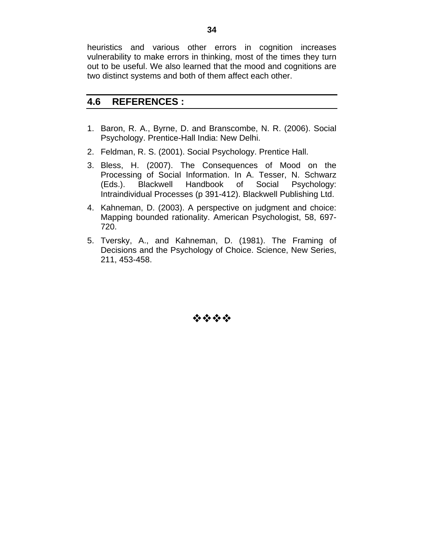heuristics and various other errors in cognition increases vulnerability to make errors in thinking, most of the times they turn out to be useful. We also learned that the mood and cognitions are two distinct systems and both of them affect each other.

# **4.6 REFERENCES :**

- 1. Baron, R. A., Byrne, D. and Branscombe, N. R. (2006). Social Psychology. Prentice-Hall India: New Delhi.
- 2. Feldman, R. S. (2001). Social Psychology. Prentice Hall.
- 3. Bless, H. (2007). The Consequences of Mood on the Processing of Social Information. In A. Tesser, N. Schwarz (Eds.). Blackwell Handbook of Social Psychology: Intraindividual Processes (p 391-412). Blackwell Publishing Ltd.
- 4. Kahneman, D. (2003). A perspective on judgment and choice: Mapping bounded rationality. American Psychologist, 58, 697- 720.
- 5. Tversky, A., and Kahneman, D. (1981). The Framing of Decisions and the Psychology of Choice. Science, New Series, 211, 453-458.

# 安全空空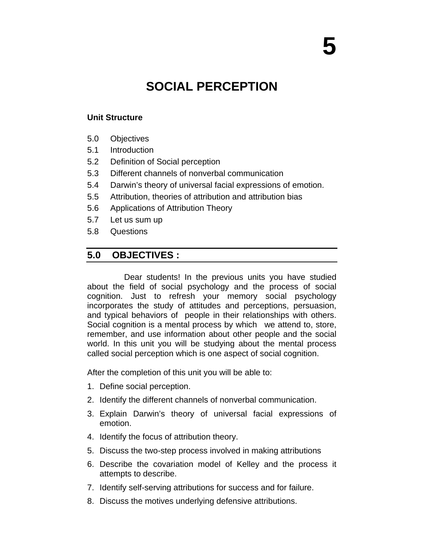# **SOCIAL PERCEPTION**

#### **Unit Structure**

- 5.0 Objectives
- 5.1 Introduction
- 5.2 Definition of Social perception
- 5.3 Different channels of nonverbal communication
- 5.4 Darwin's theory of universal facial expressions of emotion.
- 5.5 Attribution, theories of attribution and attribution bias
- 5.6 Applications of Attribution Theory
- 5.7 Let us sum up
- 5.8 Questions

# **5.0 OBJECTIVES :**

 Dear students! In the previous units you have studied about the field of social psychology and the process of social cognition. Just to refresh your memory social psychology incorporates the study of attitudes and perceptions, persuasion, and typical behaviors of people in their relationships with others. Social cognition is a mental process by which we attend to, store, remember, and use information about other people and the social world. In this unit you will be studying about the mental process called social perception which is one aspect of social cognition.

After the completion of this unit you will be able to:

- 1. Define social perception.
- 2. Identify the different channels of nonverbal communication.
- 3. Explain Darwin's theory of universal facial expressions of emotion.
- 4. Identify the focus of attribution theory.
- 5. Discuss the two-step process involved in making attributions
- 6. Describe the covariation model of Kelley and the process it attempts to describe.
- 7. Identify self-serving attributions for success and for failure.
- 8. Discuss the motives underlying defensive attributions.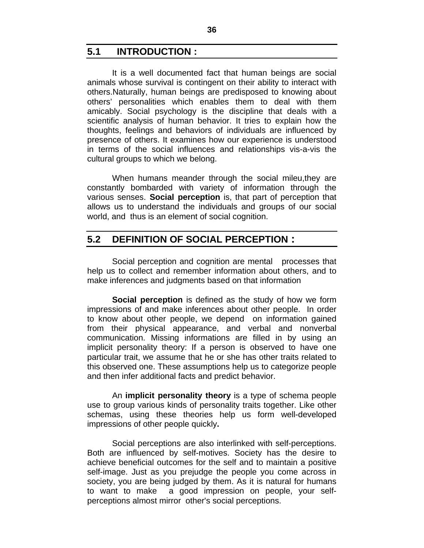### **5.1 INTRODUCTION :**

It is a well documented fact that human beings are social animals whose survival is contingent on their ability to interact with others.Naturally, human beings are predisposed to knowing about others' personalities which enables them to deal with them amicably. Social psychology is the discipline that deals with a scientific analysis of human behavior. It tries to explain how the thoughts, feelings and behaviors of individuals are influenced by presence of others. It examines how our experience is understood in terms of the social influences and relationships vis-a-vis the cultural groups to which we belong.

When humans meander through the social mileu,they are constantly bombarded with variety of information through the various senses. **Social perception** is, that part of perception that allows us to understand the individuals and groups of our social world, and thus is an element of social cognition.

### **5.2 DEFINITION OF SOCIAL PERCEPTION :**

 Social perception and cognition are mental processes that help us to collect and remember information about others, and to make inferences and judgments based on that information

**Social perception** is defined as the study of how we form impressions of and make inferences about other people. In order to know about other people, we depend on information gained from their physical appearance, and verbal and nonverbal communication. Missing informations are filled in by using an implicit personality theory: If a person is observed to have one particular trait, we assume that he or she has other traits related to this observed one. These assumptions help us to categorize people and then infer additional facts and predict behavior.

An **implicit personality theory** is a type of schema people use to group various kinds of personality traits together. Like other schemas, using these theories help us form well-developed impressions of other people quickly**.** 

 Social perceptions are also interlinked with self-perceptions. Both are influenced by self-motives. Society has the desire to achieve beneficial outcomes for the self and to maintain a positive self-image. Just as you prejudge the people you come across in society, you are being judged by them. As it is natural for humans to want to make a good impression on people, your selfperceptions almost mirror other's social perceptions.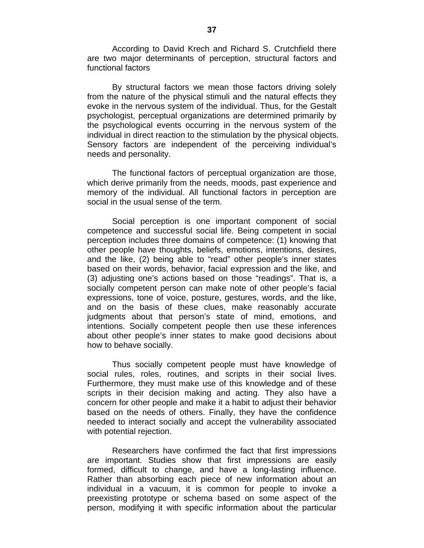According to David Krech and Richard S. Crutchfield there are two major determinants of perception, structural factors and functional factors

By structural factors we mean those factors driving solely from the nature of the physical stimuli and the natural effects they evoke in the nervous system of the individual. Thus, for the Gestalt psychologist, perceptual organizations are determined primarily by the psychological events occurring in the nervous system of the individual in direct reaction to the stimulation by the physical objects. Sensory factors are independent of the perceiving individual's needs and personality.

The functional factors of perceptual organization are those, which derive primarily from the needs, moods, past experience and memory of the individual. All functional factors in perception are social in the usual sense of the term.

Social perception is one important component of social competence and successful social life. Being competent in social perception includes three domains of competence: (1) knowing that other people have thoughts, beliefs, emotions, intentions, desires, and the like, (2) being able to "read" other people's inner states based on their words, behavior, facial expression and the like, and (3) adjusting one's actions based on those "readings". That is, a socially competent person can make note of other people's facial expressions, tone of voice, posture, gestures, words, and the like, and on the basis of these clues, make reasonably accurate judgments about that person's state of mind, emotions, and intentions. Socially competent people then use these inferences about other people's inner states to make good decisions about how to behave socially.

Thus socially competent people must have knowledge of social rules, roles, routines, and scripts in their social lives. Furthermore, they must make use of this knowledge and of these scripts in their decision making and acting. They also have a concern for other people and make it a habit to adjust their behavior based on the needs of others. Finally, they have the confidence needed to interact socially and accept the vulnerability associated with potential rejection.

Researchers have confirmed the fact that first impressions are important. Studies show that first impressions are easily formed, difficult to change, and have a long-lasting influence. Rather than absorbing each piece of new information about an individual in a vacuum, it is common for people to invoke a preexisting prototype or schema based on some aspect of the person, modifying it with specific information about the particular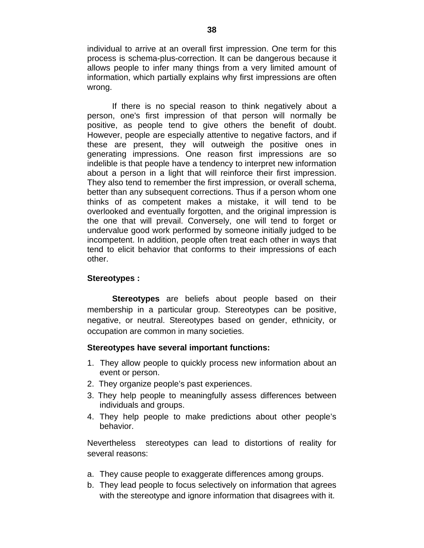individual to arrive at an overall first impression. One term for this process is schema-plus-correction. It can be dangerous because it allows people to infer many things from a very limited amount of information, which partially explains why first impressions are often wrong.

If there is no special reason to think negatively about a person, one's first impression of that person will normally be positive, as people tend to give others the benefit of doubt. However, people are especially attentive to negative factors, and if these are present, they will outweigh the positive ones in generating impressions. One reason first impressions are so indelible is that people have a tendency to interpret new information about a person in a light that will reinforce their first impression. They also tend to remember the first impression, or overall schema, better than any subsequent corrections. Thus if a person whom one thinks of as competent makes a mistake, it will tend to be overlooked and eventually forgotten, and the original impression is the one that will prevail. Conversely, one will tend to forget or undervalue good work performed by someone initially judged to be incompetent. In addition, people often treat each other in ways that tend to elicit behavior that conforms to their impressions of each other.

## **Stereotypes :**

**Stereotypes** are beliefs about people based on their membership in a particular group. Stereotypes can be positive, negative, or neutral. Stereotypes based on gender, ethnicity, or occupation are common in many societies.

### **Stereotypes have several important functions:**

- 1. They allow people to quickly process new information about an event or person.
- 2. They organize people's past experiences.
- 3. They help people to meaningfully assess differences between individuals and groups.
- 4. They help people to make predictions about other people's behavior.

Nevertheless stereotypes can lead to distortions of reality for several reasons:

- a. They cause people to exaggerate differences among groups.
- b. They lead people to focus selectively on information that agrees with the stereotype and ignore information that disagrees with it.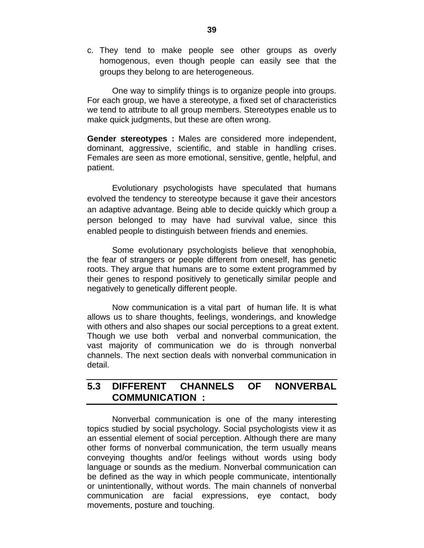c. They tend to make people see other groups as overly homogenous, even though people can easily see that the groups they belong to are heterogeneous.

One way to simplify things is to organize people into groups. For each group, we have a stereotype, a fixed set of characteristics we tend to attribute to all group members. Stereotypes enable us to make quick judgments, but these are often wrong.

**Gender stereotypes :** Males are considered more independent, dominant, aggressive, scientific, and stable in handling crises. Females are seen as more emotional, sensitive, gentle, helpful, and patient.

Evolutionary psychologists have speculated that humans evolved the tendency to stereotype because it gave their ancestors an adaptive advantage. Being able to decide quickly which group a person belonged to may have had survival value, since this enabled people to distinguish between friends and enemies.

Some evolutionary psychologists believe that xenophobia, the fear of strangers or people different from oneself, has genetic roots. They argue that humans are to some extent programmed by their genes to respond positively to genetically similar people and negatively to genetically different people.

Now communication is a vital part of human life. It is what allows us to share thoughts, feelings, wonderings, and knowledge with others and also shapes our social perceptions to a great extent. Though we use both verbal and nonverbal communication, the vast majority of communication we do is through nonverbal channels. The next section deals with nonverbal communication in detail.

# **5.3 DIFFERENT CHANNELS OF NONVERBAL COMMUNICATION :**

Nonverbal communication is one of the many interesting topics studied by social psychology. Social psychologists view it as an essential element of social perception. Although there are many other forms of nonverbal communication, the term usually means conveying thoughts and/or feelings without words using body language or sounds as the medium. Nonverbal communication can be defined as the way in which people communicate, intentionally or unintentionally, without words. The main channels of nonverbal communication are facial expressions, eye contact, body movements, posture and touching.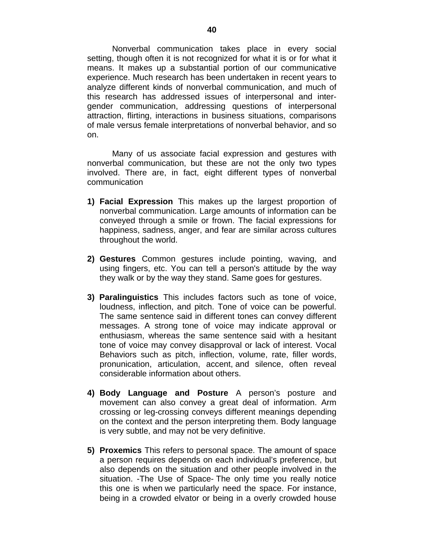Nonverbal communication takes place in every social setting, though often it is not recognized for what it is or for what it means. It makes up a substantial portion of our communicative experience. Much research has been undertaken in recent years to analyze different kinds of nonverbal communication, and much of this research has addressed issues of interpersonal and intergender communication, addressing questions of interpersonal attraction, flirting, interactions in business situations, comparisons of male versus female interpretations of nonverbal behavior, and so on.

Many of us associate facial expression and gestures with nonverbal communication, but these are not the only two types involved. There are, in fact, eight different types of nonverbal communication

- **1) Facial Expression** This makes up the largest proportion of nonverbal communication. Large amounts of information can be conveyed through a smile or frown. The facial expressions for happiness, sadness, anger, and fear are similar across cultures throughout the world.
- **2) Gestures** Common gestures include pointing, waving, and using fingers, etc. You can tell a person's attitude by the way they walk or by the way they stand. Same goes for gestures.
- **3) Paralinguistics** This includes factors such as tone of voice, loudness, inflection, and pitch. Tone of voice can be powerful. The same sentence said in different tones can convey different messages. A strong tone of voice may indicate approval or enthusiasm, whereas the same sentence said with a hesitant tone of voice may convey disapproval or lack of interest. Vocal Behaviors such as pitch, inflection, volume, rate, filler words, pronunication, articulation, accent, and silence, often reveal considerable information about others.
- **4) Body Language and Posture** A person's posture and movement can also convey a great deal of information. Arm crossing or leg-crossing conveys different meanings depending on the context and the person interpreting them. Body language is very subtle, and may not be very definitive.
- **5) Proxemics** This refers to personal space. The amount of space a person requires depends on each individual's preference, but also depends on the situation and other people involved in the situation. -The Use of Space- The only time you really notice this one is when we particularly need the space. For instance, being in a crowded elvator or being in a overly crowded house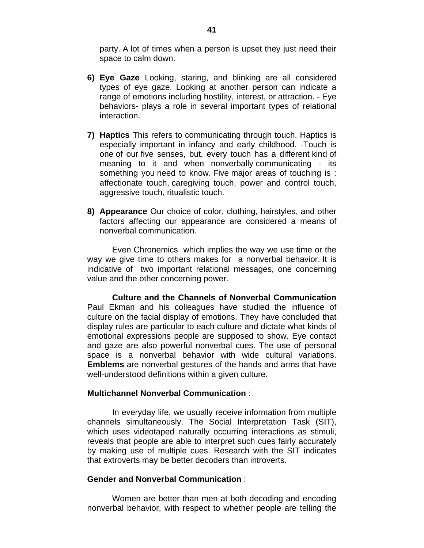party. A lot of times when a person is upset they just need their space to calm down.

- **6) Eye Gaze** Looking, staring, and blinking are all considered types of eye gaze. Looking at another person can indicate a range of emotions including hostility, interest, or attraction. - Eye behaviors- plays a role in several important types of relational interaction.
- **7) Haptics** This refers to communicating through touch. Haptics is especially important in infancy and early childhood. -Touch is one of our five senses, but, every touch has a different kind of meaning to it and when nonverbally communicating - its something you need to know. Five major areas of touching is : affectionate touch, caregiving touch, power and control touch, aggressive touch, ritualistic touch.
- **8) Appearance** Our choice of color, clothing, hairstyles, and other factors affecting our appearance are considered a means of nonverbal communication.

Even Chronemics which implies the way we use time or the way we give time to others makes for a nonverbal behavior. It is indicative of two important relational messages, one concerning value and the other concerning power.

**Culture and the Channels of Nonverbal Communication** Paul Ekman and his colleagues have studied the influence of culture on the facial display of emotions. They have concluded that display rules are particular to each culture and dictate what kinds of emotional expressions people are supposed to show. Eye contact and gaze are also powerful nonverbal cues. The use of personal space is a nonverbal behavior with wide cultural variations. **Emblems** are nonverbal gestures of the hands and arms that have well-understood definitions within a given culture.

#### **Multichannel Nonverbal Communication** :

In everyday life, we usually receive information from multiple channels simultaneously. The Social Interpretation Task (SIT), which uses videotaped naturally occurring interactions as stimuli, reveals that people are able to interpret such cues fairly accurately by making use of multiple cues. Research with the SIT indicates that extroverts may be better decoders than introverts.

## **Gender and Nonverbal Communication** :

Women are better than men at both decoding and encoding nonverbal behavior, with respect to whether people are telling the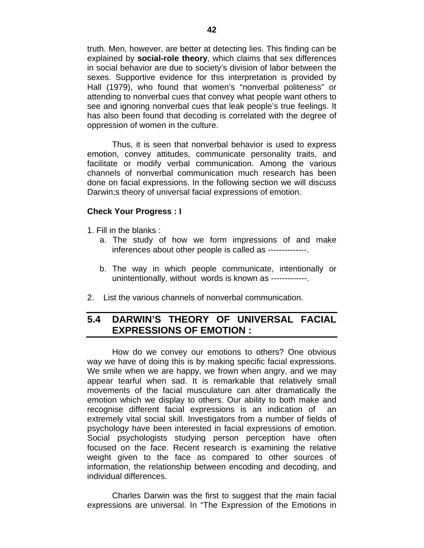truth. Men, however, are better at detecting lies. This finding can be explained by **social-role theory**, which claims that sex differences in social behavior are due to society's division of labor between the sexes. Supportive evidence for this interpretation is provided by Hall (1979), who found that women's "nonverbal politeness" or attending to nonverbal cues that convey what people want others to see and ignoring nonverbal cues that leak people's true feelings. It has also been found that decoding is correlated with the degree of oppression of women in the culture.

Thus, it is seen that nonverbal behavior is used to express emotion, convey attitudes, communicate personality traits, and facilitate or modify verbal communication. Among the various channels of nonverbal communication much research has been done on facial expressions. In the following section we will discuss Darwin;s theory of universal facial expressions of emotion.

### **Check Your Progress : I**

- 1. Fill in the blanks :
	- a. The study of how we form impressions of and make inferences about other people is called as --------------.
	- b. The way in which people communicate, intentionally or unintentionally, without words is known as -------------.
- 2. List the various channels of nonverbal communication.

# **5.4 DARWIN'S THEORY OF UNIVERSAL FACIAL EXPRESSIONS OF EMOTION :**

How do we convey our emotions to others? One obvious way we have of doing this is by making specific facial expressions. We smile when we are happy, we frown when angry, and we may appear tearful when sad. It is remarkable that relatively small movements of the facial musculature can alter dramatically the emotion which we display to others. Our ability to both make and recognise different facial expressions is an indication of an extremely vital social skill. Investigators from a number of fields of psychology have been interested in facial expressions of emotion. Social psychologists studying person perception have often focused on the face. Recent research is examining the relative weight given to the face as compared to other sources of information, the relationship between encoding and decoding, and individual differences.

Charles Darwin was the first to suggest that the main facial expressions are universal. In "The Expression of the Emotions in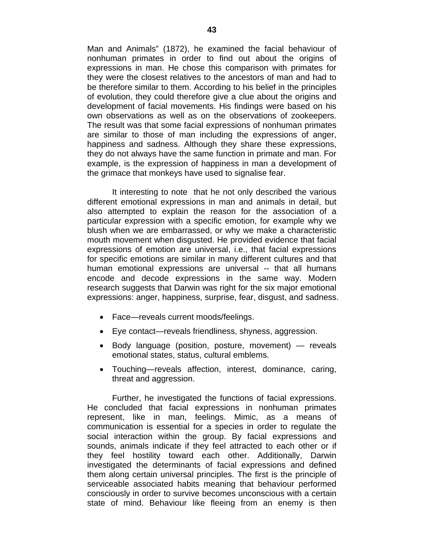Man and Animals" (1872), he examined the facial behaviour of nonhuman primates in order to find out about the origins of expressions in man. He chose this comparison with primates for they were the closest relatives to the ancestors of man and had to be therefore similar to them. According to his belief in the principles of evolution, they could therefore give a clue about the origins and development of facial movements. His findings were based on his own observations as well as on the observations of zookeepers. The result was that some facial expressions of nonhuman primates are similar to those of man including the expressions of anger, happiness and sadness. Although they share these expressions, they do not always have the same function in primate and man. For example, is the expression of happiness in man a development of the grimace that monkeys have used to signalise fear.

 It interesting to note that he not only described the various different emotional expressions in man and animals in detail, but also attempted to explain the reason for the association of a particular expression with a specific emotion, for example why we blush when we are embarrassed, or why we make a characteristic mouth movement when disgusted. He provided evidence that facial expressions of emotion are universal, i.e., that facial expressions for specific emotions are similar in many different cultures and that human emotional expressions are universal -- that all humans encode and decode expressions in the same way. Modern research suggests that Darwin was right for the six major emotional expressions: anger, happiness, surprise, fear, disgust, and sadness.

- Face—reveals current moods/feelings.
- Eye contact—reveals friendliness, shyness, aggression.
- Body language (position, posture, movement) reveals emotional states, status, cultural emblems.
- Touching—reveals affection, interest, dominance, caring, threat and aggression.

 Further, he investigated the functions of facial expressions. He concluded that facial expressions in nonhuman primates represent, like in man, feelings. Mimic, as a means of communication is essential for a species in order to regulate the social interaction within the group. By facial expressions and sounds, animals indicate if they feel attracted to each other or if they feel hostility toward each other. Additionally, Darwin investigated the determinants of facial expressions and defined them along certain universal principles. The first is the principle of serviceable associated habits meaning that behaviour performed consciously in order to survive becomes unconscious with a certain state of mind. Behaviour like fleeing from an enemy is then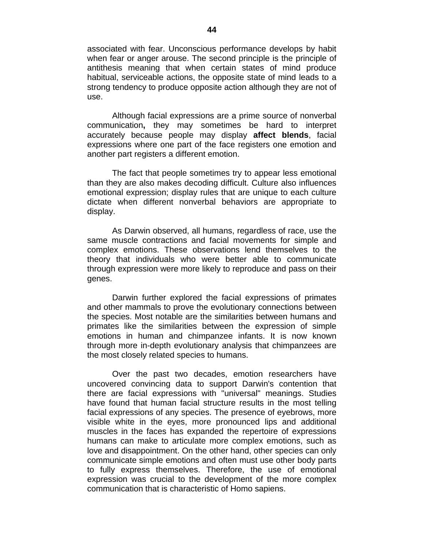associated with fear. Unconscious performance develops by habit when fear or anger arouse. The second principle is the principle of antithesis meaning that when certain states of mind produce habitual, serviceable actions, the opposite state of mind leads to a strong tendency to produce opposite action although they are not of use.

Although facial expressions are a prime source of nonverbal communication**,** they may sometimes be hard to interpret accurately because people may display **affect blends**, facial expressions where one part of the face registers one emotion and another part registers a different emotion.

The fact that people sometimes try to appear less emotional than they are also makes decoding difficult. Culture also influences emotional expression; display rules that are unique to each culture dictate when different nonverbal behaviors are appropriate to display.

As Darwin observed, all humans, regardless of race, use the same muscle contractions and facial movements for simple and complex emotions. These observations lend themselves to the theory that individuals who were better able to communicate through expression were more likely to reproduce and pass on their genes.

Darwin further explored the facial expressions of primates and other mammals to prove the evolutionary connections between the species. Most notable are the similarities between humans and primates like the similarities between the expression of simple emotions in human and chimpanzee infants. It is now known through more in-depth evolutionary analysis that chimpanzees are the most closely related species to humans.

Over the past two decades, emotion researchers have uncovered convincing data to support Darwin's contention that there are facial expressions with "universal" meanings. Studies have found that human facial structure results in the most telling facial expressions of any species. The presence of eyebrows, more visible white in the eyes, more pronounced lips and additional muscles in the faces has expanded the repertoire of expressions humans can make to articulate more complex emotions, such as love and disappointment. On the other hand, other species can only communicate simple emotions and often must use other body parts to fully express themselves. Therefore, the use of emotional expression was crucial to the development of the more complex communication that is characteristic of Homo sapiens.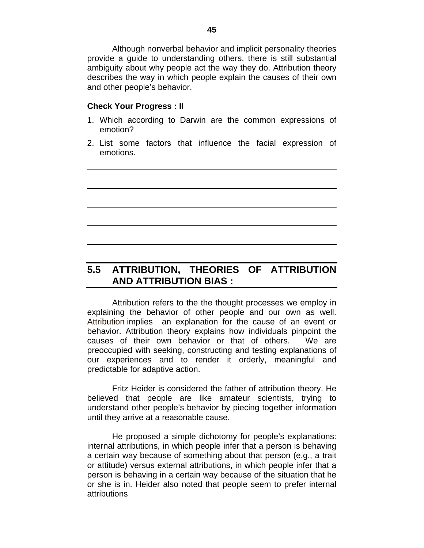## **Check Your Progress : II**

- 1. Which according to Darwin are the common expressions of emotion?
- 2. List some factors that influence the facial expression of emotions.

# **5.5 ATTRIBUTION, THEORIES OF ATTRIBUTION AND ATTRIBUTION BIAS :**

Attribution refers to the the thought processes we employ in explaining the behavior of other people and our own as well. Attribution implies an explanation for the cause of an event or behavior. Attribution theory explains how individuals pinpoint the causes of their own behavior or that of others. We are preoccupied with seeking, constructing and testing explanations of our experiences and to render it orderly, meaningful and predictable for adaptive action.

 Fritz Heider is considered the father of attribution theory. He believed that people are like amateur scientists, trying to understand other people's behavior by piecing together information until they arrive at a reasonable cause.

 He proposed a simple dichotomy for people's explanations: internal attributions, in which people infer that a person is behaving a certain way because of something about that person (e.g., a trait or attitude) versus external attributions, in which people infer that a person is behaving in a certain way because of the situation that he or she is in. Heider also noted that people seem to prefer internal attributions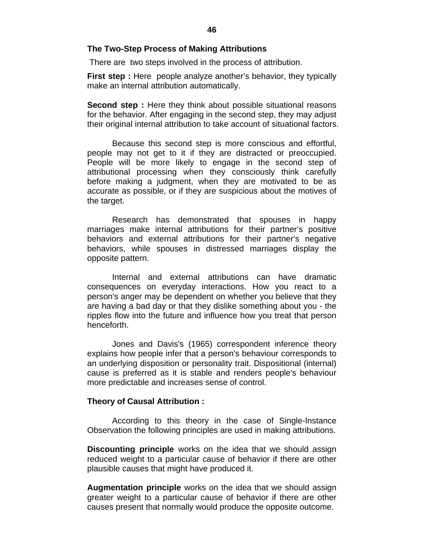#### **The Two-Step Process of Making Attributions**

There are two steps involved in the process of attribution.

**First step :** Here people analyze another's behavior, they typically make an internal attribution automatically.

**Second step :** Here they think about possible situational reasons for the behavior. After engaging in the second step, they may adjust their original internal attribution to take account of situational factors.

Because this second step is more conscious and effortful, people may not get to it if they are distracted or preoccupied. People will be more likely to engage in the second step of attributional processing when they consciously think carefully before making a judgment, when they are motivated to be as accurate as possible, or if they are suspicious about the motives of the target.

 Research has demonstrated that spouses in happy marriages make internal attributions for their partner's positive behaviors and external attributions for their partner's negative behaviors, while spouses in distressed marriages display the opposite pattern.

Internal and external attributions can have dramatic consequences on everyday interactions. How you react to a person's anger may be dependent on whether you believe that they are having a bad day or that they dislike something about you - the ripples flow into the future and influence how you treat that person henceforth.

Jones and Davis's (1965) correspondent inference theory explains how people infer that a person's behaviour corresponds to an underlying disposition or personality trait. Dispositional (internal) cause is preferred as it is stable and renders people's behaviour more predictable and increases sense of control.

#### **Theory of Causal Attribution :**

 According to this theory in the case of Single-Instance Observation the following principles are used in making attributions.

**Discounting principle** works on the idea that we should assign reduced weight to a particular cause of behavior if there are other plausible causes that might have produced it.

**Augmentation principle** works on the idea that we should assign greater weight to a particular cause of behavior if there are other causes present that normally would produce the opposite outcome.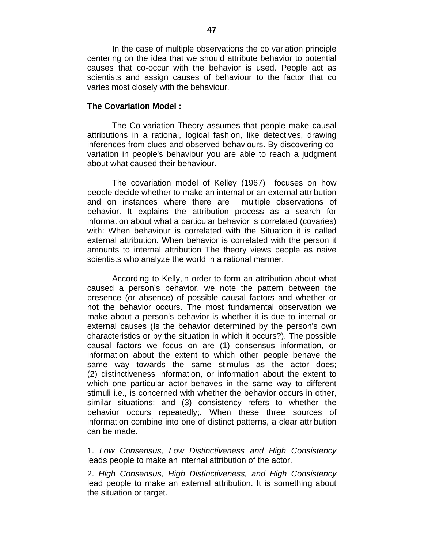In the case of multiple observations the co variation principle centering on the idea that we should attribute behavior to potential causes that co-occur with the behavior is used. People act as scientists and assign causes of behaviour to the factor that co varies most closely with the behaviour.

#### **The Covariation Model :**

The Co-variation Theory assumes that people make causal attributions in a rational, logical fashion, like detectives, drawing inferences from clues and observed behaviours. By discovering covariation in people's behaviour you are able to reach a judgment about what caused their behaviour.

The covariation model of Kelley (1967) focuses on how people decide whether to make an internal or an external attribution and on instances where there are multiple observations of behavior. It explains the attribution process as a search for information about what a particular behavior is correlated (covaries) with: When behaviour is correlated with the Situation it is called external attribution. When behavior is correlated with the person it amounts to internal attribution The theory views people as naive scientists who analyze the world in a rational manner.

 According to Kelly,in order to form an attribution about what caused a person's behavior, we note the pattern between the presence (or absence) of possible causal factors and whether or not the behavior occurs. The most fundamental observation we make about a person's behavior is whether it is due to internal or external causes (Is the behavior determined by the person's own characteristics or by the situation in which it occurs?). The possible causal factors we focus on are (1) consensus information, or information about the extent to which other people behave the same way towards the same stimulus as the actor does; (2) distinctiveness information, or information about the extent to which one particular actor behaves in the same way to different stimuli i.e., is concerned with whether the behavior occurs in other, similar situations; and (3) consistency refers to whether the behavior occurs repeatedly;. When these three sources of information combine into one of distinct patterns, a clear attribution can be made.

1. *Low Consensus, Low Distinctiveness and High Consistency* leads people to make an internal attribution of the actor.

2. *High Consensus, High Distinctiveness, and High Consistency* lead people to make an external attribution. It is something about the situation or target.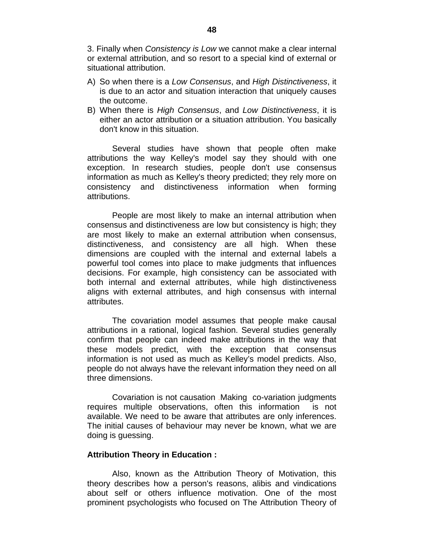3. Finally when *Consistency is Low* we cannot make a clear internal or external attribution, and so resort to a special kind of external or situational attribution.

- A) So when there is a *Low Consensus*, and *High Distinctiveness*, it is due to an actor and situation interaction that uniquely causes the outcome.
- B) When there is *High Consensus*, and *Low Distinctiveness*, it is either an actor attribution or a situation attribution. You basically don't know in this situation.

Several studies have shown that people often make attributions the way Kelley's model say they should with one exception. In research studies, people don't use consensus information as much as Kelley's theory predicted; they rely more on consistency and distinctiveness information when forming attributions.

People are most likely to make an internal attribution when consensus and distinctiveness are low but consistency is high; they are most likely to make an external attribution when consensus, distinctiveness, and consistency are all high. When these dimensions are coupled with the internal and external labels a powerful tool comes into place to make judgments that influences decisions. For example, high consistency can be associated with both internal and external attributes, while high distinctiveness aligns with external attributes, and high consensus with internal attributes.

The covariation model assumes that people make causal attributions in a rational, logical fashion. Several studies generally confirm that people can indeed make attributions in the way that these models predict, with the exception that consensus information is not used as much as Kelley's model predicts. Also, people do not always have the relevant information they need on all three dimensions.

 Covariation is not causation .Making co-variation judgments requires multiple observations, often this information is not available. We need to be aware that attributes are only inferences. The initial causes of behaviour may never be known, what we are doing is guessing.

#### **Attribution Theory in Education :**

Also, known as the Attribution Theory of Motivation, this theory describes how a person's reasons, alibis and vindications about self or others influence motivation. One of the most prominent psychologists who focused on The Attribution Theory of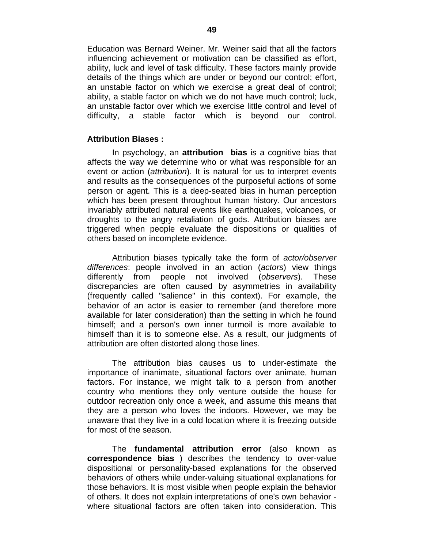Education was Bernard Weiner. Mr. Weiner said that all the factors influencing achievement or motivation can be classified as effort, ability, luck and level of task difficulty. These factors mainly provide details of the things which are under or beyond our control; effort, an unstable factor on which we exercise a great deal of control; ability, a stable factor on which we do not have much control; luck, an unstable factor over which we exercise little control and level of difficulty, a stable factor which is beyond our control.

#### **Attribution Biases :**

In psychology, an **attribution bias** is a cognitive bias that affects the way we determine who or what was responsible for an event or action (*attribution*). It is natural for us to interpret events and results as the consequences of the purposeful actions of some person or agent. This is a deep-seated bias in human perception which has been present throughout human history. Our ancestors invariably attributed natural events like earthquakes, volcanoes, or droughts to the angry retaliation of gods. Attribution biases are triggered when people evaluate the dispositions or qualities of others based on incomplete evidence.

Attribution biases typically take the form of *actor/observer differences*: people involved in an action (*actors*) view things differently from people not involved (*observers*). These discrepancies are often caused by asymmetries in availability (frequently called "salience" in this context). For example, the behavior of an actor is easier to remember (and therefore more available for later consideration) than the setting in which he found himself; and a person's own inner turmoil is more available to himself than it is to someone else. As a result, our judgments of attribution are often distorted along those lines.

The attribution bias causes us to under-estimate the importance of inanimate, situational factors over animate, human factors. For instance, we might talk to a person from another country who mentions they only venture outside the house for outdoor recreation only once a week, and assume this means that they are a person who loves the indoors. However, we may be unaware that they live in a cold location where it is freezing outside for most of the season.

The **fundamental attribution error** (also known as **correspondence bias** ) describes the tendency to over-value dispositional or personality-based explanations for the observed behaviors of others while under-valuing situational explanations for those behaviors. It is most visible when people explain the behavior of others. It does not explain interpretations of one's own behavior where situational factors are often taken into consideration. This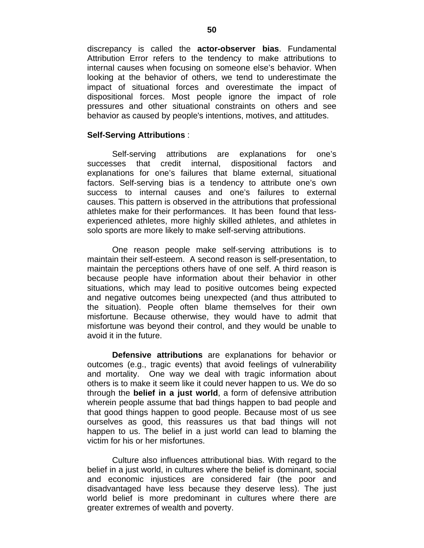discrepancy is called the **actor-observer bias**. Fundamental Attribution Error refers to the tendency to make attributions to internal causes when focusing on someone else's behavior. When looking at the behavior of others, we tend to underestimate the impact of situational forces and overestimate the impact of dispositional forces. Most people ignore the impact of role pressures and other situational constraints on others and see behavior as caused by people's intentions, motives, and attitudes.

#### **Self-Serving Attributions** :

Self-serving attributions are explanations for one's successes that credit internal, dispositional factors and explanations for one's failures that blame external, situational factors. Self-serving bias is a tendency to attribute one's own success to internal causes and one's failures to external causes. This pattern is observed in the attributions that professional athletes make for their performances. It has been found that lessexperienced athletes, more highly skilled athletes, and athletes in solo sports are more likely to make self-serving attributions.

One reason people make self-serving attributions is to maintain their self-esteem. A second reason is self-presentation, to maintain the perceptions others have of one self. A third reason is because people have information about their behavior in other situations, which may lead to positive outcomes being expected and negative outcomes being unexpected (and thus attributed to the situation). People often blame themselves for their own misfortune. Because otherwise, they would have to admit that misfortune was beyond their control, and they would be unable to avoid it in the future.

 **Defensive attributions** are explanations for behavior or outcomes (e.g., tragic events) that avoid feelings of vulnerability and mortality. One way we deal with tragic information about others is to make it seem like it could never happen to us. We do so through the **belief in a just world**, a form of defensive attribution wherein people assume that bad things happen to bad people and that good things happen to good people. Because most of us see ourselves as good, this reassures us that bad things will not happen to us. The belief in a just world can lead to blaming the victim for his or her misfortunes.

Culture also influences attributional bias. With regard to the belief in a just world, in cultures where the belief is dominant, social and economic injustices are considered fair (the poor and disadvantaged have less because they deserve less). The just world belief is more predominant in cultures where there are greater extremes of wealth and poverty.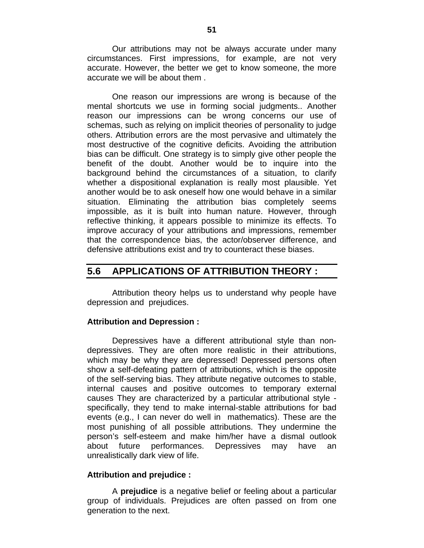Our attributions may not be always accurate under many circumstances. First impressions, for example, are not very accurate. However, the better we get to know someone, the more accurate we will be about them .

One reason our impressions are wrong is because of the mental shortcuts we use in forming social judgments.. Another reason our impressions can be wrong concerns our use of schemas, such as relying on implicit theories of personality to judge others. Attribution errors are the most pervasive and ultimately the most destructive of the cognitive deficits. Avoiding the attribution bias can be difficult. One strategy is to simply give other people the benefit of the doubt. Another would be to inquire into the background behind the circumstances of a situation, to clarify whether a dispositional explanation is really most plausible. Yet another would be to ask oneself how one would behave in a similar situation. Eliminating the attribution bias completely seems impossible, as it is built into human nature. However, through reflective thinking, it appears possible to minimize its effects. To improve accuracy of your attributions and impressions, remember that the correspondence bias, the actor/observer difference, and defensive attributions exist and try to counteract these biases.

# **5.6 APPLICATIONS OF ATTRIBUTION THEORY :**

 Attribution theory helps us to understand why people have depression and prejudices.

## **Attribution and Depression :**

Depressives have a different attributional style than nondepressives. They are often more realistic in their attributions, which may be why they are depressed! Depressed persons often show a self-defeating pattern of attributions, which is the opposite of the self-serving bias. They attribute negative outcomes to stable, internal causes and positive outcomes to temporary external causes They are characterized by a particular attributional style specifically, they tend to make internal-stable attributions for bad events (e.g., I can never do well in mathematics). These are the most punishing of all possible attributions. They undermine the person's self-esteem and make him/her have a dismal outlook about future performances. Depressives may have an unrealistically dark view of life.

## **Attribution and prejudice :**

A **prejudice** is a negative belief or feeling about a particular group of individuals. Prejudices are often passed on from one generation to the next.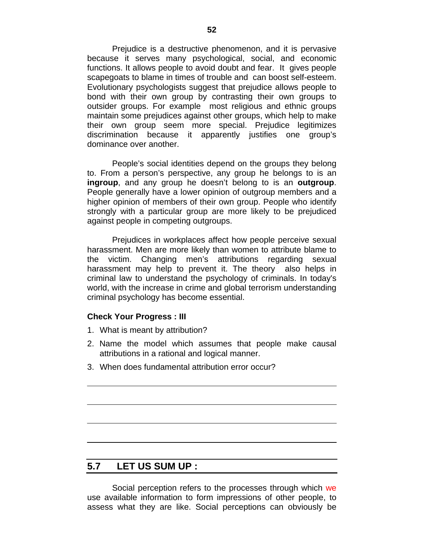Prejudice is a destructive phenomenon, and it is pervasive because it serves many psychological, social, and economic functions. It allows people to avoid doubt and fear. It gives people scapegoats to blame in times of trouble and can boost self-esteem. Evolutionary psychologists suggest that prejudice allows people to bond with their own group by contrasting their own groups to outsider groups. For example most religious and ethnic groups maintain some prejudices against other groups, which help to make their own group seem more special. Prejudice legitimizes discrimination because it apparently justifies one group's dominance over another.

People's social identities depend on the groups they belong to. From a person's perspective, any group he belongs to is an **ingroup**, and any group he doesn't belong to is an **outgroup**. People generally have a lower opinion of outgroup members and a higher opinion of members of their own group. People who identify strongly with a particular group are more likely to be prejudiced against people in competing outgroups.

Prejudices in workplaces affect how people perceive sexual harassment. Men are more likely than women to attribute blame to the victim. Changing men's attributions regarding sexual harassment may help to prevent it. The theory also helps in criminal law to understand the psychology of criminals. In today's world, with the increase in crime and global terrorism understanding criminal psychology has become essential.

### **Check Your Progress : III**

- 1. What is meant by attribution?
- 2. Name the model which assumes that people make causal attributions in a rational and logical manner.
- 3. When does fundamental attribution error occur?

## **5.7 LET US SUM UP :**

Social perception refers to the processes through which we use available information to form impressions of other people, to assess what they are like. Social perceptions can obviously be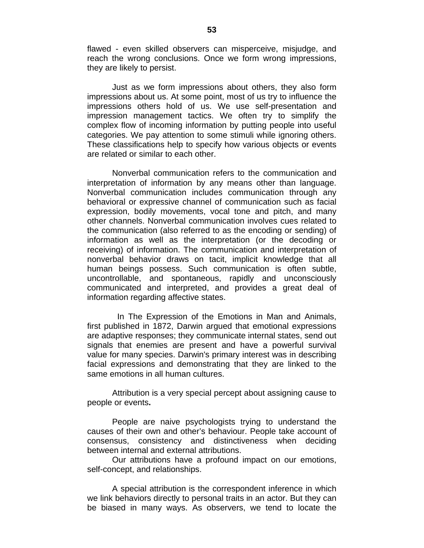flawed - even skilled observers can misperceive, misjudge, and reach the wrong conclusions. Once we form wrong impressions, they are likely to persist.

Just as we form impressions about others, they also form impressions about us. At some point, most of us try to influence the impressions others hold of us. We use self-presentation and impression management tactics. We often try to simplify the complex flow of incoming information by putting people into useful categories. We pay attention to some stimuli while ignoring others. These classifications help to specify how various objects or events are related or similar to each other.

Nonverbal communication refers to the communication and interpretation of information by any means other than language. Nonverbal communication includes communication through any behavioral or expressive channel of communication such as facial expression, bodily movements, vocal tone and pitch, and many other channels. Nonverbal communication involves cues related to the communication (also referred to as the encoding or sending) of information as well as the interpretation (or the decoding or receiving) of information. The communication and interpretation of nonverbal behavior draws on tacit, implicit knowledge that all human beings possess. Such communication is often subtle, uncontrollable, and spontaneous, rapidly and unconsciously communicated and interpreted, and provides a great deal of information regarding affective states.

In The Expression of the Emotions in Man and Animals, first published in 1872, Darwin argued that emotional expressions are adaptive responses; they communicate internal states, send out signals that enemies are present and have a powerful survival value for many species. Darwin's primary interest was in describing facial expressions and demonstrating that they are linked to the same emotions in all human cultures.

Attribution is a very special percept about assigning cause to people or events**.** 

People are naive psychologists trying to understand the causes of their own and other's behaviour. People take account of consensus, consistency and distinctiveness when deciding between internal and external attributions.

Our attributions have a profound impact on our emotions, self-concept, and relationships.

A special attribution is the correspondent inference in which we link behaviors directly to personal traits in an actor. But they can be biased in many ways. As observers, we tend to locate the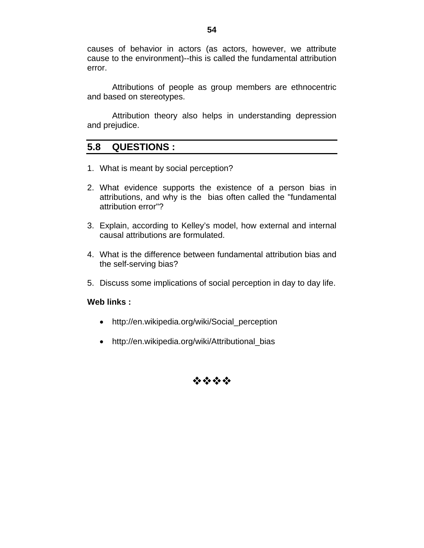causes of behavior in actors (as actors, however, we attribute cause to the environment)--this is called the fundamental attribution error.

Attributions of people as group members are ethnocentric and based on stereotypes.

Attribution theory also helps in understanding depression and prejudice.

# **5.8 QUESTIONS :**

- 1. What is meant by social perception?
- 2. What evidence supports the existence of a person bias in attributions, and why is the bias often called the "fundamental attribution error"?
- 3. Explain, according to Kelley's model, how external and internal causal attributions are formulated.
- 4. What is the difference between fundamental attribution bias and the self-serving bias?
- 5. Discuss some implications of social perception in day to day life.

## **Web links :**

- http://en.wikipedia.org/wiki/Social\_perception
- http://en.wikipedia.org/wiki/Attributional\_bias

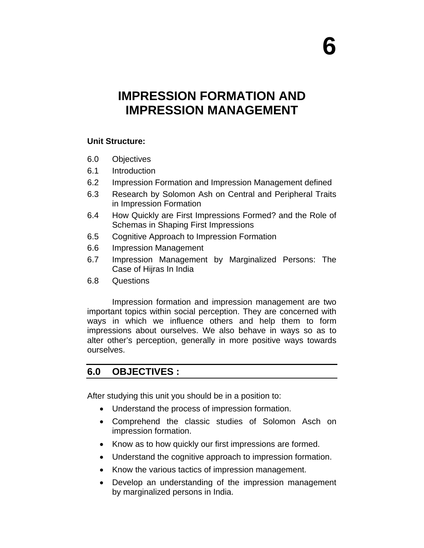# **IMPRESSION FORMATION AND IMPRESSION MANAGEMENT**

## **Unit Structure:**

- 6.0 Objectives
- 6.1 Introduction
- 6.2 Impression Formation and Impression Management defined
- 6.3 Research by Solomon Ash on Central and Peripheral Traits in Impression Formation
- 6.4 How Quickly are First Impressions Formed? and the Role of Schemas in Shaping First Impressions
- 6.5 Cognitive Approach to Impression Formation
- 6.6 Impression Management
- 6.7 Impression Management by Marginalized Persons: The Case of Hijras In India
- 6.8 Questions

Impression formation and impression management are two important topics within social perception. They are concerned with ways in which we influence others and help them to form impressions about ourselves. We also behave in ways so as to alter other's perception, generally in more positive ways towards ourselves.

## **6.0 OBJECTIVES :**

After studying this unit you should be in a position to:

- Understand the process of impression formation.
- Comprehend the classic studies of Solomon Asch on impression formation.
- Know as to how quickly our first impressions are formed.
- Understand the cognitive approach to impression formation.
- Know the various tactics of impression management.
- Develop an understanding of the impression management by marginalized persons in India.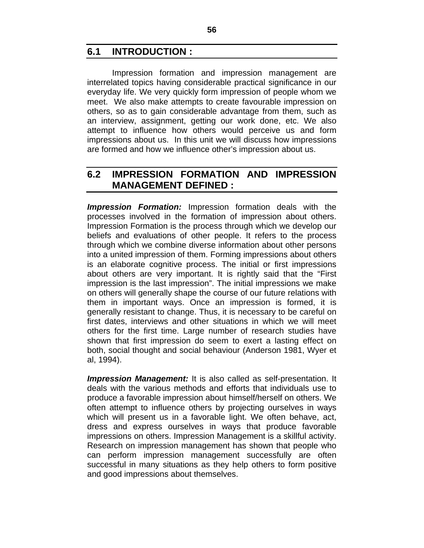## **6.1 INTRODUCTION :**

 Impression formation and impression management are interrelated topics having considerable practical significance in our everyday life. We very quickly form impression of people whom we meet. We also make attempts to create favourable impression on others, so as to gain considerable advantage from them, such as an interview, assignment, getting our work done, etc. We also attempt to influence how others would perceive us and form impressions about us. In this unit we will discuss how impressions are formed and how we influence other's impression about us.

## **6.2 IMPRESSION FORMATION AND IMPRESSION MANAGEMENT DEFINED :**

*Impression Formation:* Impression formation deals with the processes involved in the formation of impression about others. Impression Formation is the process through which we develop our beliefs and evaluations of other people. It refers to the process through which we combine diverse information about other persons into a united impression of them. Forming impressions about others is an elaborate cognitive process. The initial or first impressions about others are very important. It is rightly said that the "First impression is the last impression". The initial impressions we make on others will generally shape the course of our future relations with them in important ways. Once an impression is formed, it is generally resistant to change. Thus, it is necessary to be careful on first dates, interviews and other situations in which we will meet others for the first time. Large number of research studies have shown that first impression do seem to exert a lasting effect on both, social thought and social behaviour (Anderson 1981, Wyer et al, 1994).

**Impression Management:** It is also called as self-presentation. It deals with the various methods and efforts that individuals use to produce a favorable impression about himself/herself on others. We often attempt to influence others by projecting ourselves in ways which will present us in a favorable light. We often behave, act, dress and express ourselves in ways that produce favorable impressions on others. Impression Management is a skillful activity. Research on impression management has shown that people who can perform impression management successfully are often successful in many situations as they help others to form positive and good impressions about themselves.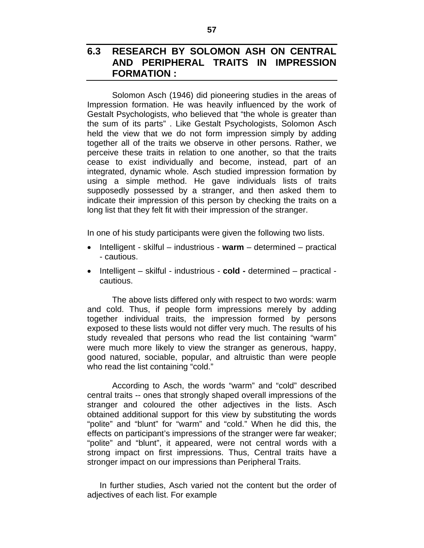## **6.3 RESEARCH BY SOLOMON ASH ON CENTRAL AND PERIPHERAL TRAITS IN IMPRESSION FORMATION :**

Solomon Asch (1946) did pioneering studies in the areas of Impression formation. He was heavily influenced by the work of Gestalt Psychologists, who believed that "the whole is greater than the sum of its parts" . Like Gestalt Psychologists, Solomon Asch held the view that we do not form impression simply by adding together all of the traits we observe in other persons. Rather, we perceive these traits in relation to one another, so that the traits cease to exist individually and become, instead, part of an integrated, dynamic whole. Asch studied impression formation by using a simple method. He gave individuals lists of traits supposedly possessed by a stranger, and then asked them to indicate their impression of this person by checking the traits on a long list that they felt fit with their impression of the stranger.

In one of his study participants were given the following two lists.

- Intelligent skilful industrious **warm**  determined practical - cautious.
- Intelligent skilful industrious **cold -** determined practical cautious.

The above lists differed only with respect to two words: warm and cold. Thus, if people form impressions merely by adding together individual traits, the impression formed by persons exposed to these lists would not differ very much. The results of his study revealed that persons who read the list containing "warm" were much more likely to view the stranger as generous, happy, good natured, sociable, popular, and altruistic than were people who read the list containing "cold."

According to Asch, the words "warm" and "cold" described central traits -- ones that strongly shaped overall impressions of the stranger and coloured the other adjectives in the lists. Asch obtained additional support for this view by substituting the words "polite" and "blunt" for "warm" and "cold." When he did this, the effects on participant's impressions of the stranger were far weaker; "polite" and "blunt", it appeared, were not central words with a strong impact on first impressions. Thus, Central traits have a stronger impact on our impressions than Peripheral Traits.

In further studies, Asch varied not the content but the order of adjectives of each list. For example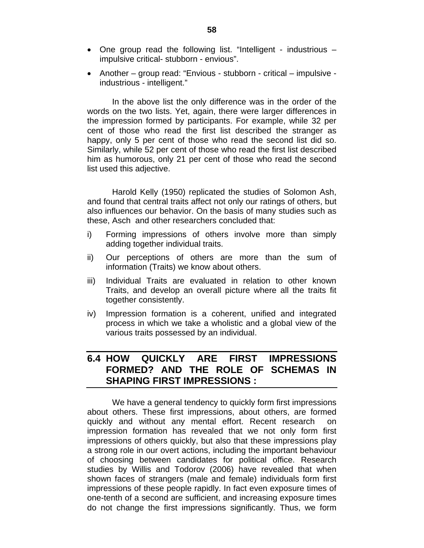- One group read the following list. "Intelligent industrious impulsive critical- stubborn - envious".
- Another group read: "Envious stubborn critical impulsive industrious - intelligent."

In the above list the only difference was in the order of the words on the two lists. Yet, again, there were larger differences in the impression formed by participants. For example, while 32 per cent of those who read the first list described the stranger as happy, only 5 per cent of those who read the second list did so. Similarly, while 52 per cent of those who read the first list described him as humorous, only 21 per cent of those who read the second list used this adjective.

Harold Kelly (1950) replicated the studies of Solomon Ash, and found that central traits affect not only our ratings of others, but also influences our behavior. On the basis of many studies such as these, Asch and other researchers concluded that:

- i) Forming impressions of others involve more than simply adding together individual traits.
- ii) Our perceptions of others are more than the sum of information (Traits) we know about others.
- iii) Individual Traits are evaluated in relation to other known Traits, and develop an overall picture where all the traits fit together consistently.
- iv) Impression formation is a coherent, unified and integrated process in which we take a wholistic and a global view of the various traits possessed by an individual.

## **6.4 HOW QUICKLY ARE FIRST IMPRESSIONS FORMED? AND THE ROLE OF SCHEMAS IN SHAPING FIRST IMPRESSIONS :**

We have a general tendency to quickly form first impressions about others. These first impressions, about others, are formed quickly and without any mental effort. Recent research on impression formation has revealed that we not only form first impressions of others quickly, but also that these impressions play a strong role in our overt actions, including the important behaviour of choosing between candidates for political office. Research studies by Willis and Todorov (2006) have revealed that when shown faces of strangers (male and female) individuals form first impressions of these people rapidly. In fact even exposure times of one-tenth of a second are sufficient, and increasing exposure times do not change the first impressions significantly. Thus, we form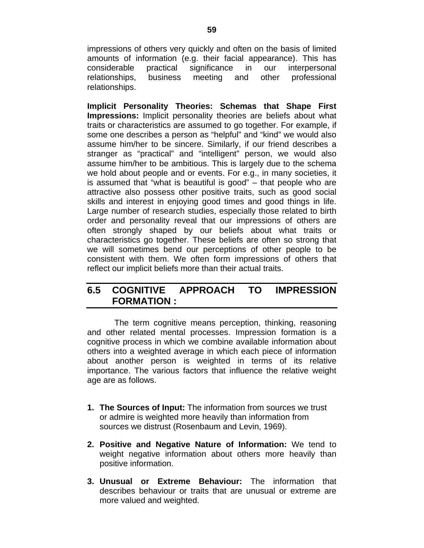impressions of others very quickly and often on the basis of limited amounts of information (e.g. their facial appearance). This has considerable practical significance in our interpersonal relationships, business meeting and other professional relationships.

**Implicit Personality Theories: Schemas that Shape First Impressions:** Implicit personality theories are beliefs about what traits or characteristics are assumed to go together. For example, if some one describes a person as "helpful" and "kind" we would also assume him/her to be sincere. Similarly, if our friend describes a stranger as "practical" and "intelligent" person, we would also assume him/her to be ambitious. This is largely due to the schema we hold about people and or events. For e.g., in many societies, it is assumed that "what is beautiful is good" – that people who are attractive also possess other positive traits, such as good social skills and interest in enjoying good times and good things in life. Large number of research studies, especially those related to birth order and personality reveal that our impressions of others are often strongly shaped by our beliefs about what traits or characteristics go together. These beliefs are often so strong that we will sometimes bend our perceptions of other people to be consistent with them. We often form impressions of others that reflect our implicit beliefs more than their actual traits.

## **6.5 COGNITIVE APPROACH TO IMPRESSION FORMATION :**

The term cognitive means perception, thinking, reasoning and other related mental processes. Impression formation is a cognitive process in which we combine available information about others into a weighted average in which each piece of information about another person is weighted in terms of its relative importance. The various factors that influence the relative weight age are as follows.

- **1. The Sources of Input:** The information from sources we trust or admire is weighted more heavily than information from sources we distrust (Rosenbaum and Levin, 1969).
- **2. Positive and Negative Nature of Information:** We tend to weight negative information about others more heavily than positive information.
- **3. Unusual or Extreme Behaviour:** The information that describes behaviour or traits that are unusual or extreme are more valued and weighted.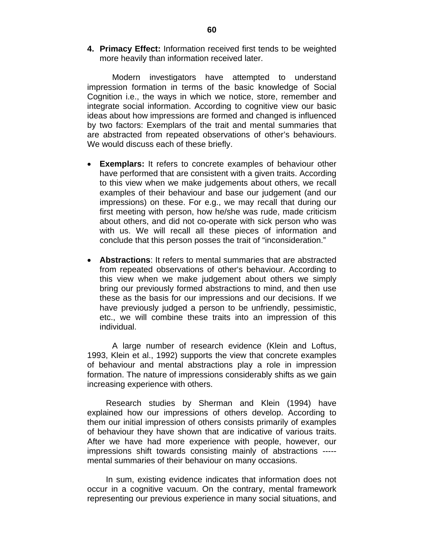**4. Primacy Effect:** Information received first tends to be weighted more heavily than information received later.

Modern investigators have attempted to understand impression formation in terms of the basic knowledge of Social Cognition i.e., the ways in which we notice, store, remember and integrate social information. According to cognitive view our basic ideas about how impressions are formed and changed is influenced by two factors: Exemplars of the trait and mental summaries that are abstracted from repeated observations of other's behaviours. We would discuss each of these briefly.

- **Exemplars:** It refers to concrete examples of behaviour other have performed that are consistent with a given traits. According to this view when we make judgements about others, we recall examples of their behaviour and base our judgement (and our impressions) on these. For e.g., we may recall that during our first meeting with person, how he/she was rude, made criticism about others, and did not co-operate with sick person who was with us. We will recall all these pieces of information and conclude that this person posses the trait of "inconsideration."
- **Abstractions**: It refers to mental summaries that are abstracted from repeated observations of other's behaviour. According to this view when we make judgement about others we simply bring our previously formed abstractions to mind, and then use these as the basis for our impressions and our decisions. If we have previously judged a person to be unfriendly, pessimistic, etc., we will combine these traits into an impression of this individual.

 A large number of research evidence (Klein and Loftus, 1993, Klein et al., 1992) supports the view that concrete examples of behaviour and mental abstractions play a role in impression formation. The nature of impressions considerably shifts as we gain increasing experience with others.

Research studies by Sherman and Klein (1994) have explained how our impressions of others develop. According to them our initial impression of others consists primarily of examples of behaviour they have shown that are indicative of various traits. After we have had more experience with people, however, our impressions shift towards consisting mainly of abstractions ---- mental summaries of their behaviour on many occasions.

In sum, existing evidence indicates that information does not occur in a cognitive vacuum. On the contrary, mental framework representing our previous experience in many social situations, and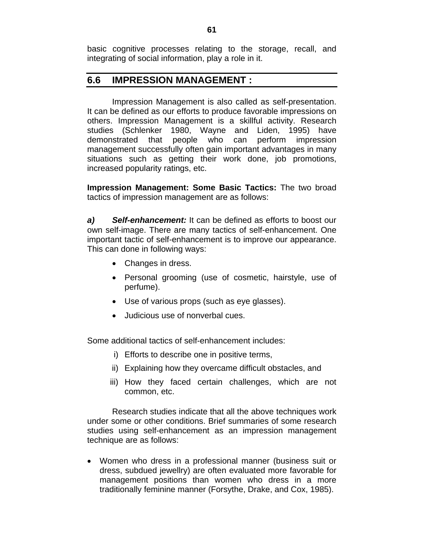basic cognitive processes relating to the storage, recall, and integrating of social information, play a role in it.

## **6.6 IMPRESSION MANAGEMENT :**

Impression Management is also called as self-presentation. It can be defined as our efforts to produce favorable impressions on others. Impression Management is a skillful activity. Research studies (Schlenker 1980, Wayne and Liden, 1995) have demonstrated that people who can perform impression management successfully often gain important advantages in many situations such as getting their work done, job promotions, increased popularity ratings, etc.

**Impression Management: Some Basic Tactics:** The two broad tactics of impression management are as follows:

*a) Self-enhancement:* It can be defined as efforts to boost our own self-image. There are many tactics of self-enhancement. One important tactic of self-enhancement is to improve our appearance. This can done in following ways:

- Changes in dress.
- Personal grooming (use of cosmetic, hairstyle, use of perfume).
- Use of various props (such as eye glasses).
- Judicious use of nonverbal cues.

Some additional tactics of self-enhancement includes:

- i) Efforts to describe one in positive terms,
- ii) Explaining how they overcame difficult obstacles, and
- iii) How they faced certain challenges, which are not common, etc.

Research studies indicate that all the above techniques work under some or other conditions. Brief summaries of some research studies using self-enhancement as an impression management technique are as follows:

• Women who dress in a professional manner (business suit or dress, subdued jewellry) are often evaluated more favorable for management positions than women who dress in a more traditionally feminine manner (Forsythe, Drake, and Cox, 1985).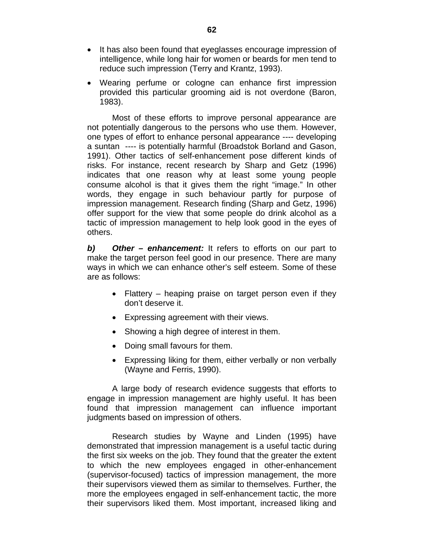- It has also been found that eyeglasses encourage impression of intelligence, while long hair for women or beards for men tend to reduce such impression (Terry and Krantz, 1993).
- Wearing perfume or cologne can enhance first impression provided this particular grooming aid is not overdone (Baron, 1983).

 Most of these efforts to improve personal appearance are not potentially dangerous to the persons who use them. However, one types of effort to enhance personal appearance ---- developing a suntan ---- is potentially harmful (Broadstok Borland and Gason, 1991). Other tactics of self-enhancement pose different kinds of risks. For instance, recent research by Sharp and Getz (1996) indicates that one reason why at least some young people consume alcohol is that it gives them the right "image." In other words, they engage in such behaviour partly for purpose of impression management. Research finding (Sharp and Getz, 1996) offer support for the view that some people do drink alcohol as a tactic of impression management to help look good in the eyes of others.

*b) Other – enhancement:* It refers to efforts on our part to make the target person feel good in our presence. There are many ways in which we can enhance other's self esteem. Some of these are as follows:

- Flattery heaping praise on target person even if they don't deserve it.
- Expressing agreement with their views.
- Showing a high degree of interest in them.
- Doing small favours for them.
- Expressing liking for them, either verbally or non verbally (Wayne and Ferris, 1990).

A large body of research evidence suggests that efforts to engage in impression management are highly useful. It has been found that impression management can influence important judgments based on impression of others.

Research studies by Wayne and Linden (1995) have demonstrated that impression management is a useful tactic during the first six weeks on the job. They found that the greater the extent to which the new employees engaged in other-enhancement (supervisor-focused) tactics of impression management, the more their supervisors viewed them as similar to themselves. Further, the more the employees engaged in self-enhancement tactic, the more their supervisors liked them. Most important, increased liking and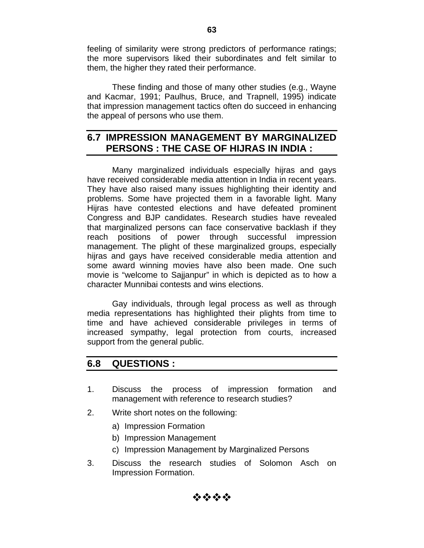feeling of similarity were strong predictors of performance ratings; the more supervisors liked their subordinates and felt similar to them, the higher they rated their performance.

These finding and those of many other studies (e.g., Wayne and Kacmar, 1991; Paulhus, Bruce, and Trapnell, 1995) indicate that impression management tactics often do succeed in enhancing the appeal of persons who use them.

# **6.7 IMPRESSION MANAGEMENT BY MARGINALIZED PERSONS : THE CASE OF HIJRAS IN INDIA :**

Many marginalized individuals especially hijras and gays have received considerable media attention in India in recent years. They have also raised many issues highlighting their identity and problems. Some have projected them in a favorable light. Many Hijras have contested elections and have defeated prominent Congress and BJP candidates. Research studies have revealed that marginalized persons can face conservative backlash if they reach positions of power through successful impression management. The plight of these marginalized groups, especially hijras and gays have received considerable media attention and some award winning movies have also been made. One such movie is "welcome to Sajjanpur" in which is depicted as to how a character Munnibai contests and wins elections.

 Gay individuals, through legal process as well as through media representations has highlighted their plights from time to time and have achieved considerable privileges in terms of increased sympathy, legal protection from courts, increased support from the general public.

## **6.8 QUESTIONS :**

- 1. Discuss the process of impression formation and management with reference to research studies?
- 2. Write short notes on the following:
	- a) Impression Formation
	- b) Impression Management
	- c) Impression Management by Marginalized Persons
- 3. Discuss the research studies of Solomon Asch on Impression Formation.

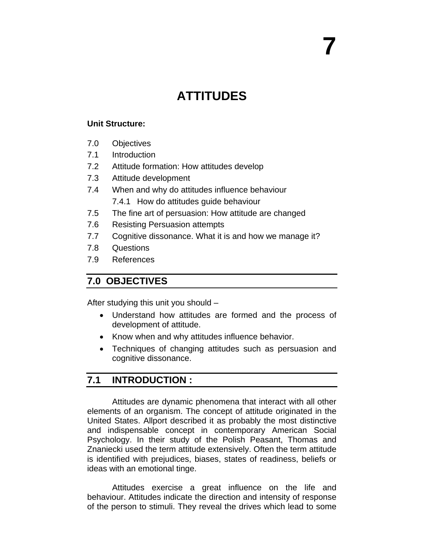# **ATTITUDES**

**7** 

## **Unit Structure:**

- 7.0 Objectives
- 7.1 Introduction
- 7.2 Attitude formation: How attitudes develop
- 7.3 Attitude development
- 7.4 When and why do attitudes influence behaviour 7.4.1 How do attitudes guide behaviour
- 7.5 The fine art of persuasion: How attitude are changed
- 7.6 Resisting Persuasion attempts
- 7.7 Cognitive dissonance. What it is and how we manage it?
- 7.8 Questions
- 7.9 References

## **7.0 OBJECTIVES**

After studying this unit you should –

- Understand how attitudes are formed and the process of development of attitude.
- Know when and why attitudes influence behavior.
- Techniques of changing attitudes such as persuasion and cognitive dissonance.

# **7.1 INTRODUCTION :**

Attitudes are dynamic phenomena that interact with all other elements of an organism. The concept of attitude originated in the United States. Allport described it as probably the most distinctive and indispensable concept in contemporary American Social Psychology. In their study of the Polish Peasant, Thomas and Znaniecki used the term attitude extensively. Often the term attitude is identified with prejudices, biases, states of readiness, beliefs or ideas with an emotional tinge.

Attitudes exercise a great influence on the life and behaviour. Attitudes indicate the direction and intensity of response of the person to stimuli. They reveal the drives which lead to some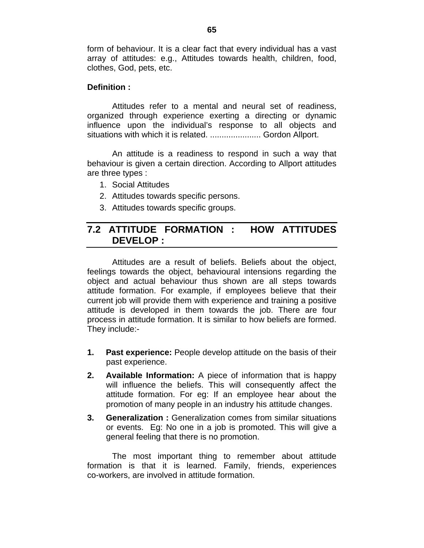form of behaviour. It is a clear fact that every individual has a vast array of attitudes: e.g., Attitudes towards health, children, food, clothes, God, pets, etc.

## **Definition :**

Attitudes refer to a mental and neural set of readiness, organized through experience exerting a directing or dynamic influence upon the individual's response to all objects and situations with which it is related. ......................... Gordon Allport.

An attitude is a readiness to respond in such a way that behaviour is given a certain direction. According to Allport attitudes are three types :

- 1. Social Attitudes
- 2. Attitudes towards specific persons.
- 3. Attitudes towards specific groups.

## **7.2 ATTITUDE FORMATION : HOW ATTITUDES DEVELOP :**

Attitudes are a result of beliefs. Beliefs about the object, feelings towards the object, behavioural intensions regarding the object and actual behaviour thus shown are all steps towards attitude formation. For example, if employees believe that their current job will provide them with experience and training a positive attitude is developed in them towards the job. There are four process in attitude formation. It is similar to how beliefs are formed. They include:-

- **1. Past experience:** People develop attitude on the basis of their past experience.
- **2. Available Information:** A piece of information that is happy will influence the beliefs. This will consequently affect the attitude formation. For eg: If an employee hear about the promotion of many people in an industry his attitude changes.
- **3. Generalization :** Generalization comes from similar situations or events. Eg: No one in a job is promoted. This will give a general feeling that there is no promotion.

 The most important thing to remember about attitude formation is that it is learned. Family, friends, experiences co-workers, are involved in attitude formation.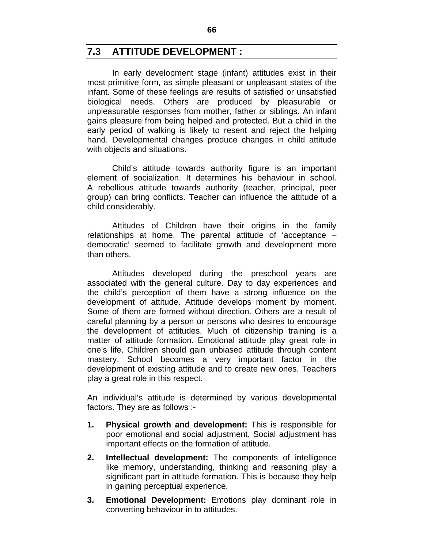## **7.3 ATTITUDE DEVELOPMENT :**

In early development stage (infant) attitudes exist in their most primitive form, as simple pleasant or unpleasant states of the infant. Some of these feelings are results of satisfied or unsatisfied biological needs. Others are produced by pleasurable or unpleasurable responses from mother, father or siblings. An infant gains pleasure from being helped and protected. But a child in the early period of walking is likely to resent and reject the helping hand. Developmental changes produce changes in child attitude with objects and situations.

Child's attitude towards authority figure is an important element of socialization. It determines his behaviour in school. A rebellious attitude towards authority (teacher, principal, peer group) can bring conflicts. Teacher can influence the attitude of a child considerably.

Attitudes of Children have their origins in the family relationships at home. The parental attitude of 'acceptance – democratic' seemed to facilitate growth and development more than others.

Attitudes developed during the preschool years are associated with the general culture. Day to day experiences and the child's perception of them have a strong influence on the development of attitude. Attitude develops moment by moment. Some of them are formed without direction. Others are a result of careful planning by a person or persons who desires to encourage the development of attitudes. Much of citizenship training is a matter of attitude formation. Emotional attitude play great role in one's life. Children should gain unbiased attitude through content mastery. School becomes a very important factor in the development of existing attitude and to create new ones. Teachers play a great role in this respect.

An individual's attitude is determined by various developmental factors. They are as follows :-

- **1. Physical growth and development:** This is responsible for poor emotional and social adjustment. Social adjustment has important effects on the formation of attitude.
- **2. Intellectual development:** The components of intelligence like memory, understanding, thinking and reasoning play a significant part in attitude formation. This is because they help in gaining perceptual experience.
- **3. Emotional Development:** Emotions play dominant role in converting behaviour in to attitudes.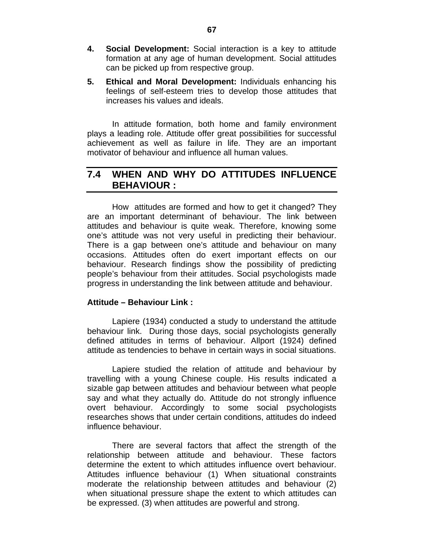- **4. Social Development:** Social interaction is a key to attitude formation at any age of human development. Social attitudes can be picked up from respective group.
- **5. Ethical and Moral Development:** Individuals enhancing his feelings of self-esteem tries to develop those attitudes that increases his values and ideals.

 In attitude formation, both home and family environment plays a leading role. Attitude offer great possibilities for successful achievement as well as failure in life. They are an important motivator of behaviour and influence all human values.

# **7.4 WHEN AND WHY DO ATTITUDES INFLUENCE BEHAVIOUR :**

How attitudes are formed and how to get it changed? They are an important determinant of behaviour. The link between attitudes and behaviour is quite weak. Therefore, knowing some one's attitude was not very useful in predicting their behaviour. There is a gap between one's attitude and behaviour on many occasions. Attitudes often do exert important effects on our behaviour. Research findings show the possibility of predicting people's behaviour from their attitudes. Social psychologists made progress in understanding the link between attitude and behaviour.

### **Attitude – Behaviour Link :**

Lapiere (1934) conducted a study to understand the attitude behaviour link. During those days, social psychologists generally defined attitudes in terms of behaviour. Allport (1924) defined attitude as tendencies to behave in certain ways in social situations.

Lapiere studied the relation of attitude and behaviour by travelling with a young Chinese couple. His results indicated a sizable gap between attitudes and behaviour between what people say and what they actually do. Attitude do not strongly influence overt behaviour. Accordingly to some social psychologists researches shows that under certain conditions, attitudes do indeed influence behaviour.

There are several factors that affect the strength of the relationship between attitude and behaviour. These factors determine the extent to which attitudes influence overt behaviour. Attitudes influence behaviour (1) When situational constraints moderate the relationship between attitudes and behaviour (2) when situational pressure shape the extent to which attitudes can be expressed. (3) when attitudes are powerful and strong.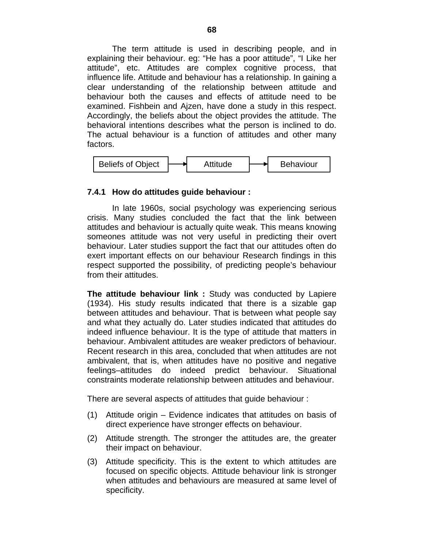The term attitude is used in describing people, and in explaining their behaviour. eg: "He has a poor attitude", "I Like her attitude", etc. Attitudes are complex cognitive process, that influence life. Attitude and behaviour has a relationship. In gaining a clear understanding of the relationship between attitude and behaviour both the causes and effects of attitude need to be examined. Fishbein and Ajzen, have done a study in this respect. Accordingly, the beliefs about the object provides the attitude. The behavioral intentions describes what the person is inclined to do. The actual behaviour is a function of attitudes and other many factors.



### **7.4.1 How do attitudes guide behaviour :**

 In late 1960s, social psychology was experiencing serious crisis. Many studies concluded the fact that the link between attitudes and behaviour is actually quite weak. This means knowing someones attitude was not very useful in predicting their overt behaviour. Later studies support the fact that our attitudes often do exert important effects on our behaviour Research findings in this respect supported the possibility, of predicting people's behaviour from their attitudes.

**The attitude behaviour link :** Study was conducted by Lapiere (1934). His study results indicated that there is a sizable gap between attitudes and behaviour. That is between what people say and what they actually do. Later studies indicated that attitudes do indeed influence behaviour. It is the type of attitude that matters in behaviour. Ambivalent attitudes are weaker predictors of behaviour. Recent research in this area, concluded that when attitudes are not ambivalent, that is, when attitudes have no positive and negative feelings–attitudes do indeed predict behaviour. Situational constraints moderate relationship between attitudes and behaviour.

There are several aspects of attitudes that guide behaviour :

- (1) Attitude origin Evidence indicates that attitudes on basis of direct experience have stronger effects on behaviour.
- (2) Attitude strength. The stronger the attitudes are, the greater their impact on behaviour.
- (3) Attitude specificity. This is the extent to which attitudes are focused on specific objects. Attitude behaviour link is stronger when attitudes and behaviours are measured at same level of specificity.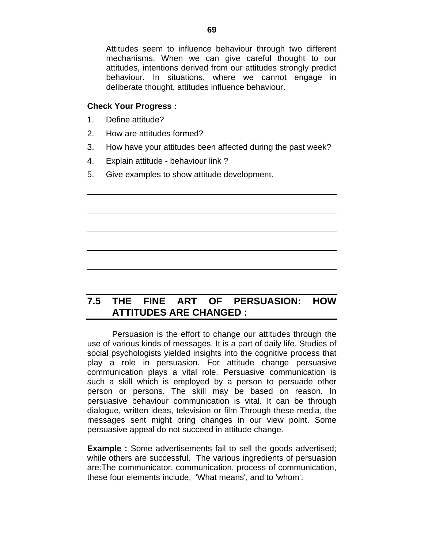Attitudes seem to influence behaviour through two different mechanisms. When we can give careful thought to our attitudes, intentions derived from our attitudes strongly predict behaviour. In situations, where we cannot engage in deliberate thought, attitudes influence behaviour.

### **Check Your Progress :**

- 1. Define attitude?
- 2. How are attitudes formed?
- 3. How have your attitudes been affected during the past week?
- 4. Explain attitude behaviour link ?
- 5. Give examples to show attitude development.

# **7.5 THE FINE ART OF PERSUASION: HOW ATTITUDES ARE CHANGED :**

 Persuasion is the effort to change our attitudes through the use of various kinds of messages. It is a part of daily life. Studies of social psychologists yielded insights into the cognitive process that play a role in persuasion. For attitude change persuasive communication plays a vital role. Persuasive communication is such a skill which is employed by a person to persuade other person or persons. The skill may be based on reason. In persuasive behaviour communication is vital. It can be through dialogue, written ideas, television or film Through these media, the messages sent might bring changes in our view point. Some persuasive appeal do not succeed in attitude change.

**Example :** Some advertisements fail to sell the goods advertised; while others are successful. The various ingredients of persuasion are:The communicator, communication, process of communication, these four elements include, 'What means', and to 'whom'.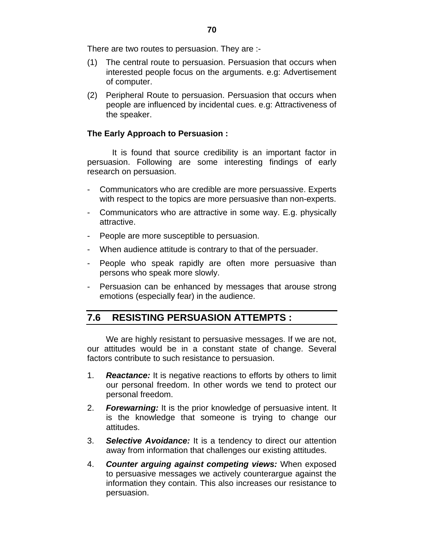There are two routes to persuasion. They are :-

- (1) The central route to persuasion. Persuasion that occurs when interested people focus on the arguments. e.g: Advertisement of computer.
- (2) Peripheral Route to persuasion. Persuasion that occurs when people are influenced by incidental cues. e.g: Attractiveness of the speaker.

## **The Early Approach to Persuasion :**

 It is found that source credibility is an important factor in persuasion. Following are some interesting findings of early research on persuasion.

- Communicators who are credible are more persuassive. Experts with respect to the topics are more persuasive than non-experts.
- Communicators who are attractive in some way. E.g. physically attractive.
- People are more susceptible to persuasion.
- When audience attitude is contrary to that of the persuader.
- People who speak rapidly are often more persuasive than persons who speak more slowly.
- Persuasion can be enhanced by messages that arouse strong emotions (especially fear) in the audience.

## **7.6 RESISTING PERSUASION ATTEMPTS :**

We are highly resistant to persuasive messages. If we are not, our attitudes would be in a constant state of change. Several factors contribute to such resistance to persuasion.

- 1. *Reactance:* It is negative reactions to efforts by others to limit our personal freedom. In other words we tend to protect our personal freedom.
- 2. *Forewarning:* It is the prior knowledge of persuasive intent. It is the knowledge that someone is trying to change our attitudes.
- 3. *Selective Avoidance:* It is a tendency to direct our attention away from information that challenges our existing attitudes.
- 4. *Counter arguing against competing views:* When exposed to persuasive messages we actively counterargue against the information they contain. This also increases our resistance to persuasion.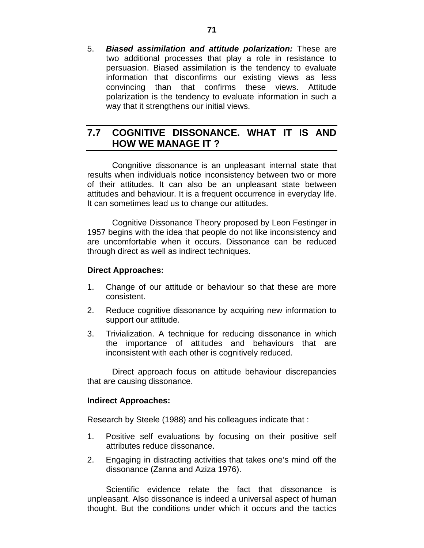5. *Biased assimilation and attitude polarization:* These are two additional processes that play a role in resistance to persuasion. Biased assimilation is the tendency to evaluate information that disconfirms our existing views as less convincing than that confirms these views. Attitude polarization is the tendency to evaluate information in such a way that it strengthens our initial views.

## **7.7 COGNITIVE DISSONANCE. WHAT IT IS AND HOW WE MANAGE IT ?**

 Congnitive dissonance is an unpleasant internal state that results when individuals notice inconsistency between two or more of their attitudes. It can also be an unpleasant state between attitudes and behaviour. It is a frequent occurrence in everyday life. It can sometimes lead us to change our attitudes.

 Cognitive Dissonance Theory proposed by Leon Festinger in 1957 begins with the idea that people do not like inconsistency and are uncomfortable when it occurs. Dissonance can be reduced through direct as well as indirect techniques.

## **Direct Approaches:**

- 1. Change of our attitude or behaviour so that these are more consistent.
- 2. Reduce cognitive dissonance by acquiring new information to support our attitude.
- 3. Trivialization. A technique for reducing dissonance in which the importance of attitudes and behaviours that are inconsistent with each other is cognitively reduced.

Direct approach focus on attitude behaviour discrepancies that are causing dissonance.

### **Indirect Approaches:**

Research by Steele (1988) and his colleagues indicate that :

- 1. Positive self evaluations by focusing on their positive self attributes reduce dissonance.
- 2. Engaging in distracting activities that takes one's mind off the dissonance (Zanna and Aziza 1976).

Scientific evidence relate the fact that dissonance is unpleasant. Also dissonance is indeed a universal aspect of human thought. But the conditions under which it occurs and the tactics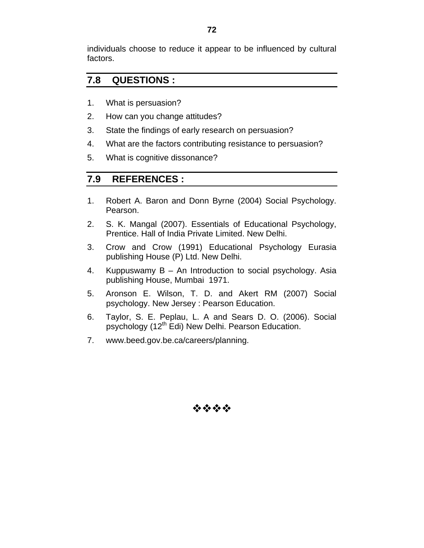individuals choose to reduce it appear to be influenced by cultural factors.

# **7.8 QUESTIONS :**

- 1. What is persuasion?
- 2. How can you change attitudes?
- 3. State the findings of early research on persuasion?
- 4. What are the factors contributing resistance to persuasion?
- 5. What is cognitive dissonance?

# **7.9 REFERENCES :**

- 1. Robert A. Baron and Donn Byrne (2004) Social Psychology. Pearson.
- 2. S. K. Mangal (2007). Essentials of Educational Psychology, Prentice. Hall of India Private Limited. New Delhi.
- 3. Crow and Crow (1991) Educational Psychology Eurasia publishing House (P) Ltd. New Delhi.
- 4. Kuppuswamy B An Introduction to social psychology. Asia publishing House, Mumbai 1971.
- 5. Aronson E. Wilson, T. D. and Akert RM (2007) Social psychology. New Jersey : Pearson Education.
- 6. Taylor, S. E. Peplau, L. A and Sears D. O. (2006). Social psychology (12<sup>th</sup> Edi) New Delhi. Pearson Education.

\*\*\*\*

7. www.beed.gov.be.ca/careers/planning.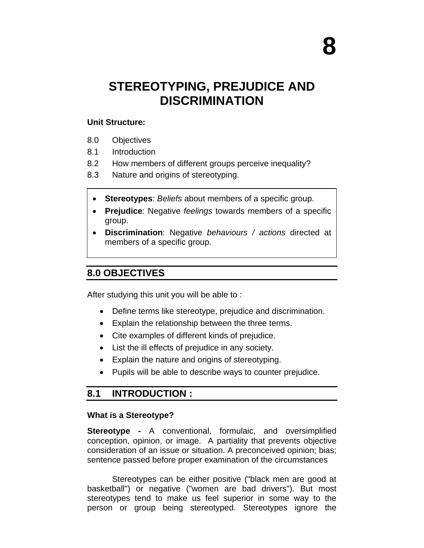## **STEREOTYPING, PREJUDICE AND DISCRIMINATION**

## **Unit Structure:**

- 8.0 Objectives
- 8.1 Introduction
- 8.2 How members of different groups perceive inequality?
- 8.3 Nature and origins of stereotyping.
- **Stereotypes**: *Beliefs* about members of a specific group.
- **Prejudice**: Negative *feelings* towards members of a specific group.
- **Discrimination**: Negative *behaviours / actions* directed at members of a specific group.

## **8.0 OBJECTIVES**

After studying this unit you will be able to :

- Define terms like stereotype, prejudice and discrimination.
- Explain the relationship between the three terms.
- Cite examples of different kinds of prejudice.
- List the ill effects of prejudice in any society.
- Explain the nature and origins of stereotyping.
- Pupils will be able to describe ways to counter prejudice.

## **8.1 INTRODUCTION :**

## **What is a Stereotype?**

**Stereotype -** A conventional, formulaic, and oversimplified conception, opinion, or image. A partiality that prevents objective consideration of an issue or situation. A preconceived opinion; bias; sentence passed before proper examination of the circumstances

Stereotypes can be either positive ("black men are good at basketball") or negative ("women are bad drivers"). But most stereotypes tend to make us feel superior in some way to the person or group being stereotyped. Stereotypes ignore the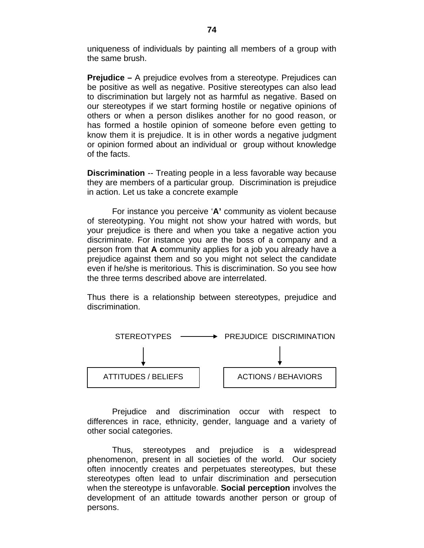uniqueness of individuals by painting all members of a group with the same brush.

**Prejudice** *–* A prejudice evolves from a stereotype. Prejudices can be positive as well as negative. Positive stereotypes can also lead to discrimination but largely not as harmful as negative. Based on our stereotypes if we start forming hostile or negative opinions of others or when a person dislikes another for no good reason, or has formed a hostile opinion of someone before even getting to know them it is prejudice. It is in other words a negative judgment or opinion formed about an individual or group without knowledge of the facts.

**Discrimination** *--* Treating people in a less favorable way because they are members of a particular group. Discrimination is prejudice in action. Let us take a concrete example

For instance you perceive '**A'** community as violent because of stereotyping. You might not show your hatred with words, but your prejudice is there and when you take a negative action you discriminate. For instance you are the boss of a company and a person from that **A c**ommunity applies for a job you already have a prejudice against them and so you might not select the candidate even if he/she is meritorious. This is discrimination. So you see how the three terms described above are interrelated.

Thus there is a relationship between stereotypes, prejudice and discrimination.



Prejudice and discrimination occur with respect to differences in race, ethnicity, gender, language and a variety of other social categories.

Thus, stereotypes and prejudice is a widespread phenomenon, present in all societies of the world. Our society often innocently creates and perpetuates stereotypes, but these stereotypes often lead to unfair discrimination and persecution when the stereotype is unfavorable. **Social perception** involves the development of an attitude towards another person or group of persons.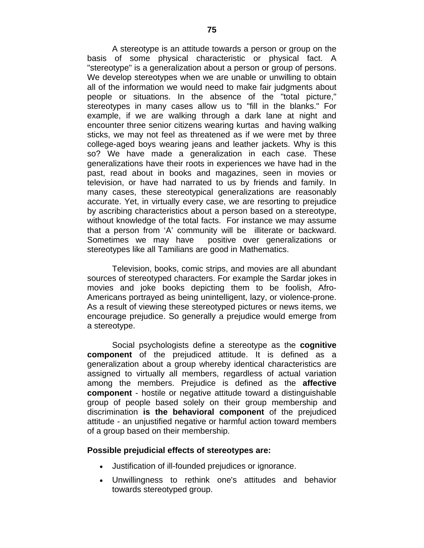A stereotype is an attitude towards a person or group on the basis of some physical characteristic or physical fact. A "stereotype" is a generalization about a person or group of persons. We develop stereotypes when we are unable or unwilling to obtain all of the information we would need to make fair judgments about people or situations. In the absence of the "total picture," stereotypes in many cases allow us to "fill in the blanks." For example, if we are walking through a dark lane at night and encounter three senior citizens wearing kurtas and having walking sticks, we may not feel as threatened as if we were met by three college-aged boys wearing jeans and leather jackets. Why is this so? We have made a generalization in each case. These generalizations have their roots in experiences we have had in the past, read about in books and magazines, seen in movies or television, or have had narrated to us by friends and family. In many cases, these stereotypical generalizations are reasonably accurate. Yet, in virtually every case, we are resorting to prejudice by ascribing characteristics about a person based on a stereotype, without knowledge of the total facts. For instance we may assume that a person from 'A' community will be illiterate or backward. Sometimes we may have positive over generalizations or stereotypes like all Tamilians are good in Mathematics.

Television, books, comic strips, and movies are all abundant sources of stereotyped characters. For example the Sardar jokes in movies and joke books depicting them to be foolish, Afro-Americans portrayed as being unintelligent, lazy, or violence-prone. As a result of viewing these stereotyped pictures or news items, we encourage prejudice. So generally a prejudice would emerge from a stereotype.

Social psychologists define a stereotype as the **cognitive component** of the prejudiced attitude. It is defined as a generalization about a group whereby identical characteristics are assigned to virtually all members, regardless of actual variation among the members. Prejudice is defined as the **affective component** - hostile or negative attitude toward a distinguishable group of people based solely on their group membership and discrimination **is the behavioral component** of the prejudiced attitude - an unjustified negative or harmful action toward members of a group based on their membership.

#### **Possible prejudicial effects of stereotypes are:**

- Justification of ill-founded prejudices or ignorance.
- Unwillingness to rethink one's attitudes and behavior towards stereotyped group.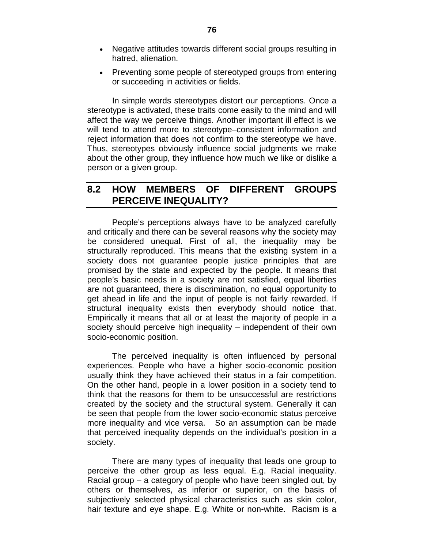- Negative attitudes towards different social groups resulting in hatred, alienation.
- Preventing some people of stereotyped groups from entering or succeeding in activities or fields.

In simple words stereotypes distort our perceptions. Once a stereotype is activated, these traits come easily to the mind and will affect the way we perceive things. Another important ill effect is we will tend to attend more to stereotype–consistent information and reject information that does not confirm to the stereotype we have. Thus, stereotypes obviously influence social judgments we make about the other group, they influence how much we like or dislike a person or a given group.

## **8.2 HOW MEMBERS OF DIFFERENT GROUPS PERCEIVE INEQUALITY?**

People's perceptions always have to be analyzed carefully and critically and there can be several reasons why the society may be considered unequal. First of all, the inequality may be structurally reproduced. This means that the existing system in a society does not guarantee people justice principles that are promised by the state and expected by the people. It means that people's basic needs in a society are not satisfied, equal liberties are not guaranteed, there is discrimination, no equal opportunity to get ahead in life and the input of people is not fairly rewarded. If structural inequality exists then everybody should notice that. Empirically it means that all or at least the majority of people in a society should perceive high inequality – independent of their own socio-economic position.

The perceived inequality is often influenced by personal experiences. People who have a higher socio-economic position usually think they have achieved their status in a fair competition. On the other hand, people in a lower position in a society tend to think that the reasons for them to be unsuccessful are restrictions created by the society and the structural system. Generally it can be seen that people from the lower socio-economic status perceive more inequality and vice versa. So an assumption can be made that perceived inequality depends on the individual's position in a society.

There are many types of inequality that leads one group to perceive the other group as less equal. E.g. Racial inequality. Racial group – a category of people who have been singled out, by others or themselves, as inferior or superior, on the basis of subjectively selected physical characteristics such as skin color, hair texture and eye shape. E.g. White or non-white. Racism is a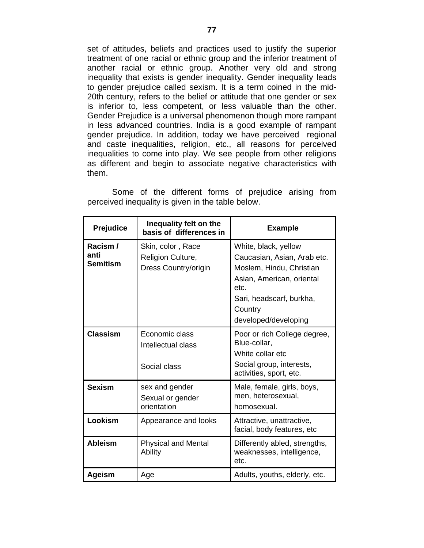set of attitudes, beliefs and practices used to justify the superior treatment of one racial or ethnic group and the inferior treatment of another racial or ethnic group. Another very old and strong inequality that exists is gender inequality. Gender inequality leads to gender prejudice called sexism. It is a term coined in the mid-20th century, refers to the belief or attitude that one gender or sex is inferior to, less competent, or less valuable than the other. Gender Prejudice is a universal phenomenon though more rampant in less advanced countries. India is a good example of rampant gender prejudice. In addition, today we have perceived regional and caste inequalities, religion, etc., all reasons for perceived inequalities to come into play. We see people from other religions as different and begin to associate negative characteristics with them.

Some of the different forms of prejudice arising from perceived inequality is given in the table below.

| <b>Prejudice</b>                    | Inequality felt on the<br>basis of differences in              | <b>Example</b>                                                                                                                                                                      |
|-------------------------------------|----------------------------------------------------------------|-------------------------------------------------------------------------------------------------------------------------------------------------------------------------------------|
| Racism /<br>anti<br><b>Semitism</b> | Skin, color, Race<br>Religion Culture,<br>Dress Country/origin | White, black, yellow<br>Caucasian, Asian, Arab etc.<br>Moslem, Hindu, Christian<br>Asian, American, oriental<br>etc.<br>Sari, headscarf, burkha,<br>Country<br>developed/developing |
| <b>Classism</b>                     | Economic class<br>Intellectual class<br>Social class           | Poor or rich College degree,<br>Blue-collar,<br>White collar etc<br>Social group, interests,<br>activities, sport, etc.                                                             |
| <b>Sexism</b>                       | sex and gender<br>Sexual or gender<br>orientation              | Male, female, girls, boys,<br>men, heterosexual,<br>homosexual.                                                                                                                     |
| Lookism                             | Appearance and looks                                           | Attractive, unattractive,<br>facial, body features, etc                                                                                                                             |
| <b>Ableism</b>                      | <b>Physical and Mental</b><br>Ability                          | Differently abled, strengths,<br>weaknesses, intelligence,<br>etc.                                                                                                                  |
| <b>Ageism</b>                       | Age                                                            | Adults, youths, elderly, etc.                                                                                                                                                       |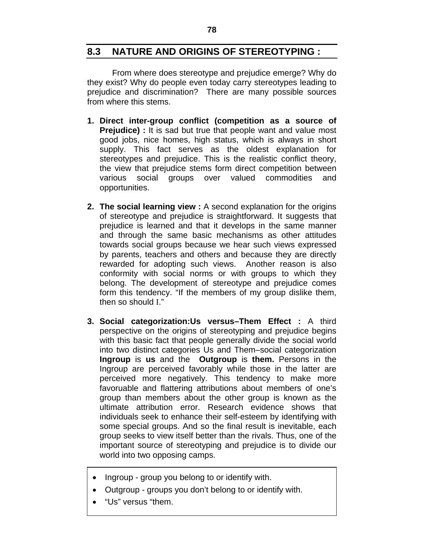## **8.3 NATURE AND ORIGINS OF STEREOTYPING :**

 From where does stereotype and prejudice emerge? Why do they exist? Why do people even today carry stereotypes leading to prejudice and discrimination? There are many possible sources from where this stems.

- **1. Direct inter-group conflict (competition as a source of Prejudice)** : It is sad but true that people want and value most good jobs, nice homes, high status, which is always in short supply. This fact serves as the oldest explanation for stereotypes and prejudice. This is the realistic conflict theory, the view that prejudice stems form direct competition between various social groups over valued commodities and opportunities.
- **2. The social learning view :** A second explanation for the origins of stereotype and prejudice is straightforward. It suggests that prejudice is learned and that it develops in the same manner and through the same basic mechanisms as other attitudes towards social groups because we hear such views expressed by parents, teachers and others and because they are directly rewarded for adopting such views. Another reason is also conformity with social norms or with groups to which they belong. The development of stereotype and prejudice comes form this tendency. "If the members of my group dislike them, then so should I."
- **3. Social categorization:Us versus–Them Effect :** A third perspective on the origins of stereotyping and prejudice begins with this basic fact that people generally divide the social world into two distinct categories Us and Them–social categorization **Ingroup** is **us** and the **Outgroup** is **them.** Persons in the Ingroup are perceived favorably while those in the latter are perceived more negatively. This tendency to make more favoruable and flattering attributions about members of one's group than members about the other group is known as the ultimate attribution error. Research evidence shows that individuals seek to enhance their self-esteem by identifying with some special groups. And so the final result is inevitable, each group seeks to view itself better than the rivals. Thus, one of the important source of stereotyping and prejudice is to divide our world into two opposing camps.
- Ingroup group you belong to or identify with.
- Outgroup groups you don't belong to or identify with.
- "Us" versus "them.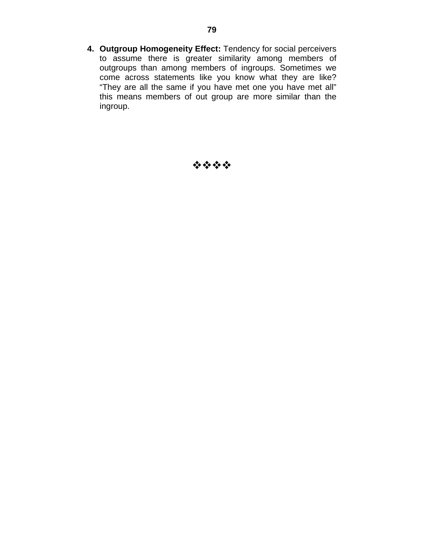**4. Outgroup Homogeneity Effect:** Tendency for social perceivers to assume there is greater similarity among members of outgroups than among members of ingroups. Sometimes we come across statements like you know what they are like? "They are all the same if you have met one you have met all" this means members of out group are more similar than the ingroup.

\*\*\*\*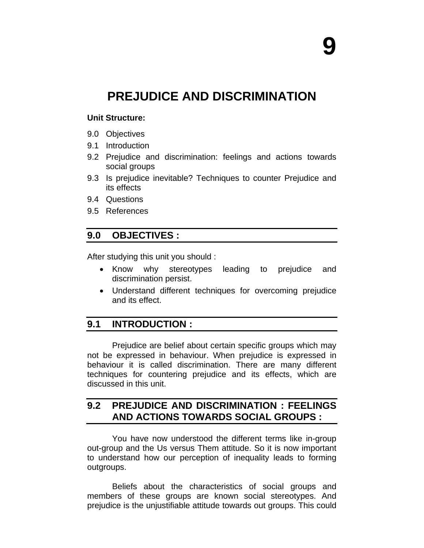## **PREJUDICE AND DISCRIMINATION**

## **Unit Structure:**

- 9.0 Objectives
- 9.1 Introduction
- 9.2 Prejudice and discrimination: feelings and actions towards social groups
- 9.3 Is prejudice inevitable? Techniques to counter Prejudice and its effects
- 9.4 Questions
- 9.5 References

## **9.0 OBJECTIVES :**

After studying this unit you should :

- Know why stereotypes leading to prejudice and discrimination persist.
- Understand different techniques for overcoming prejudice and its effect.

## **9.1 INTRODUCTION :**

 Prejudice are belief about certain specific groups which may not be expressed in behaviour. When prejudice is expressed in behaviour it is called discrimination. There are many different techniques for countering prejudice and its effects, which are discussed in this unit.

## **9.2 PREJUDICE AND DISCRIMINATION : FEELINGS AND ACTIONS TOWARDS SOCIAL GROUPS :**

You have now understood the different terms like in-group out-group and the Us versus Them attitude. So it is now important to understand how our perception of inequality leads to forming outgroups.

Beliefs about the characteristics of social groups and members of these groups are known social stereotypes. And prejudice is the unjustifiable attitude towards out groups. This could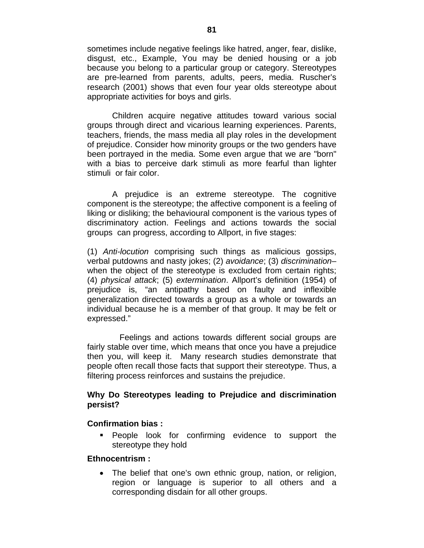sometimes include negative feelings like hatred, anger, fear, dislike, disgust, etc., Example, You may be denied housing or a job because you belong to a particular group or category. Stereotypes are pre-learned from parents, adults, peers, media. Ruscher's research (2001) shows that even four year olds stereotype about appropriate activities for boys and girls.

Children acquire negative attitudes toward various social groups through direct and vicarious learning experiences. Parents, teachers, friends, the mass media all play roles in the development of prejudice. Consider how minority groups or the two genders have been portrayed in the media. Some even argue that we are "born" with a bias to perceive dark stimuli as more fearful than lighter stimuli or fair color.

A prejudice is an extreme stereotype. The cognitive component is the stereotype; the affective component is a feeling of liking or disliking; the behavioural component is the various types of discriminatory action. Feelings and actions towards the social groups can progress, according to Allport, in five stages:

(1) *Anti-locution* comprising such things as malicious gossips, verbal putdowns and nasty jokes; (2) *avoidance*; (3) *discrimination*– when the object of the stereotype is excluded from certain rights; (4) *physical attack*; (5) *extermination*. Allport's definition (1954) of prejudice is, "an antipathy based on faulty and inflexible generalization directed towards a group as a whole or towards an individual because he is a member of that group. It may be felt or expressed."

 Feelings and actions towards different social groups are fairly stable over time, which means that once you have a prejudice then you, will keep it. Many research studies demonstrate that people often recall those facts that support their stereotype. Thus, a filtering process reinforces and sustains the prejudice.

## **Why Do Stereotypes leading to Prejudice and discrimination persist?**

#### **Confirmation bias :**

 People look for confirming evidence to support the stereotype they hold

#### **Ethnocentrism :**

The belief that one's own ethnic group, nation, or religion, region or language is superior to all others and a corresponding disdain for all other groups.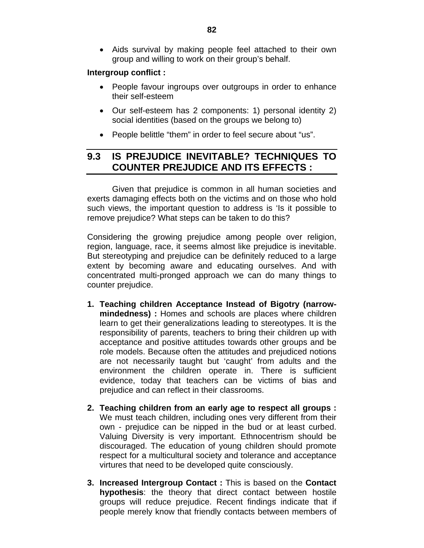• Aids survival by making people feel attached to their own group and willing to work on their group's behalf.

#### **Intergroup conflict :**

- People favour ingroups over outgroups in order to enhance their self-esteem
- Our self-esteem has 2 components: 1) personal identity 2) social identities (based on the groups we belong to)
- People belittle "them" in order to feel secure about "us".

## **9.3 IS PREJUDICE INEVITABLE? TECHNIQUES TO COUNTER PREJUDICE AND ITS EFFECTS :**

 Given that prejudice is common in all human societies and exerts damaging effects both on the victims and on those who hold such views, the important question to address is 'Is it possible to remove prejudice? What steps can be taken to do this?

Considering the growing prejudice among people over religion, region, language, race, it seems almost like prejudice is inevitable. But stereotyping and prejudice can be definitely reduced to a large extent by becoming aware and educating ourselves. And with concentrated multi-pronged approach we can do many things to counter prejudice.

- **1. Teaching children Acceptance Instead of Bigotry (narrowmindedness) :** Homes and schools are places where children learn to get their generalizations leading to stereotypes. It is the responsibility of parents, teachers to bring their children up with acceptance and positive attitudes towards other groups and be role models. Because often the attitudes and prejudiced notions are not necessarily taught but 'caught' from adults and the environment the children operate in. There is sufficient evidence, today that teachers can be victims of bias and prejudice and can reflect in their classrooms.
- **2. Teaching children from an early age to respect all groups :**  We must teach children, including ones very different from their own - prejudice can be nipped in the bud or at least curbed. Valuing Diversity is very important. Ethnocentrism should be discouraged. The education of young children should promote respect for a multicultural society and tolerance and acceptance virtures that need to be developed quite consciously.
- **3. Increased Intergroup Contact :** This is based on the **Contact hypothesis**: the theory that direct contact between hostile groups will reduce prejudice. Recent findings indicate that if people merely know that friendly contacts between members of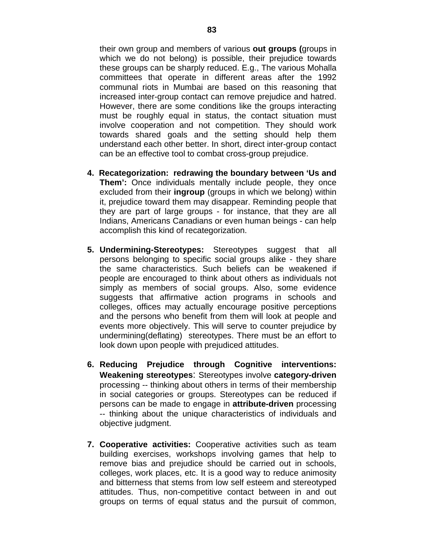their own group and members of various **out groups (**groups in which we do not belong) is possible, their prejudice towards these groups can be sharply reduced. E.g., The various Mohalla committees that operate in different areas after the 1992 communal riots in Mumbai are based on this reasoning that increased inter-group contact can remove prejudice and hatred. However, there are some conditions like the groups interacting must be roughly equal in status, the contact situation must involve cooperation and not competition. They should work towards shared goals and the setting should help them understand each other better. In short, direct inter-group contact can be an effective tool to combat cross-group prejudice.

- **4. Recategorization: redrawing the boundary between 'Us and Them':** Once individuals mentally include people, they once excluded from their **ingroup** (groups in which we belong) within it, prejudice toward them may disappear. Reminding people that they are part of large groups - for instance, that they are all Indians, Americans Canadians or even human beings - can help accomplish this kind of recategorization.
- **5. Undermining-Stereotypes:** Stereotypes suggest that all persons belonging to specific social groups alike - they share the same characteristics. Such beliefs can be weakened if people are encouraged to think about others as individuals not simply as members of social groups. Also, some evidence suggests that affirmative action programs in schools and colleges, offices may actually encourage positive perceptions and the persons who benefit from them will look at people and events more objectively. This will serve to counter prejudice by undermining(deflating) stereotypes. There must be an effort to look down upon people with prejudiced attitudes.
- **6. Reducing Prejudice through Cognitive interventions: Weakening stereotypes**: Stereotypes involve **category-driven** processing -- thinking about others in terms of their membership in social categories or groups. Stereotypes can be reduced if persons can be made to engage in **attribute-driven** processing -- thinking about the unique characteristics of individuals and objective judgment.
- **7. Cooperative activities:** Cooperative activities such as team building exercises, workshops involving games that help to remove bias and prejudice should be carried out in schools, colleges, work places, etc. It is a good way to reduce animosity and bitterness that stems from low self esteem and stereotyped attitudes. Thus, non-competitive contact between in and out groups on terms of equal status and the pursuit of common,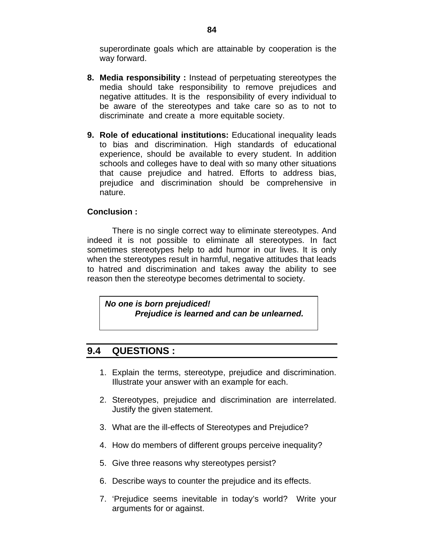superordinate goals which are attainable by cooperation is the way forward.

- **8. Media responsibility :** Instead of perpetuating stereotypes the media should take responsibility to remove prejudices and negative attitudes. It is the responsibility of every individual to be aware of the stereotypes and take care so as to not to discriminate and create a more equitable society.
- **9. Role of educational institutions:** Educational inequality leads to bias and discrimination. High standards of educational experience, should be available to every student. In addition schools and colleges have to deal with so many other situations that cause prejudice and hatred. Efforts to address bias, prejudice and discrimination should be comprehensive in nature.

## **Conclusion :**

There is no single correct way to eliminate stereotypes. And indeed it is not possible to eliminate all stereotypes. In fact sometimes stereotypes help to add humor in our lives. It is only when the stereotypes result in harmful, negative attitudes that leads to hatred and discrimination and takes away the ability to see reason then the stereotype becomes detrimental to society.

*No one is born prejudiced! Prejudice is learned and can be unlearned.*

## **9.4 QUESTIONS :**

- 1. Explain the terms, stereotype, prejudice and discrimination. Illustrate your answer with an example for each.
- 2. Stereotypes, prejudice and discrimination are interrelated. Justify the given statement.
- 3. What are the ill-effects of Stereotypes and Prejudice?
- 4. How do members of different groups perceive inequality?
- 5. Give three reasons why stereotypes persist?
- 6. Describe ways to counter the prejudice and its effects.
- 7. 'Prejudice seems inevitable in today's world? Write your arguments for or against.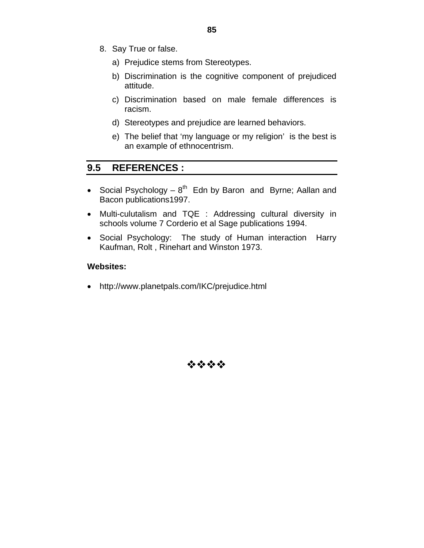- 8. Say True or false.
	- a) Prejudice stems from Stereotypes.
	- b) Discrimination is the cognitive component of prejudiced attitude.
	- c) Discrimination based on male female differences is racism.
	- d) Stereotypes and prejudice are learned behaviors.
	- e) The belief that 'my language or my religion' is the best is an example of ethnocentrism.

## **9.5 REFERENCES :**

- Social Psychology  $8^{th}$  Edn by Baron and Byrne; Aallan and Bacon publications1997.
- Multi-culutalism and TQE : Addressing cultural diversity in schools volume 7 Corderio et al Sage publications 1994.
- Social Psychology: The study of Human interaction Harry Kaufman, Rolt , Rinehart and Winston 1973.

## **Websites:**

• http://www.planetpals.com/IKC/prejudice.html

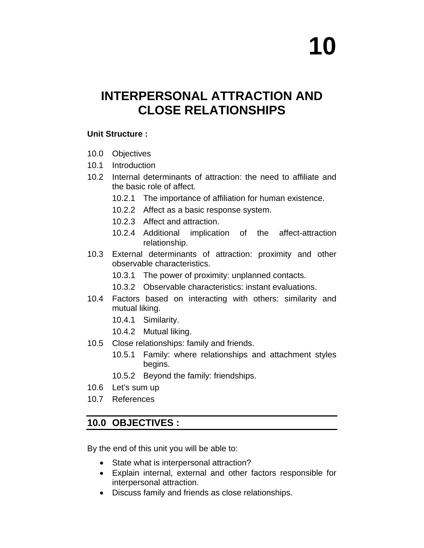# **10**

## **INTERPERSONAL ATTRACTION AND CLOSE RELATIONSHIPS**

## **Unit Structure :**

- 10.0 Objectives
- 10.1 Introduction
- 10.2 Internal determinants of attraction: the need to affiliate and the basic role of affect.
	- 10.2.1 The importance of affiliation for human existence.
	- 10.2.2 Affect as a basic response system.
	- 10.2.3 Affect and attraction.
	- 10.2.4 Additional implication of the affect-attraction relationship.
- 10.3 External determinants of attraction: proximity and other observable characteristics.
	- 10.3.1 The power of proximity: unplanned contacts.
	- 10.3.2 Observable characteristics: instant evaluations.
- 10.4 Factors based on interacting with others: similarity and mutual liking.
	- 10.4.1 Similarity.
	- 10.4.2 Mutual liking.
- 10.5 Close relationships: family and friends.
	- 10.5.1 Family: where relationships and attachment styles begins.
	- 10.5.2 Beyond the family: friendships.
- 10.6 Let's sum up
- 10.7 References

## **10.0 OBJECTIVES :**

By the end of this unit you will be able to:

- State what is interpersonal attraction?
- Explain internal, external and other factors responsible for interpersonal attraction.
- Discuss family and friends as close relationships.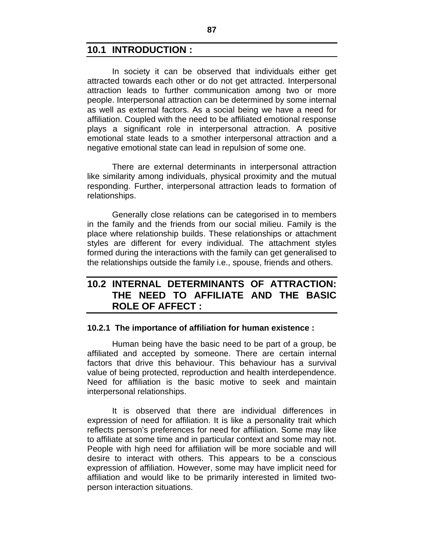## **10.1 INTRODUCTION :**

 In society it can be observed that individuals either get attracted towards each other or do not get attracted. Interpersonal attraction leads to further communication among two or more people. Interpersonal attraction can be determined by some internal as well as external factors. As a social being we have a need for affiliation. Coupled with the need to be affiliated emotional response plays a significant role in interpersonal attraction. A positive emotional state leads to a smother interpersonal attraction and a negative emotional state can lead in repulsion of some one.

 There are external determinants in interpersonal attraction like similarity among individuals, physical proximity and the mutual responding. Further, interpersonal attraction leads to formation of relationships.

 Generally close relations can be categorised in to members in the family and the friends from our social milieu. Family is the place where relationship builds. These relationships or attachment styles are different for every individual. The attachment styles formed during the interactions with the family can get generalised to the relationships outside the family i.e., spouse, friends and others.

## **10.2 INTERNAL DETERMINANTS OF ATTRACTION: THE NEED TO AFFILIATE AND THE BASIC ROLE OF AFFECT :**

#### **10.2.1 The importance of affiliation for human existence :**

 Human being have the basic need to be part of a group, be affiliated and accepted by someone. There are certain internal factors that drive this behaviour. This behaviour has a survival value of being protected, reproduction and health interdependence. Need for affiliation is the basic motive to seek and maintain interpersonal relationships.

 It is observed that there are individual differences in expression of need for affiliation. It is like a personality trait which reflects person's preferences for need for affiliation. Some may like to affiliate at some time and in particular context and some may not. People with high need for affiliation will be more sociable and will desire to interact with others. This appears to be a conscious expression of affiliation. However, some may have implicit need for affiliation and would like to be primarily interested in limited twoperson interaction situations.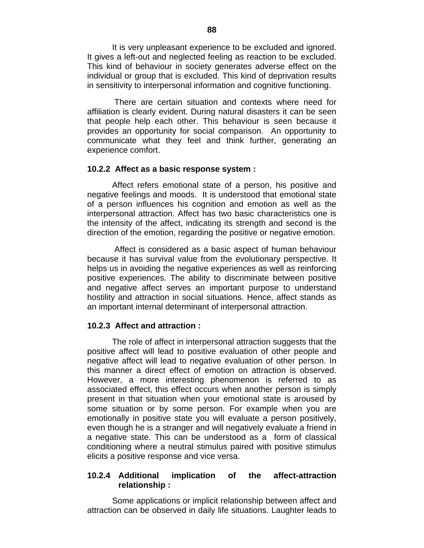It is very unpleasant experience to be excluded and ignored. It gives a left-out and neglected feeling as reaction to be excluded. This kind of behaviour in society generates adverse effect on the individual or group that is excluded. This kind of deprivation results in sensitivity to interpersonal information and cognitive functioning.

 There are certain situation and contexts where need for affiliation is clearly evident. During natural disasters it can be seen that people help each other. This behaviour is seen because it provides an opportunity for social comparison. An opportunity to communicate what they feel and think further, generating an experience comfort.

#### **10.2.2 Affect as a basic response system :**

 Affect refers emotional state of a person, his positive and negative feelings and moods. It is understood that emotional state of a person influences his cognition and emotion as well as the interpersonal attraction. Affect has two basic characteristics one is the intensity of the affect, indicating its strength and second is the direction of the emotion, regarding the positive or negative emotion.

 Affect is considered as a basic aspect of human behaviour because it has survival value from the evolutionary perspective. It helps us in avoiding the negative experiences as well as reinforcing positive experiences. The ability to discriminate between positive and negative affect serves an important purpose to understand hostility and attraction in social situations. Hence, affect stands as an important internal determinant of interpersonal attraction.

#### **10.2.3 Affect and attraction :**

The role of affect in interpersonal attraction suggests that the positive affect will lead to positive evaluation of other people and negative affect will lead to negative evaluation of other person. In this manner a direct effect of emotion on attraction is observed. However, a more interesting phenomenon is referred to as associated effect, this effect occurs when another person is simply present in that situation when your emotional state is aroused by some situation or by some person. For example when you are emotionally in positive state you will evaluate a person positively, even though he is a stranger and will negatively evaluate a friend in a negative state. This can be understood as a form of classical conditioning where a neutral stimulus paired with positive stimulus elicits a positive response and vice versa.

## **10.2.4 Additional implication of the affect-attraction relationship :**

Some applications or implicit relationship between affect and attraction can be observed in daily life situations. Laughter leads to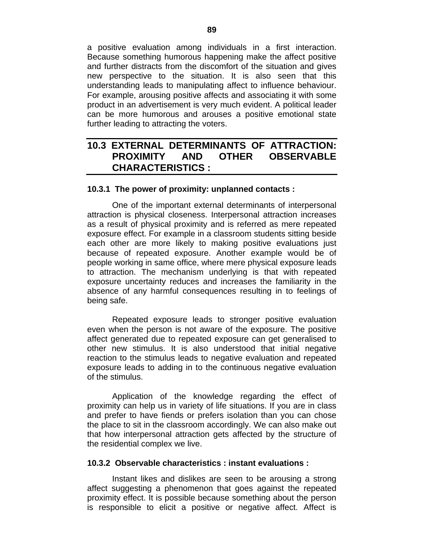a positive evaluation among individuals in a first interaction. Because something humorous happening make the affect positive and further distracts from the discomfort of the situation and gives new perspective to the situation. It is also seen that this understanding leads to manipulating affect to influence behaviour. For example, arousing positive affects and associating it with some product in an advertisement is very much evident. A political leader can be more humorous and arouses a positive emotional state further leading to attracting the voters.

## **10.3 EXTERNAL DETERMINANTS OF ATTRACTION: PROXIMITY AND OTHER OBSERVABLE CHARACTERISTICS :**

#### **10.3.1 The power of proximity: unplanned contacts :**

One of the important external determinants of interpersonal attraction is physical closeness. Interpersonal attraction increases as a result of physical proximity and is referred as mere repeated exposure effect. For example in a classroom students sitting beside each other are more likely to making positive evaluations just because of repeated exposure. Another example would be of people working in same office, where mere physical exposure leads to attraction. The mechanism underlying is that with repeated exposure uncertainty reduces and increases the familiarity in the absence of any harmful consequences resulting in to feelings of being safe.

 Repeated exposure leads to stronger positive evaluation even when the person is not aware of the exposure. The positive affect generated due to repeated exposure can get generalised to other new stimulus. It is also understood that initial negative reaction to the stimulus leads to negative evaluation and repeated exposure leads to adding in to the continuous negative evaluation of the stimulus.

 Application of the knowledge regarding the effect of proximity can help us in variety of life situations. If you are in class and prefer to have fiends or prefers isolation than you can chose the place to sit in the classroom accordingly. We can also make out that how interpersonal attraction gets affected by the structure of the residential complex we live.

#### **10.3.2 Observable characteristics : instant evaluations :**

Instant likes and dislikes are seen to be arousing a strong affect suggesting a phenomenon that goes against the repeated proximity effect. It is possible because something about the person is responsible to elicit a positive or negative affect. Affect is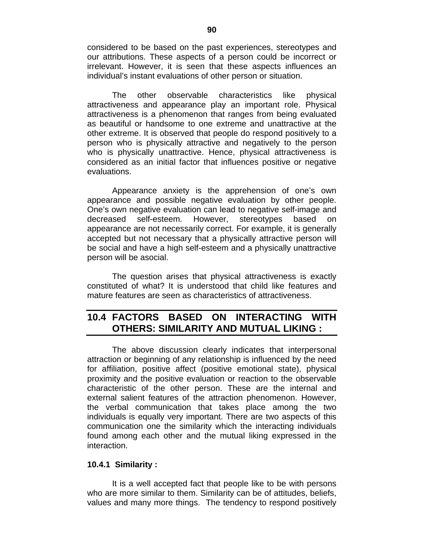considered to be based on the past experiences, stereotypes and our attributions. These aspects of a person could be incorrect or irrelevant. However, it is seen that these aspects influences an individual's instant evaluations of other person or situation.

 The other observable characteristics like physical attractiveness and appearance play an important role. Physical attractiveness is a phenomenon that ranges from being evaluated as beautiful or handsome to one extreme and unattractive at the other extreme. It is observed that people do respond positively to a person who is physically attractive and negatively to the person who is physically unattractive. Hence, physical attractiveness is considered as an initial factor that influences positive or negative evaluations.

 Appearance anxiety is the apprehension of one's own appearance and possible negative evaluation by other people. One's own negative evaluation can lead to negative self-image and decreased self-esteem. However, stereotypes based on appearance are not necessarily correct. For example, it is generally accepted but not necessary that a physically attractive person will be social and have a high self-esteem and a physically unattractive person will be asocial.

 The question arises that physical attractiveness is exactly constituted of what? It is understood that child like features and mature features are seen as characteristics of attractiveness.

## **10.4 FACTORS BASED ON INTERACTING WITH OTHERS: SIMILARITY AND MUTUAL LIKING :**

 The above discussion clearly indicates that interpersonal attraction or beginning of any relationship is influenced by the need for affiliation, positive affect (positive emotional state), physical proximity and the positive evaluation or reaction to the observable characteristic of the other person. These are the internal and external salient features of the attraction phenomenon. However, the verbal communication that takes place among the two individuals is equally very important. There are two aspects of this communication one the similarity which the interacting individuals found among each other and the mutual liking expressed in the interaction.

#### **10.4.1 Similarity :**

It is a well accepted fact that people like to be with persons who are more similar to them. Similarity can be of attitudes, beliefs, values and many more things. The tendency to respond positively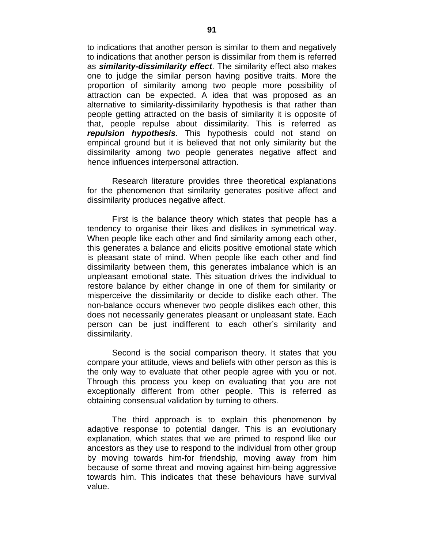to indications that another person is similar to them and negatively to indications that another person is dissimilar from them is referred as *similarity-dissimilarity effect*. The similarity effect also makes one to judge the similar person having positive traits. More the proportion of similarity among two people more possibility of attraction can be expected. A idea that was proposed as an alternative to similarity-dissimilarity hypothesis is that rather than people getting attracted on the basis of similarity it is opposite of that, people repulse about dissimilarity. This is referred as *repulsion hypothesis*. This hypothesis could not stand on empirical ground but it is believed that not only similarity but the dissimilarity among two people generates negative affect and hence influences interpersonal attraction.

 Research literature provides three theoretical explanations for the phenomenon that similarity generates positive affect and dissimilarity produces negative affect.

First is the balance theory which states that people has a tendency to organise their likes and dislikes in symmetrical way. When people like each other and find similarity among each other, this generates a balance and elicits positive emotional state which is pleasant state of mind. When people like each other and find dissimilarity between them, this generates imbalance which is an unpleasant emotional state. This situation drives the individual to restore balance by either change in one of them for similarity or misperceive the dissimilarity or decide to dislike each other. The non-balance occurs whenever two people dislikes each other, this does not necessarily generates pleasant or unpleasant state. Each person can be just indifferent to each other's similarity and dissimilarity.

 Second is the social comparison theory. It states that you compare your attitude, views and beliefs with other person as this is the only way to evaluate that other people agree with you or not. Through this process you keep on evaluating that you are not exceptionally different from other people. This is referred as obtaining consensual validation by turning to others.

 The third approach is to explain this phenomenon by adaptive response to potential danger. This is an evolutionary explanation, which states that we are primed to respond like our ancestors as they use to respond to the individual from other group by moving towards him-for friendship, moving away from him because of some threat and moving against him-being aggressive towards him. This indicates that these behaviours have survival value.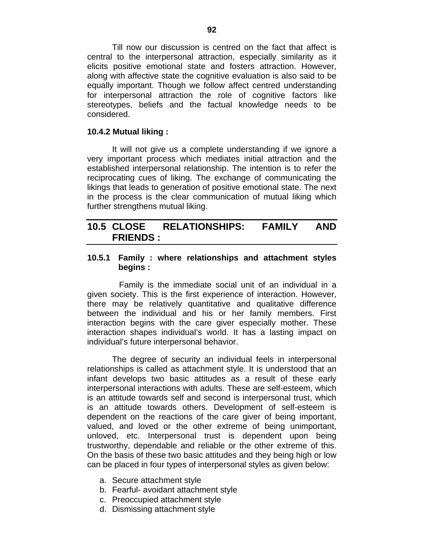Till now our discussion is centred on the fact that affect is central to the interpersonal attraction, especially similarity as it elicits positive emotional state and fosters attraction. However, along with affective state the cognitive evaluation is also said to be equally important. Though we follow affect centred understanding for interpersonal attraction the role of cognitive factors like stereotypes, beliefs and the factual knowledge needs to be considered.

#### **10.4.2 Mutual liking :**

It will not give us a complete understanding if we ignore a very important process which mediates initial attraction and the established interpersonal relationship. The intention is to refer the reciprocating cues of liking. The exchange of communicating the likings that leads to generation of positive emotional state. The next in the process is the clear communication of mutual liking which further strengthens mutual liking.

## **10.5 CLOSE RELATIONSHIPS: FAMILY AND FRIENDS :**

### **10.5.1 Family : where relationships and attachment styles begins :**

 Family is the immediate social unit of an individual in a given society. This is the first experience of interaction. However, there may be relatively quantitative and qualitative difference between the individual and his or her family members. First interaction begins with the care giver especially mother. These interaction shapes individual's world. It has a lasting impact on individual's future interpersonal behavior.

 The degree of security an individual feels in interpersonal relationships is called as attachment style. It is understood that an infant develops two basic attitudes as a result of these early interpersonal interactions with adults. These are self-esteem, which is an attitude towards self and second is interpersonal trust, which is an attitude towards others. Development of self-esteem is dependent on the reactions of the care giver of being important, valued, and loved or the other extreme of being unimportant, unloved, etc. Interpersonal trust is dependent upon being trustworthy, dependable and reliable or the other extreme of this. On the basis of these two basic attitudes and they being high or low can be placed in four types of interpersonal styles as given below:

- a. Secure attachment style
- b. Fearful- avoidant attachment style
- c. Preoccupied attachment style
- d. Dismissing attachment style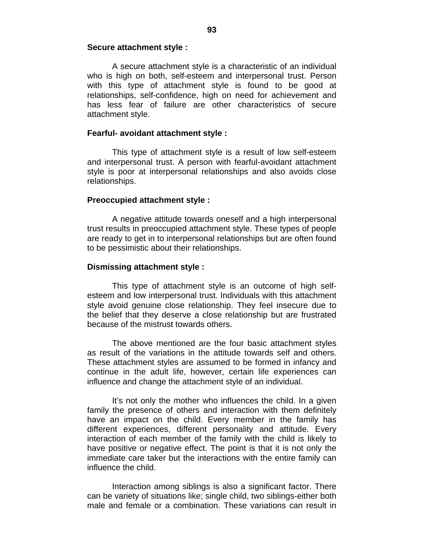#### **Secure attachment style :**

 A secure attachment style is a characteristic of an individual who is high on both, self-esteem and interpersonal trust. Person with this type of attachment style is found to be good at relationships, self-confidence, high on need for achievement and has less fear of failure are other characteristics of secure attachment style.

#### **Fearful- avoidant attachment style :**

 This type of attachment style is a result of low self-esteem and interpersonal trust. A person with fearful-avoidant attachment style is poor at interpersonal relationships and also avoids close relationships.

#### **Preoccupied attachment style :**

 A negative attitude towards oneself and a high interpersonal trust results in preoccupied attachment style. These types of people are ready to get in to interpersonal relationships but are often found to be pessimistic about their relationships.

#### **Dismissing attachment style :**

 This type of attachment style is an outcome of high selfesteem and low interpersonal trust. Individuals with this attachment style avoid genuine close relationship. They feel insecure due to the belief that they deserve a close relationship but are frustrated because of the mistrust towards others.

 The above mentioned are the four basic attachment styles as result of the variations in the attitude towards self and others. These attachment styles are assumed to be formed in infancy and continue in the adult life, however, certain life experiences can influence and change the attachment style of an individual.

 It's not only the mother who influences the child. In a given family the presence of others and interaction with them definitely have an impact on the child. Every member in the family has different experiences, different personality and attitude. Every interaction of each member of the family with the child is likely to have positive or negative effect. The point is that it is not only the immediate care taker but the interactions with the entire family can influence the child.

 Interaction among siblings is also a significant factor. There can be variety of situations like; single child, two siblings-either both male and female or a combination. These variations can result in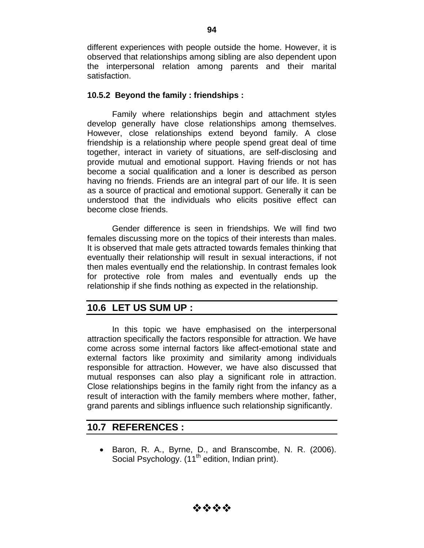different experiences with people outside the home. However, it is observed that relationships among sibling are also dependent upon the interpersonal relation among parents and their marital satisfaction.

### **10.5.2 Beyond the family : friendships :**

 Family where relationships begin and attachment styles develop generally have close relationships among themselves. However, close relationships extend beyond family. A close friendship is a relationship where people spend great deal of time together, interact in variety of situations, are self-disclosing and provide mutual and emotional support. Having friends or not has become a social qualification and a loner is described as person having no friends. Friends are an integral part of our life. It is seen as a source of practical and emotional support. Generally it can be understood that the individuals who elicits positive effect can become close friends.

 Gender difference is seen in friendships. We will find two females discussing more on the topics of their interests than males. It is observed that male gets attracted towards females thinking that eventually their relationship will result in sexual interactions, if not then males eventually end the relationship. In contrast females look for protective role from males and eventually ends up the relationship if she finds nothing as expected in the relationship.

## **10.6 LET US SUM UP :**

 In this topic we have emphasised on the interpersonal attraction specifically the factors responsible for attraction. We have come across some internal factors like affect-emotional state and external factors like proximity and similarity among individuals responsible for attraction. However, we have also discussed that mutual responses can also play a significant role in attraction. Close relationships begins in the family right from the infancy as a result of interaction with the family members where mother, father, grand parents and siblings influence such relationship significantly.

## **10.7 REFERENCES :**

• Baron, R. A., Byrne, D., and Branscombe, N. R. (2006). Social Psychology. (11<sup>th</sup> edition, Indian print).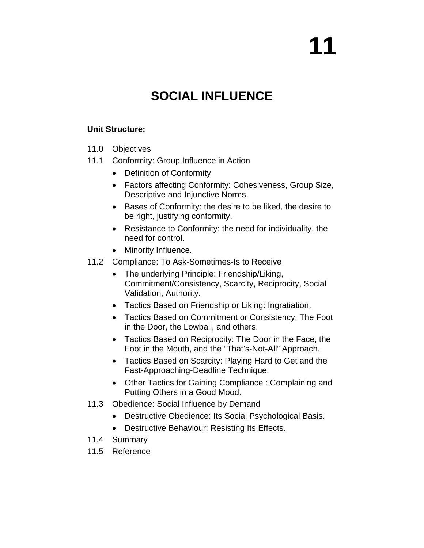# **11**

# **SOCIAL INFLUENCE**

## **Unit Structure:**

- 11.0 Objectives
- 11.1 Conformity: Group Influence in Action
	- Definition of Conformity
	- Factors affecting Conformity: Cohesiveness, Group Size, Descriptive and Injunctive Norms.
	- Bases of Conformity: the desire to be liked, the desire to be right, justifying conformity.
	- Resistance to Conformity: the need for individuality, the need for control.
	- Minority Influence.
- 11.2 Compliance: To Ask-Sometimes-Is to Receive
	- The underlying Principle: Friendship/Liking, Commitment/Consistency, Scarcity, Reciprocity, Social Validation, Authority.
	- Tactics Based on Friendship or Liking: Ingratiation.
	- Tactics Based on Commitment or Consistency: The Foot in the Door, the Lowball, and others.
	- Tactics Based on Reciprocity: The Door in the Face, the Foot in the Mouth, and the "That's-Not-All" Approach.
	- Tactics Based on Scarcity: Playing Hard to Get and the Fast-Approaching-Deadline Technique.
	- Other Tactics for Gaining Compliance : Complaining and Putting Others in a Good Mood.
- 11.3 Obedience: Social Influence by Demand
	- Destructive Obedience: Its Social Psychological Basis.
	- Destructive Behaviour: Resisting Its Effects.
- 11.4 Summary
- 11.5 Reference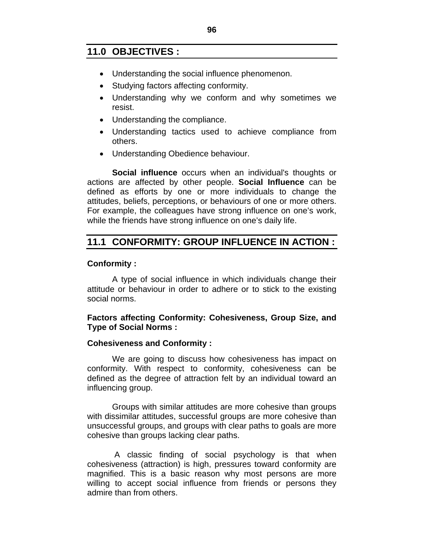## **11.0 OBJECTIVES :**

- Understanding the social influence phenomenon.
- Studying factors affecting conformity.
- Understanding why we conform and why sometimes we resist.
- Understanding the compliance.
- Understanding tactics used to achieve compliance from others.
- Understanding Obedience behaviour.

**Social influence** occurs when an individual's thoughts or actions are affected by other people. **Social Influence** can be defined as efforts by one or more individuals to change the attitudes, beliefs, perceptions, or behaviours of one or more others. For example, the colleagues have strong influence on one's work, while the friends have strong influence on one's daily life.

## **11.1 CONFORMITY: GROUP INFLUENCE IN ACTION :**

#### **Conformity :**

A type of social influence in which individuals change their attitude or behaviour in order to adhere or to stick to the existing social norms.

#### **Factors affecting Conformity: Cohesiveness, Group Size, and Type of Social Norms :**

#### **Cohesiveness and Conformity :**

We are going to discuss how cohesiveness has impact on conformity. With respect to conformity, cohesiveness can be defined as the degree of attraction felt by an individual toward an influencing group.

Groups with similar attitudes are more cohesive than groups with dissimilar attitudes, successful groups are more cohesive than unsuccessful groups, and groups with clear paths to goals are more cohesive than groups lacking clear paths.

 A classic finding of social psychology is that when cohesiveness (attraction) is high, pressures toward conformity are magnified. This is a basic reason why most persons are more willing to accept social influence from friends or persons they admire than from others.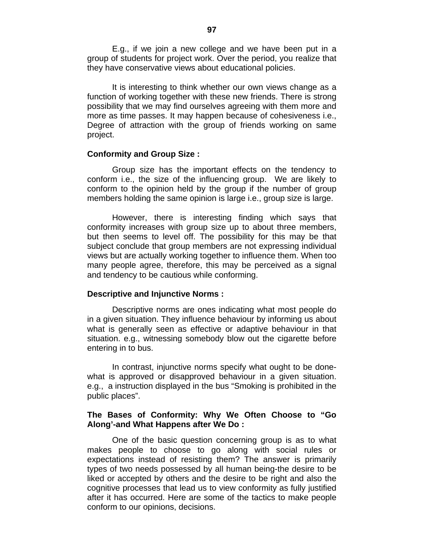E.g., if we join a new college and we have been put in a group of students for project work. Over the period, you realize that they have conservative views about educational policies.

It is interesting to think whether our own views change as a function of working together with these new friends. There is strong possibility that we may find ourselves agreeing with them more and more as time passes. It may happen because of cohesiveness i.e., Degree of attraction with the group of friends working on same project.

#### **Conformity and Group Size :**

Group size has the important effects on the tendency to conform i.e., the size of the influencing group. We are likely to conform to the opinion held by the group if the number of group members holding the same opinion is large i.e., group size is large.

However, there is interesting finding which says that conformity increases with group size up to about three members, but then seems to level off. The possibility for this may be that subject conclude that group members are not expressing individual views but are actually working together to influence them. When too many people agree, therefore, this may be perceived as a signal and tendency to be cautious while conforming.

#### **Descriptive and Injunctive Norms :**

Descriptive norms are ones indicating what most people do in a given situation. They influence behaviour by informing us about what is generally seen as effective or adaptive behaviour in that situation. e.g., witnessing somebody blow out the cigarette before entering in to bus.

In contrast, injunctive norms specify what ought to be donewhat is approved or disapproved behaviour in a given situation. e.g., a instruction displayed in the bus "Smoking is prohibited in the public places".

#### **The Bases of Conformity: Why We Often Choose to "Go Along'-and What Happens after We Do :**

One of the basic question concerning group is as to what makes people to choose to go along with social rules or expectations instead of resisting them? The answer is primarily types of two needs possessed by all human being-the desire to be liked or accepted by others and the desire to be right and also the cognitive processes that lead us to view conformity as fully justified after it has occurred. Here are some of the tactics to make people conform to our opinions, decisions.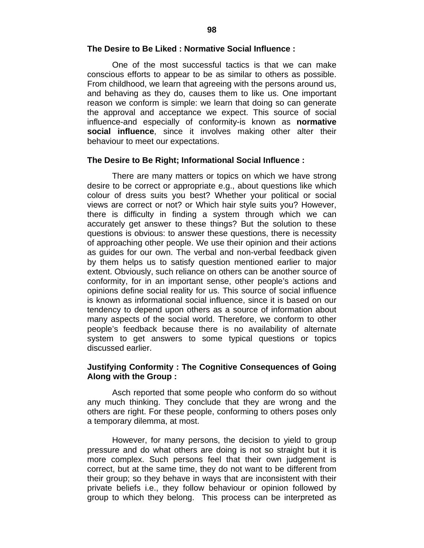#### **The Desire to Be Liked : Normative Social Influence :**

One of the most successful tactics is that we can make conscious efforts to appear to be as similar to others as possible. From childhood, we learn that agreeing with the persons around us, and behaving as they do, causes them to like us. One important reason we conform is simple: we learn that doing so can generate the approval and acceptance we expect. This source of social influence-and especially of conformity-is known as **normative social influence**, since it involves making other alter their behaviour to meet our expectations.

#### **The Desire to Be Right; Informational Social Influence :**

There are many matters or topics on which we have strong desire to be correct or appropriate e.g., about questions like which colour of dress suits you best? Whether your political or social views are correct or not? or Which hair style suits you? However, there is difficulty in finding a system through which we can accurately get answer to these things? But the solution to these questions is obvious: to answer these questions, there is necessity of approaching other people. We use their opinion and their actions as guides for our own. The verbal and non-verbal feedback given by them helps us to satisfy question mentioned earlier to major extent. Obviously, such reliance on others can be another source of conformity, for in an important sense, other people's actions and opinions define social reality for us. This source of social influence is known as informational social influence, since it is based on our tendency to depend upon others as a source of information about many aspects of the social world. Therefore, we conform to other people's feedback because there is no availability of alternate system to get answers to some typical questions or topics discussed earlier.

#### **Justifying Conformity : The Cognitive Consequences of Going Along with the Group :**

Asch reported that some people who conform do so without any much thinking. They conclude that they are wrong and the others are right. For these people, conforming to others poses only a temporary dilemma, at most.

However, for many persons, the decision to yield to group pressure and do what others are doing is not so straight but it is more complex. Such persons feel that their own judgement is correct, but at the same time, they do not want to be different from their group; so they behave in ways that are inconsistent with their private beliefs i.e., they follow behaviour or opinion followed by group to which they belong. This process can be interpreted as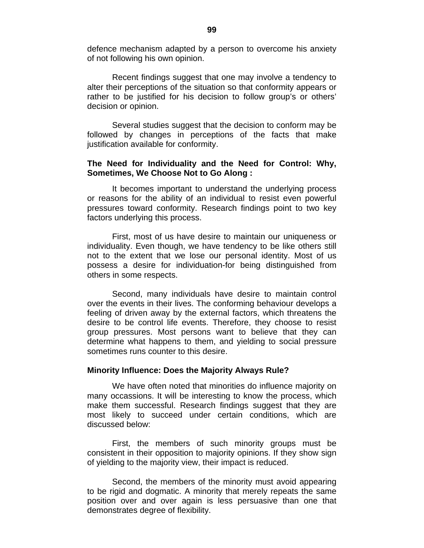defence mechanism adapted by a person to overcome his anxiety of not following his own opinion.

Recent findings suggest that one may involve a tendency to alter their perceptions of the situation so that conformity appears or rather to be justified for his decision to follow group's or others' decision or opinion.

Several studies suggest that the decision to conform may be followed by changes in perceptions of the facts that make justification available for conformity.

### **The Need for Individuality and the Need for Control: Why, Sometimes, We Choose Not to Go Along :**

It becomes important to understand the underlying process or reasons for the ability of an individual to resist even powerful pressures toward conformity. Research findings point to two key factors underlying this process.

First, most of us have desire to maintain our uniqueness or individuality. Even though, we have tendency to be like others still not to the extent that we lose our personal identity. Most of us possess a desire for individuation-for being distinguished from others in some respects.

Second, many individuals have desire to maintain control over the events in their lives. The conforming behaviour develops a feeling of driven away by the external factors, which threatens the desire to be control life events. Therefore, they choose to resist group pressures. Most persons want to believe that they can determine what happens to them, and yielding to social pressure sometimes runs counter to this desire.

#### **Minority Influence: Does the Majority Always Rule?**

We have often noted that minorities do influence majority on many occassions. It will be interesting to know the process, which make them successful. Research findings suggest that they are most likely to succeed under certain conditions, which are discussed below:

First, the members of such minority groups must be consistent in their opposition to majority opinions. If they show sign of yielding to the majority view, their impact is reduced.

Second, the members of the minority must avoid appearing to be rigid and dogmatic. A minority that merely repeats the same position over and over again is less persuasive than one that demonstrates degree of flexibility.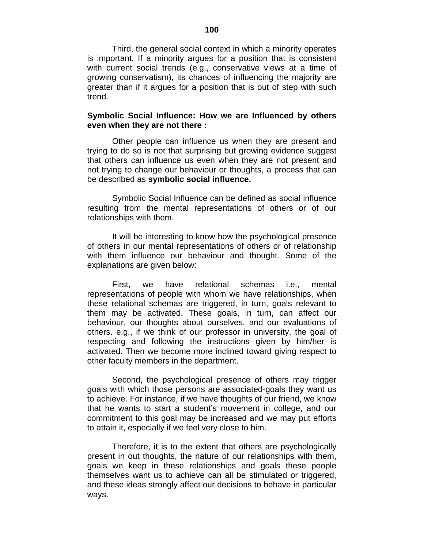Third, the general social context in which a minority operates is important. If a minority argues for a position that is consistent with current social trends (e.g., conservative views at a time of growing conservatism), its chances of influencing the majority are greater than if it argues for a position that is out of step with such trend.

#### **Symbolic Social Influence: How we are Influenced by others even when they are not there :**

Other people can influence us when they are present and trying to do so is not that surprising but growing evidence suggest that others can influence us even when they are not present and not trying to change our behaviour or thoughts, a process that can be described as **symbolic social influence.**

Symbolic Social Influence can be defined as social influence resulting from the mental representations of others or of our relationships with them.

It will be interesting to know how the psychological presence of others in our mental representations of others or of relationship with them influence our behaviour and thought. Some of the explanations are given below:

First, we have relational schemas i.e., mental representations of people with whom we have relationships, when these relational schemas are triggered, in turn, goals relevant to them may be activated. These goals, in turn, can affect our behaviour, our thoughts about ourselves, and our evaluations of others. e.g., if we think of our professor in university, the goal of respecting and following the instructions given by him/her is activated. Then we become more inclined toward giving respect to other faculty members in the department.

Second, the psychological presence of others may trigger goals with which those persons are associated-goals they want us to achieve. For instance, if we have thoughts of our friend, we know that he wants to start a student's movement in college, and our commitment to this goal may be increased and we may put efforts to attain it, especially if we feel very close to him.

Therefore, it is to the extent that others are psychologically present in out thoughts, the nature of our relationships with them, goals we keep in these relationships and goals these people themselves want us to achieve can all be stimulated or triggered, and these ideas strongly affect our decisions to behave in particular ways.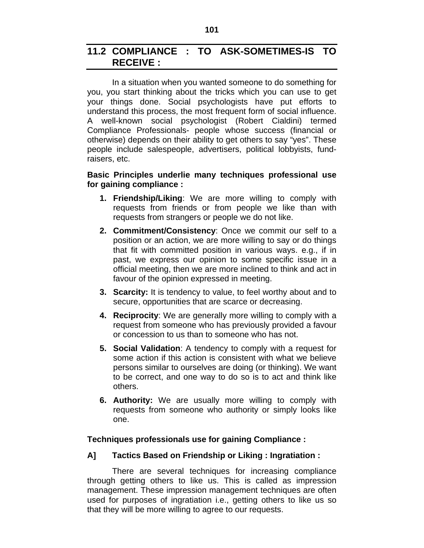## **11.2 COMPLIANCE : TO ASK-SOMETIMES-IS TO RECEIVE :**

In a situation when you wanted someone to do something for you, you start thinking about the tricks which you can use to get your things done. Social psychologists have put efforts to understand this process, the most frequent form of social influence. A well-known social psychologist (Robert Cialdini) termed Compliance Professionals- people whose success (financial or otherwise) depends on their ability to get others to say "yes". These people include salespeople, advertisers, political lobbyists, fundraisers, etc.

## **Basic Principles underlie many techniques professional use for gaining compliance :**

- **1. Friendship/Liking**: We are more willing to comply with requests from friends or from people we like than with requests from strangers or people we do not like.
- **2. Commitment/Consistency**: Once we commit our self to a position or an action, we are more willing to say or do things that fit with committed position in various ways. e.g., if in past, we express our opinion to some specific issue in a official meeting, then we are more inclined to think and act in favour of the opinion expressed in meeting.
- **3. Scarcity:** It is tendency to value, to feel worthy about and to secure, opportunities that are scarce or decreasing.
- **4. Reciprocity**: We are generally more willing to comply with a request from someone who has previously provided a favour or concession to us than to someone who has not.
- **5. Social Validation**: A tendency to comply with a request for some action if this action is consistent with what we believe persons similar to ourselves are doing (or thinking). We want to be correct, and one way to do so is to act and think like others.
- **6. Authority:** We are usually more willing to comply with requests from someone who authority or simply looks like one.

## **Techniques professionals use for gaining Compliance :**

## **A] Tactics Based on Friendship or Liking : Ingratiation :**

There are several techniques for increasing compliance through getting others to like us. This is called as impression management. These impression management techniques are often used for purposes of ingratiation i.e., getting others to like us so that they will be more willing to agree to our requests.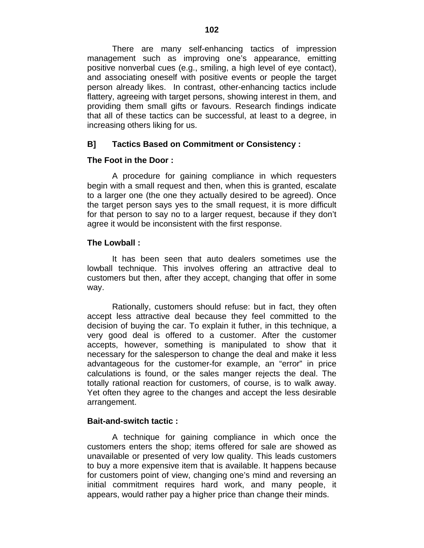There are many self-enhancing tactics of impression management such as improving one's appearance, emitting positive nonverbal cues (e.g., smiling, a high level of eye contact), and associating oneself with positive events or people the target person already likes. In contrast, other-enhancing tactics include flattery, agreeing with target persons, showing interest in them, and providing them small gifts or favours. Research findings indicate that all of these tactics can be successful, at least to a degree, in increasing others liking for us.

## **B] Tactics Based on Commitment or Consistency :**

## **The Foot in the Door :**

A procedure for gaining compliance in which requesters begin with a small request and then, when this is granted, escalate to a larger one (the one they actually desired to be agreed). Once the target person says yes to the small request, it is more difficult for that person to say no to a larger request, because if they don't agree it would be inconsistent with the first response.

## **The Lowball :**

It has been seen that auto dealers sometimes use the lowball technique. This involves offering an attractive deal to customers but then, after they accept, changing that offer in some way.

Rationally, customers should refuse: but in fact, they often accept less attractive deal because they feel committed to the decision of buying the car. To explain it futher, in this technique, a very good deal is offered to a customer. After the customer accepts, however, something is manipulated to show that it necessary for the salesperson to change the deal and make it less advantageous for the customer-for example, an "error" in price calculations is found, or the sales manger rejects the deal. The totally rational reaction for customers, of course, is to walk away. Yet often they agree to the changes and accept the less desirable arrangement.

## **Bait-and-switch tactic :**

A technique for gaining compliance in which once the customers enters the shop; items offered for sale are showed as unavailable or presented of very low quality. This leads customers to buy a more expensive item that is available. It happens because for customers point of view, changing one's mind and reversing an initial commitment requires hard work, and many people, it appears, would rather pay a higher price than change their minds.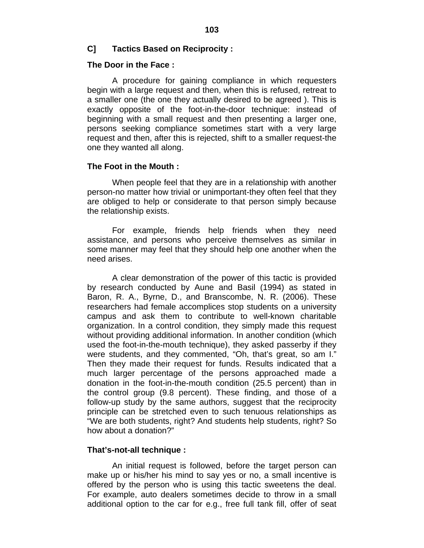## **C] Tactics Based on Reciprocity :**

### **The Door in the Face :**

A procedure for gaining compliance in which requesters begin with a large request and then, when this is refused, retreat to a smaller one (the one they actually desired to be agreed ). This is exactly opposite of the foot-in-the-door technique: instead of beginning with a small request and then presenting a larger one, persons seeking compliance sometimes start with a very large request and then, after this is rejected, shift to a smaller request-the one they wanted all along.

## **The Foot in the Mouth :**

When people feel that they are in a relationship with another person-no matter how trivial or unimportant-they often feel that they are obliged to help or considerate to that person simply because the relationship exists.

For example, friends help friends when they need assistance, and persons who perceive themselves as similar in some manner may feel that they should help one another when the need arises.

A clear demonstration of the power of this tactic is provided by research conducted by Aune and Basil (1994) as stated in Baron, R. A., Byrne, D., and Branscombe, N. R. (2006). These researchers had female accomplices stop students on a university campus and ask them to contribute to well-known charitable organization. In a control condition, they simply made this request without providing additional information. In another condition (which used the foot-in-the-mouth technique), they asked passerby if they were students, and they commented, "Oh, that's great, so am I." Then they made their request for funds. Results indicated that a much larger percentage of the persons approached made a donation in the foot-in-the-mouth condition (25.5 percent) than in the control group (9.8 percent). These finding, and those of a follow-up study by the same authors, suggest that the reciprocity principle can be stretched even to such tenuous relationships as "We are both students, right? And students help students, right? So how about a donation?"

#### **That's-not-all technique :**

An initial request is followed, before the target person can make up or his/her his mind to say yes or no, a small incentive is offered by the person who is using this tactic sweetens the deal. For example, auto dealers sometimes decide to throw in a small additional option to the car for e.g., free full tank fill, offer of seat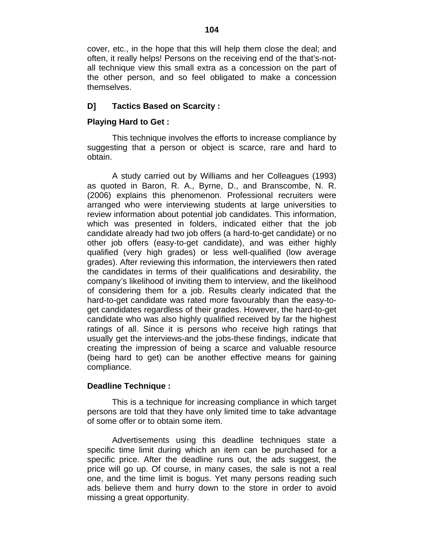cover, etc., in the hope that this will help them close the deal; and often, it really helps! Persons on the receiving end of the that's-notall technique view this small extra as a concession on the part of the other person, and so feel obligated to make a concession themselves.

## **D] Tactics Based on Scarcity :**

## **Playing Hard to Get :**

This technique involves the efforts to increase compliance by suggesting that a person or object is scarce, rare and hard to obtain.

A study carried out by Williams and her Colleagues (1993) as quoted in Baron, R. A., Byrne, D., and Branscombe, N. R. (2006) explains this phenomenon. Professional recruiters were arranged who were interviewing students at large universities to review information about potential job candidates. This information, which was presented in folders, indicated either that the job candidate already had two job offers (a hard-to-get candidate) or no other job offers (easy-to-get candidate), and was either highly qualified (very high grades) or less well-qualified (low average grades). After reviewing this information, the interviewers then rated the candidates in terms of their qualifications and desirability, the company's likelihood of inviting them to interview, and the likelihood of considering them for a job. Results clearly indicated that the hard-to-get candidate was rated more favourably than the easy-toget candidates regardless of their grades. However, the hard-to-get candidate who was also highly qualified received by far the highest ratings of all. Since it is persons who receive high ratings that usually get the interviews-and the jobs-these findings, indicate that creating the impression of being a scarce and valuable resource (being hard to get) can be another effective means for gaining compliance.

## **Deadline Technique :**

This is a technique for increasing compliance in which target persons are told that they have only limited time to take advantage of some offer or to obtain some item.

Advertisements using this deadline techniques state a specific time limit during which an item can be purchased for a specific price. After the deadline runs out, the ads suggest, the price will go up. Of course, in many cases, the sale is not a real one, and the time limit is bogus. Yet many persons reading such ads believe them and hurry down to the store in order to avoid missing a great opportunity.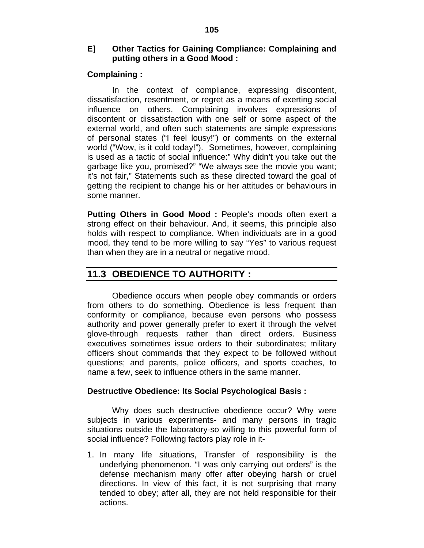## **E] Other Tactics for Gaining Compliance: Complaining and putting others in a Good Mood :**

## **Complaining :**

In the context of compliance, expressing discontent, dissatisfaction, resentment, or regret as a means of exerting social influence on others. Complaining involves expressions of discontent or dissatisfaction with one self or some aspect of the external world, and often such statements are simple expressions of personal states ("I feel lousy!") or comments on the external world ("Wow, is it cold today!"). Sometimes, however, complaining is used as a tactic of social influence:" Why didn't you take out the garbage like you, promised?" "We always see the movie you want; it's not fair," Statements such as these directed toward the goal of getting the recipient to change his or her attitudes or behaviours in some manner.

**Putting Others in Good Mood :** People's moods often exert a strong effect on their behaviour. And, it seems, this principle also holds with respect to compliance. When individuals are in a good mood, they tend to be more willing to say "Yes" to various request than when they are in a neutral or negative mood.

## **11.3 OBEDIENCE TO AUTHORITY :**

Obedience occurs when people obey commands or orders from others to do something. Obedience is less frequent than conformity or compliance, because even persons who possess authority and power generally prefer to exert it through the velvet glove-through requests rather than direct orders. Business executives sometimes issue orders to their subordinates; military officers shout commands that they expect to be followed without questions; and parents, police officers, and sports coaches, to name a few, seek to influence others in the same manner.

#### **Destructive Obedience: Its Social Psychological Basis :**

Why does such destructive obedience occur? Why were subjects in various experiments- and many persons in tragic situations outside the laboratory-so willing to this powerful form of social influence? Following factors play role in it-

1. In many life situations, Transfer of responsibility is the underlying phenomenon. "I was only carrying out orders" is the defense mechanism many offer after obeying harsh or cruel directions. In view of this fact, it is not surprising that many tended to obey; after all, they are not held responsible for their actions.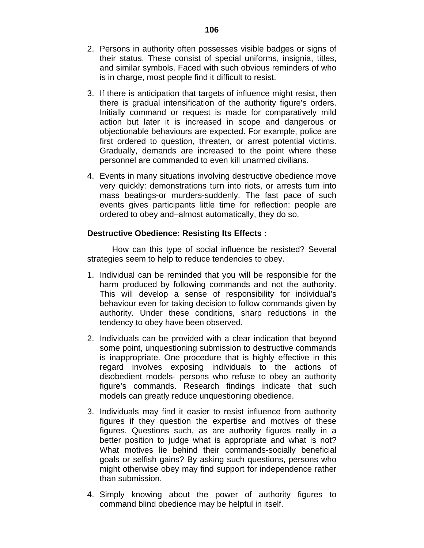- 2. Persons in authority often possesses visible badges or signs of their status. These consist of special uniforms, insignia, titles, and similar symbols. Faced with such obvious reminders of who is in charge, most people find it difficult to resist.
- 3. If there is anticipation that targets of influence might resist, then there is gradual intensification of the authority figure's orders. Initially command or request is made for comparatively mild action but later it is increased in scope and dangerous or objectionable behaviours are expected. For example, police are first ordered to question, threaten, or arrest potential victims. Gradually, demands are increased to the point where these personnel are commanded to even kill unarmed civilians.
- 4. Events in many situations involving destructive obedience move very quickly: demonstrations turn into riots, or arrests turn into mass beatings-or murders-suddenly. The fast pace of such events gives participants little time for reflection: people are ordered to obey and–almost automatically, they do so.

## **Destructive Obedience: Resisting Its Effects :**

How can this type of social influence be resisted? Several strategies seem to help to reduce tendencies to obey.

- 1. Individual can be reminded that you will be responsible for the harm produced by following commands and not the authority. This will develop a sense of responsibility for individual's behaviour even for taking decision to follow commands given by authority. Under these conditions, sharp reductions in the tendency to obey have been observed.
- 2. Individuals can be provided with a clear indication that beyond some point, unquestioning submission to destructive commands is inappropriate. One procedure that is highly effective in this regard involves exposing individuals to the actions of disobedient models- persons who refuse to obey an authority figure's commands. Research findings indicate that such models can greatly reduce unquestioning obedience.
- 3. Individuals may find it easier to resist influence from authority figures if they question the expertise and motives of these figures. Questions such, as are authority figures really in a better position to judge what is appropriate and what is not? What motives lie behind their commands-socially beneficial goals or selfish gains? By asking such questions, persons who might otherwise obey may find support for independence rather than submission.
- 4. Simply knowing about the power of authority figures to command blind obedience may be helpful in itself.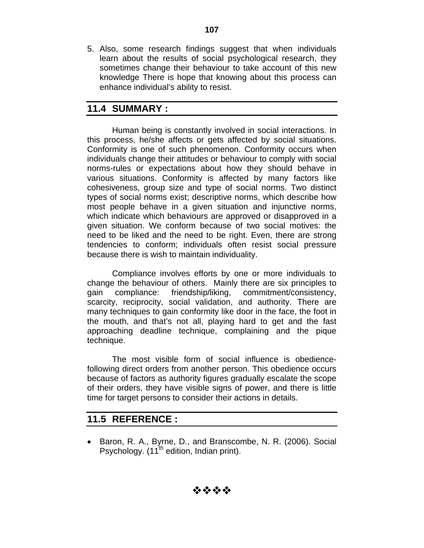5. Also, some research findings suggest that when individuals learn about the results of social psychological research, they sometimes change their behaviour to take account of this new knowledge There is hope that knowing about this process can enhance individual's ability to resist.

## **11.4 SUMMARY :**

Human being is constantly involved in social interactions. In this process, he/she affects or gets affected by social situations. Conformity is one of such phenomenon. Conformity occurs when individuals change their attitudes or behaviour to comply with social norms-rules or expectations about how they should behave in various situations. Conformity is affected by many factors like cohesiveness, group size and type of social norms. Two distinct types of social norms exist; descriptive norms, which describe how most people behave in a given situation and injunctive norms, which indicate which behaviours are approved or disapproved in a given situation. We conform because of two social motives: the need to be liked and the need to be right. Even, there are strong tendencies to conform; individuals often resist social pressure because there is wish to maintain individuality.

Compliance involves efforts by one or more individuals to change the behaviour of others. Mainly there are six principles to gain compliance: friendship/liking, commitment/consistency, scarcity, reciprocity, social validation, and authority. There are many techniques to gain conformity like door in the face, the foot in the mouth, and that's not all, playing hard to get and the fast approaching deadline technique, complaining and the pique technique.

The most visible form of social influence is obediencefollowing direct orders from another person. This obedience occurs because of factors as authority figures gradually escalate the scope of their orders, they have visible signs of power, and there is little time for target persons to consider their actions in details.

## **11.5 REFERENCE :**

• Baron, R. A., Byrne, D., and Branscombe, N. R. (2006). Social Psychology.  $(11^{th}$  edition, Indian print).

## 经合金金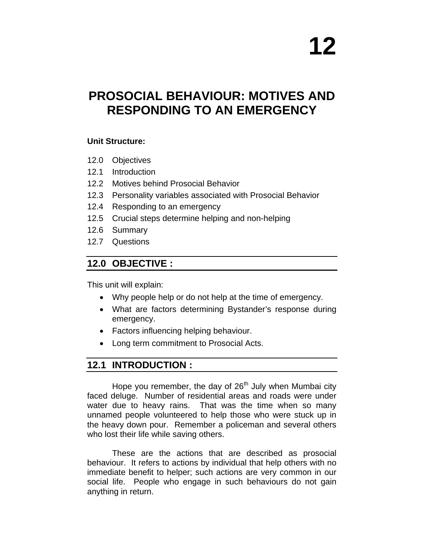# **12**

# **PROSOCIAL BEHAVIOUR: MOTIVES AND RESPONDING TO AN EMERGENCY**

## **Unit Structure:**

- 12.0 Objectives
- 12.1 Introduction
- 12.2 Motives behind Prosocial Behavior
- 12.3 Personality variables associated with Prosocial Behavior
- 12.4 Responding to an emergency
- 12.5 Crucial steps determine helping and non-helping
- 12.6 Summary
- 12.7 Questions

## **12.0 OBJECTIVE :**

This unit will explain:

- Why people help or do not help at the time of emergency.
- What are factors determining Bystander's response during emergency.
- Factors influencing helping behaviour.
- Long term commitment to Prosocial Acts.

## **12.1 INTRODUCTION :**

Hope you remember, the day of  $26<sup>th</sup>$  July when Mumbai city faced deluge. Number of residential areas and roads were under water due to heavy rains. That was the time when so many unnamed people volunteered to help those who were stuck up in the heavy down pour. Remember a policeman and several others who lost their life while saving others.

These are the actions that are described as prosocial behaviour. It refers to actions by individual that help others with no immediate benefit to helper; such actions are very common in our social life. People who engage in such behaviours do not gain anything in return.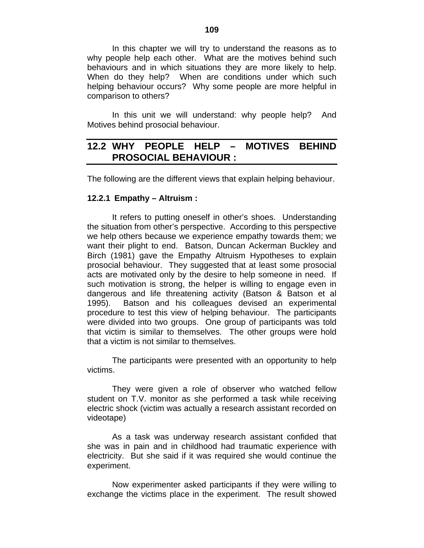In this chapter we will try to understand the reasons as to why people help each other. What are the motives behind such behaviours and in which situations they are more likely to help. When do they help? When are conditions under which such helping behaviour occurs? Why some people are more helpful in comparison to others?

In this unit we will understand: why people help? And Motives behind prosocial behaviour.

## **12.2 WHY PEOPLE HELP – MOTIVES BEHIND PROSOCIAL BEHAVIOUR :**

The following are the different views that explain helping behaviour.

#### **12.2.1 Empathy – Altruism :**

It refers to putting oneself in other's shoes. Understanding the situation from other's perspective. According to this perspective we help others because we experience empathy towards them; we want their plight to end. Batson, Duncan Ackerman Buckley and Birch (1981) gave the Empathy Altruism Hypotheses to explain prosocial behaviour. They suggested that at least some prosocial acts are motivated only by the desire to help someone in need. If such motivation is strong, the helper is willing to engage even in dangerous and life threatening activity (Batson & Batson et al 1995). Batson and his colleagues devised an experimental procedure to test this view of helping behaviour. The participants were divided into two groups. One group of participants was told that victim is similar to themselves. The other groups were hold that a victim is not similar to themselves.

 The participants were presented with an opportunity to help victims.

 They were given a role of observer who watched fellow student on T.V. monitor as she performed a task while receiving electric shock (victim was actually a research assistant recorded on videotape)

 As a task was underway research assistant confided that she was in pain and in childhood had traumatic experience with electricity. But she said if it was required she would continue the experiment.

 Now experimenter asked participants if they were willing to exchange the victims place in the experiment. The result showed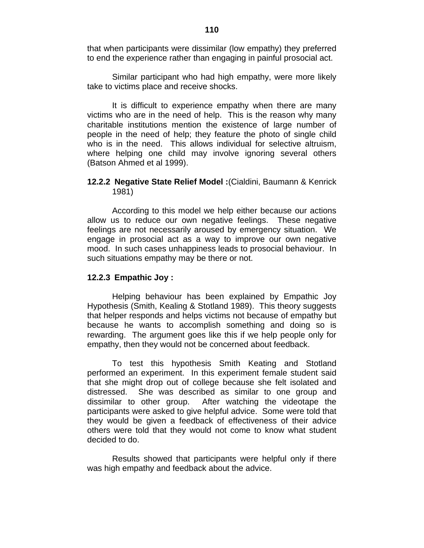that when participants were dissimilar (low empathy) they preferred to end the experience rather than engaging in painful prosocial act.

 Similar participant who had high empathy, were more likely take to victims place and receive shocks.

 It is difficult to experience empathy when there are many victims who are in the need of help. This is the reason why many charitable institutions mention the existence of large number of people in the need of help; they feature the photo of single child who is in the need. This allows individual for selective altruism, where helping one child may involve ignoring several others (Batson Ahmed et al 1999).

#### **12.2.2 Negative State Relief Model :**(Cialdini, Baumann & Kenrick 1981)

 According to this model we help either because our actions allow us to reduce our own negative feelings. These negative feelings are not necessarily aroused by emergency situation. We engage in prosocial act as a way to improve our own negative mood. In such cases unhappiness leads to prosocial behaviour. In such situations empathy may be there or not.

#### **12.2.3 Empathic Joy :**

Helping behaviour has been explained by Empathic Joy Hypothesis (Smith, Kealing & Stotland 1989). This theory suggests that helper responds and helps victims not because of empathy but because he wants to accomplish something and doing so is rewarding. The argument goes like this if we help people only for empathy, then they would not be concerned about feedback.

 To test this hypothesis Smith Keating and Stotland performed an experiment. In this experiment female student said that she might drop out of college because she felt isolated and distressed. She was described as similar to one group and dissimilar to other group. After watching the videotape the participants were asked to give helpful advice. Some were told that they would be given a feedback of effectiveness of their advice others were told that they would not come to know what student decided to do.

 Results showed that participants were helpful only if there was high empathy and feedback about the advice.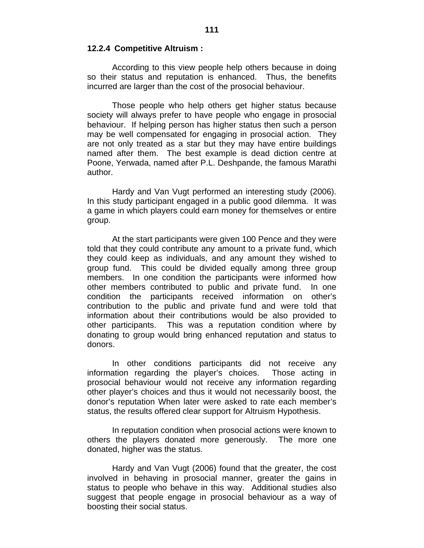#### **12.2.4 Competitive Altruism :**

According to this view people help others because in doing so their status and reputation is enhanced. Thus, the benefits incurred are larger than the cost of the prosocial behaviour.

Those people who help others get higher status because society will always prefer to have people who engage in prosocial behaviour. If helping person has higher status then such a person may be well compensated for engaging in prosocial action. They are not only treated as a star but they may have entire buildings named after them. The best example is dead diction centre at Poone, Yerwada, named after P.L. Deshpande, the famous Marathi author.

 Hardy and Van Vugt performed an interesting study (2006). In this study participant engaged in a public good dilemma. It was a game in which players could earn money for themselves or entire group.

 At the start participants were given 100 Pence and they were told that they could contribute any amount to a private fund, which they could keep as individuals, and any amount they wished to group fund. This could be divided equally among three group members. In one condition the participants were informed how other members contributed to public and private fund. In one condition the participants received information on other's contribution to the public and private fund and were told that information about their contributions would be also provided to other participants. This was a reputation condition where by donating to group would bring enhanced reputation and status to donors.

 In other conditions participants did not receive any information regarding the player's choices. Those acting in prosocial behaviour would not receive any information regarding other player's choices and thus it would not necessarily boost, the donor's reputation When later were asked to rate each member's status, the results offered clear support for Altruism Hypothesis.

 In reputation condition when prosocial actions were known to others the players donated more generously. The more one donated, higher was the status.

 Hardy and Van Vugt (2006) found that the greater, the cost involved in behaving in prosocial manner, greater the gains in status to people who behave in this way. Additional studies also suggest that people engage in prosocial behaviour as a way of boosting their social status.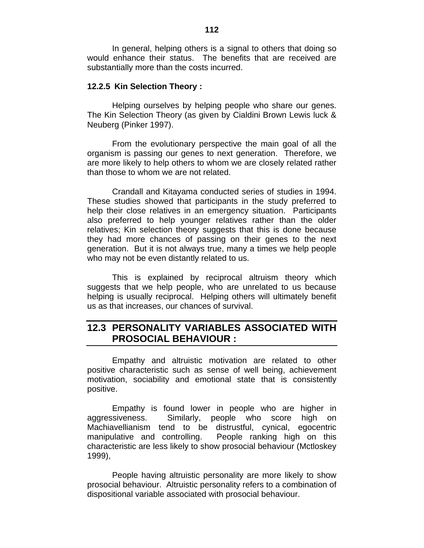In general, helping others is a signal to others that doing so would enhance their status. The benefits that are received are substantially more than the costs incurred.

#### **12.2.5 Kin Selection Theory :**

 Helping ourselves by helping people who share our genes. The Kin Selection Theory (as given by Cialdini Brown Lewis luck & Neuberg (Pinker 1997).

 From the evolutionary perspective the main goal of all the organism is passing our genes to next generation. Therefore, we are more likely to help others to whom we are closely related rather than those to whom we are not related.

 Crandall and Kitayama conducted series of studies in 1994. These studies showed that participants in the study preferred to help their close relatives in an emergency situation. Participants also preferred to help younger relatives rather than the older relatives; Kin selection theory suggests that this is done because they had more chances of passing on their genes to the next generation. But it is not always true, many a times we help people who may not be even distantly related to us.

 This is explained by reciprocal altruism theory which suggests that we help people, who are unrelated to us because helping is usually reciprocal. Helping others will ultimately benefit us as that increases, our chances of survival.

## **12.3 PERSONALITY VARIABLES ASSOCIATED WITH PROSOCIAL BEHAVIOUR :**

Empathy and altruistic motivation are related to other positive characteristic such as sense of well being, achievement motivation, sociability and emotional state that is consistently positive.

Empathy is found lower in people who are higher in aggressiveness. Similarly, people who score high on Machiavellianism tend to be distrustful, cynical, egocentric manipulative and controlling. People ranking high on this characteristic are less likely to show prosocial behaviour (Mctloskey 1999),

 People having altruistic personality are more likely to show prosocial behaviour. Altruistic personality refers to a combination of dispositional variable associated with prosocial behaviour.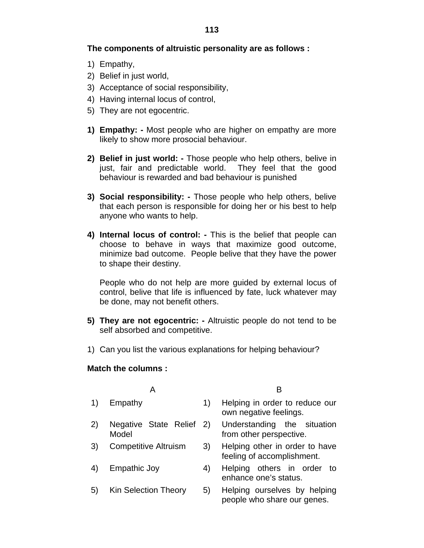## **The components of altruistic personality are as follows :**

- 1) Empathy,
- 2) Belief in just world,
- 3) Acceptance of social responsibility,
- 4) Having internal locus of control,
- 5) They are not egocentric.
- **1) Empathy: -** Most people who are higher on empathy are more likely to show more prosocial behaviour.
- **2) Belief in just world: -** Those people who help others, belive in just, fair and predictable world. They feel that the good behaviour is rewarded and bad behaviour is punished
- **3) Social responsibility: -** Those people who help others, belive that each person is responsible for doing her or his best to help anyone who wants to help.
- **4) Internal locus of control: -** This is the belief that people can choose to behave in ways that maximize good outcome, minimize bad outcome. People belive that they have the power to shape their destiny.

 People who do not help are more guided by external locus of control, belive that life is influenced by fate, luck whatever may be done, may not benefit others.

- **5) They are not egocentric: -** Altruistic people do not tend to be self absorbed and competitive.
- 1) Can you list the various explanations for helping behaviour?

#### **Match the columns :**

# A B 2) Negative State Relief Model

- 
- 
- 

- 1) Empathy 1) Helping in order to reduce our own negative feelings.
	- Understanding the situation from other perspective.
- 3) Competitive Altruism 3) Helping other in order to have feeling of accomplishment.
- 4) Empathic Joy **4**) Helping others in order to enhance one's status.
- 5) Kin Selection Theory 5) Helping ourselves by helping people who share our genes.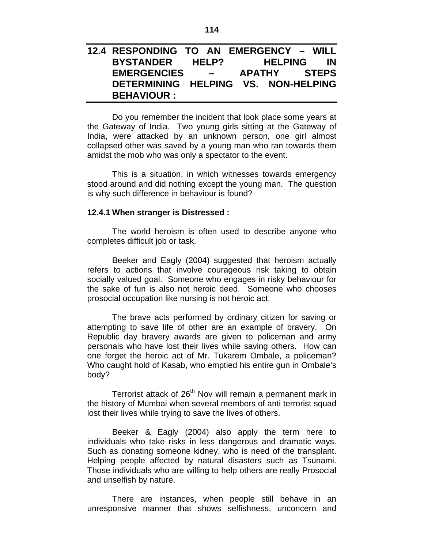| 12.4 RESPONDING TO AN EMERGENCY – WILL |                     |     |
|----------------------------------------|---------------------|-----|
| BYSTANDER HELP?                        | <b>HELPING</b>      | -IN |
| <b>EMERGENCIES</b>                     | <b>APATHY STEPS</b> |     |
| DETERMINING HELPING VS. NON-HELPING    |                     |     |
| <b>BEHAVIOUR :</b>                     |                     |     |

Do you remember the incident that look place some years at the Gateway of India. Two young girls sitting at the Gateway of India, were attacked by an unknown person, one girl almost collapsed other was saved by a young man who ran towards them amidst the mob who was only a spectator to the event.

This is a situation, in which witnesses towards emergency stood around and did nothing except the young man. The question is why such difference in behaviour is found?

#### **12.4.1 When stranger is Distressed :**

The world heroism is often used to describe anyone who completes difficult job or task.

Beeker and Eagly (2004) suggested that heroism actually refers to actions that involve courageous risk taking to obtain socially valued goal. Someone who engages in risky behaviour for the sake of fun is also not heroic deed. Someone who chooses prosocial occupation like nursing is not heroic act.

The brave acts performed by ordinary citizen for saving or attempting to save life of other are an example of bravery. On Republic day bravery awards are given to policeman and army personals who have lost their lives while saving others. How can one forget the heroic act of Mr. Tukarem Ombale, a policeman? Who caught hold of Kasab, who emptied his entire gun in Ombale's body?

Terrorist attack of 26<sup>th</sup> Nov will remain a permanent mark in the history of Mumbai when several members of anti terrorist squad lost their lives while trying to save the lives of others.

Beeker & Eagly (2004) also apply the term here to individuals who take risks in less dangerous and dramatic ways. Such as donating someone kidney, who is need of the transplant. Helping people affected by natural disasters such as Tsunami. Those individuals who are willing to help others are really Prosocial and unselfish by nature.

There are instances, when people still behave in an unresponsive manner that shows selfishness, unconcern and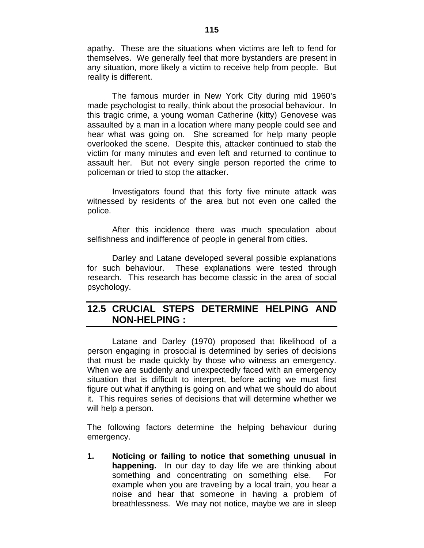apathy. These are the situations when victims are left to fend for themselves. We generally feel that more bystanders are present in any situation, more likely a victim to receive help from people. But reality is different.

The famous murder in New York City during mid 1960's made psychologist to really, think about the prosocial behaviour. In this tragic crime, a young woman Catherine (kitty) Genovese was assaulted by a man in a location where many people could see and hear what was going on. She screamed for help many people overlooked the scene. Despite this, attacker continued to stab the victim for many minutes and even left and returned to continue to assault her. But not every single person reported the crime to policeman or tried to stop the attacker.

Investigators found that this forty five minute attack was witnessed by residents of the area but not even one called the police.

After this incidence there was much speculation about selfishness and indifference of people in general from cities.

Darley and Latane developed several possible explanations for such behaviour. These explanations were tested through research. This research has become classic in the area of social psychology.

## **12.5 CRUCIAL STEPS DETERMINE HELPING AND NON-HELPING :**

Latane and Darley (1970) proposed that likelihood of a person engaging in prosocial is determined by series of decisions that must be made quickly by those who witness an emergency. When we are suddenly and unexpectedly faced with an emergency situation that is difficult to interpret, before acting we must first figure out what if anything is going on and what we should do about it. This requires series of decisions that will determine whether we will help a person.

The following factors determine the helping behaviour during emergency.

**1. Noticing or failing to notice that something unusual in happening.** In our day to day life we are thinking about something and concentrating on something else. For example when you are traveling by a local train, you hear a noise and hear that someone in having a problem of breathlessness. We may not notice, maybe we are in sleep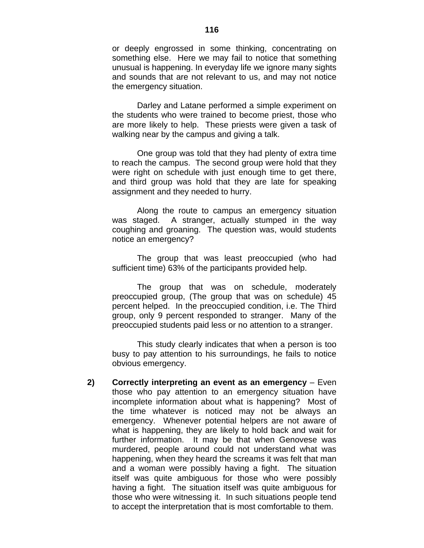or deeply engrossed in some thinking, concentrating on something else. Here we may fail to notice that something unusual is happening. In everyday life we ignore many sights and sounds that are not relevant to us, and may not notice the emergency situation.

 Darley and Latane performed a simple experiment on the students who were trained to become priest, those who are more likely to help. These priests were given a task of walking near by the campus and giving a talk.

 One group was told that they had plenty of extra time to reach the campus. The second group were hold that they were right on schedule with just enough time to get there, and third group was hold that they are late for speaking assignment and they needed to hurry.

 Along the route to campus an emergency situation was staged. A stranger, actually stumped in the way coughing and groaning. The question was, would students notice an emergency?

 The group that was least preoccupied (who had sufficient time) 63% of the participants provided help.

 The group that was on schedule, moderately preoccupied group, (The group that was on schedule) 45 percent helped. In the preoccupied condition, i.e. The Third group, only 9 percent responded to stranger. Many of the preoccupied students paid less or no attention to a stranger.

 This study clearly indicates that when a person is too busy to pay attention to his surroundings, he fails to notice obvious emergency.

**2) Correctly interpreting an event as an emergency – Even** those who pay attention to an emergency situation have incomplete information about what is happening? Most of the time whatever is noticed may not be always an emergency. Whenever potential helpers are not aware of what is happening, they are likely to hold back and wait for further information. It may be that when Genovese was murdered, people around could not understand what was happening, when they heard the screams it was felt that man and a woman were possibly having a fight. The situation itself was quite ambiguous for those who were possibly having a fight. The situation itself was quite ambiguous for those who were witnessing it. In such situations people tend to accept the interpretation that is most comfortable to them.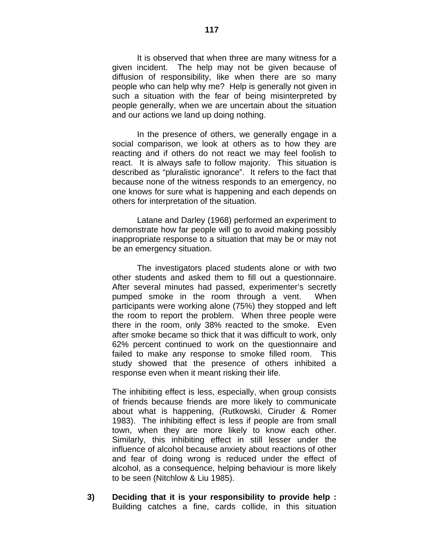It is observed that when three are many witness for a given incident. The help may not be given because of diffusion of responsibility, like when there are so many people who can help why me? Help is generally not given in such a situation with the fear of being misinterpreted by people generally, when we are uncertain about the situation and our actions we land up doing nothing.

 In the presence of others, we generally engage in a social comparison, we look at others as to how they are reacting and if others do not react we may feel foolish to react. It is always safe to follow majority. This situation is described as "pluralistic ignorance". It refers to the fact that because none of the witness responds to an emergency, no one knows for sure what is happening and each depends on others for interpretation of the situation.

 Latane and Darley (1968) performed an experiment to demonstrate how far people will go to avoid making possibly inappropriate response to a situation that may be or may not be an emergency situation.

 The investigators placed students alone or with two other students and asked them to fill out a questionnaire. After several minutes had passed, experimenter's secretly pumped smoke in the room through a vent. When participants were working alone (75%) they stopped and left the room to report the problem. When three people were there in the room, only 38% reacted to the smoke. Even after smoke became so thick that it was difficult to work, only 62% percent continued to work on the questionnaire and failed to make any response to smoke filled room. This study showed that the presence of others inhibited a response even when it meant risking their life.

 The inhibiting effect is less, especially, when group consists of friends because friends are more likely to communicate about what is happening, (Rutkowski, Ciruder & Romer 1983). The inhibiting effect is less if people are from small town, when they are more likely to know each other. Similarly, this inhibiting effect in still lesser under the influence of alcohol because anxiety about reactions of other and fear of doing wrong is reduced under the effect of alcohol, as a consequence, helping behaviour is more likely to be seen (Nitchlow & Liu 1985).

**3) Deciding that it is your responsibility to provide help :**  Building catches a fine, cards collide, in this situation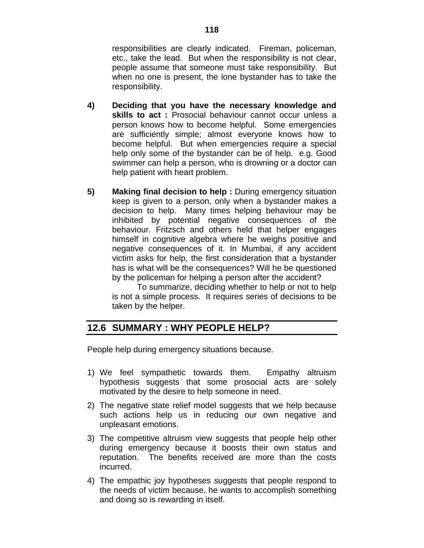responsibilities are clearly indicated. Fireman, policeman, etc., take the lead. But when the responsibility is not clear, people assume that someone must take responsibility. But when no one is present, the lone bystander has to take the responsibility.

- **4) Deciding that you have the necessary knowledge and**  skills to act : Prosocial behaviour cannot occur unless a person knows how to become helpful. Some emergencies are sufficiently simple; almost everyone knows how to become helpful. But when emergencies require a special help only some of the bystander can be of help. e.g. Good swimmer can help a person, who is drowning or a doctor can help patient with heart problem.
- **5) Making final decision to help :** During emergency situation keep is given to a person, only when a bystander makes a decision to help. Many times helping behaviour may be inhibited by potential negative consequences of the behaviour. Fritzsch and others held that helper engages himself in cognitive algebra where he weighs positive and negative consequences of it. In Mumbai, if any accident victim asks for help, the first consideration that a bystander has is what will be the consequences? Will he be questioned by the policeman for helping a person after the accident?

 To summarize, deciding whether to help or not to help is not a simple process. It requires series of decisions to be taken by the helper.

## **12.6 SUMMARY : WHY PEOPLE HELP?**

People help during emergency situations because.

- 1) We feel sympathetic towards them. Empathy altruism hypothesis suggests that some prosocial acts are solely motivated by the desire to help someone in need.
- 2) The negative state relief model suggests that we help because such actions help us in reducing our own negative and unpleasant emotions.
- 3) The competitive altruism view suggests that people help other during emergency because it boosts their own status and reputation. The benefits received are more than the costs incurred.
- 4) The empathic joy hypotheses suggests that people respond to the needs of victim because, he wants to accomplish something and doing so is rewarding in itself.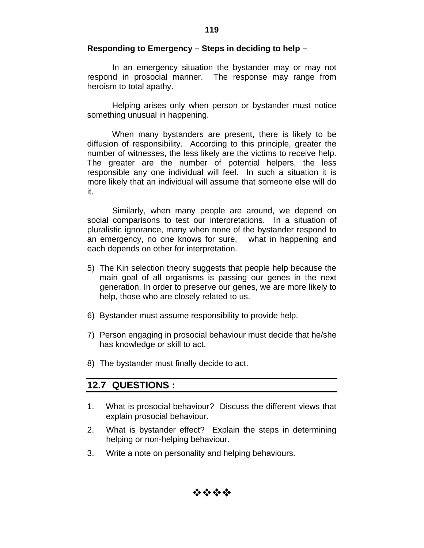#### **Responding to Emergency – Steps in deciding to help –**

In an emergency situation the bystander may or may not respond in prosocial manner. The response may range from heroism to total apathy.

Helping arises only when person or bystander must notice something unusual in happening.

When many bystanders are present, there is likely to be diffusion of responsibility. According to this principle, greater the number of witnesses, the less likely are the victims to receive help. The greater are the number of potential helpers, the less responsible any one individual will feel. In such a situation it is more likely that an individual will assume that someone else will do it.

Similarly, when many people are around, we depend on social comparisons to test our interpretations. In a situation of pluralistic ignorance, many when none of the bystander respond to an emergency, no one knows for sure, what in happening and each depends on other for interpretation.

- 5) The Kin selection theory suggests that people help because the main goal of all organisms is passing our genes in the next generation. In order to preserve our genes, we are more likely to help, those who are closely related to us.
- 6) Bystander must assume responsibility to provide help.
- 7) Person engaging in prosocial behaviour must decide that he/she has knowledge or skill to act.
- 8) The bystander must finally decide to act.

## **12.7 QUESTIONS :**

- 1. What is prosocial behaviour? Discuss the different views that explain prosocial behaviour.
- 2. What is bystander effect? Explain the steps in determining helping or non-helping behaviour.
- 3. Write a note on personality and helping behaviours.

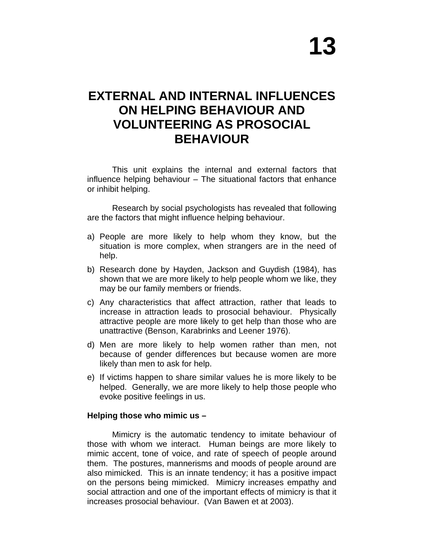## **EXTERNAL AND INTERNAL INFLUENCES ON HELPING BEHAVIOUR AND VOLUNTEERING AS PROSOCIAL BEHAVIOUR**

This unit explains the internal and external factors that influence helping behaviour – The situational factors that enhance or inhibit helping.

Research by social psychologists has revealed that following are the factors that might influence helping behaviour.

- a) People are more likely to help whom they know, but the situation is more complex, when strangers are in the need of help.
- b) Research done by Hayden, Jackson and Guydish (1984), has shown that we are more likely to help people whom we like, they may be our family members or friends.
- c) Any characteristics that affect attraction, rather that leads to increase in attraction leads to prosocial behaviour. Physically attractive people are more likely to get help than those who are unattractive (Benson, Karabrinks and Leener 1976).
- d) Men are more likely to help women rather than men, not because of gender differences but because women are more likely than men to ask for help.
- e) If victims happen to share similar values he is more likely to be helped. Generally, we are more likely to help those people who evoke positive feelings in us.

#### **Helping those who mimic us –**

Mimicry is the automatic tendency to imitate behaviour of those with whom we interact. Human beings are more likely to mimic accent, tone of voice, and rate of speech of people around them. The postures, mannerisms and moods of people around are also mimicked. This is an innate tendency; it has a positive impact on the persons being mimicked. Mimicry increases empathy and social attraction and one of the important effects of mimicry is that it increases prosocial behaviour. (Van Bawen et at 2003).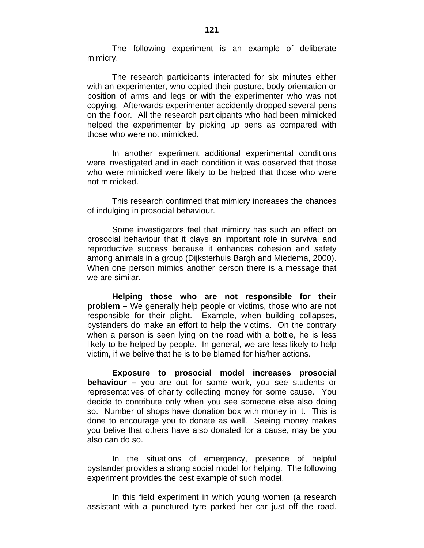The following experiment is an example of deliberate mimicry.

 The research participants interacted for six minutes either with an experimenter, who copied their posture, body orientation or position of arms and legs or with the experimenter who was not copying. Afterwards experimenter accidently dropped several pens on the floor. All the research participants who had been mimicked helped the experimenter by picking up pens as compared with those who were not mimicked.

 In another experiment additional experimental conditions were investigated and in each condition it was observed that those who were mimicked were likely to be helped that those who were not mimicked.

 This research confirmed that mimicry increases the chances of indulging in prosocial behaviour.

 Some investigators feel that mimicry has such an effect on prosocial behaviour that it plays an important role in survival and reproductive success because it enhances cohesion and safety among animals in a group (Dijksterhuis Bargh and Miedema, 2000). When one person mimics another person there is a message that we are similar.

**Helping those who are not responsible for their problem –** We generally help people or victims, those who are not responsible for their plight. Example, when building collapses, bystanders do make an effort to help the victims. On the contrary when a person is seen lying on the road with a bottle, he is less likely to be helped by people. In general, we are less likely to help victim, if we belive that he is to be blamed for his/her actions.

**Exposure to prosocial model increases prosocial behaviour –** you are out for some work, you see students or representatives of charity collecting money for some cause. You decide to contribute only when you see someone else also doing so. Number of shops have donation box with money in it. This is done to encourage you to donate as well. Seeing money makes you belive that others have also donated for a cause, may be you also can do so.

 In the situations of emergency, presence of helpful bystander provides a strong social model for helping. The following experiment provides the best example of such model.

 In this field experiment in which young women (a research assistant with a punctured tyre parked her car just off the road.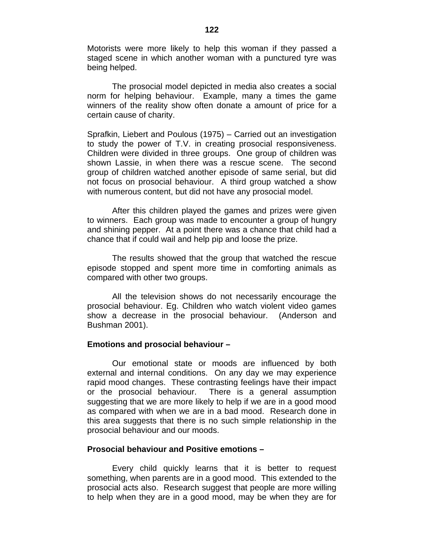Motorists were more likely to help this woman if they passed a staged scene in which another woman with a punctured tyre was being helped.

 The prosocial model depicted in media also creates a social norm for helping behaviour. Example, many a times the game winners of the reality show often donate a amount of price for a certain cause of charity.

Sprafkin, Liebert and Poulous (1975) – Carried out an investigation to study the power of T.V. in creating prosocial responsiveness. Children were divided in three groups. One group of children was shown Lassie, in when there was a rescue scene. The second group of children watched another episode of same serial, but did not focus on prosocial behaviour. A third group watched a show with numerous content, but did not have any prosocial model.

 After this children played the games and prizes were given to winners. Each group was made to encounter a group of hungry and shining pepper. At a point there was a chance that child had a chance that if could wail and help pip and loose the prize.

 The results showed that the group that watched the rescue episode stopped and spent more time in comforting animals as compared with other two groups.

 All the television shows do not necessarily encourage the prosocial behaviour. Eg. Children who watch violent video games show a decrease in the prosocial behaviour. (Anderson and Bushman 2001).

#### **Emotions and prosocial behaviour –**

Our emotional state or moods are influenced by both external and internal conditions. On any day we may experience rapid mood changes. These contrasting feelings have their impact or the prosocial behaviour. There is a general assumption suggesting that we are more likely to help if we are in a good mood as compared with when we are in a bad mood. Research done in this area suggests that there is no such simple relationship in the prosocial behaviour and our moods.

#### **Prosocial behaviour and Positive emotions –**

Every child quickly learns that it is better to request something, when parents are in a good mood. This extended to the prosocial acts also. Research suggest that people are more willing to help when they are in a good mood, may be when they are for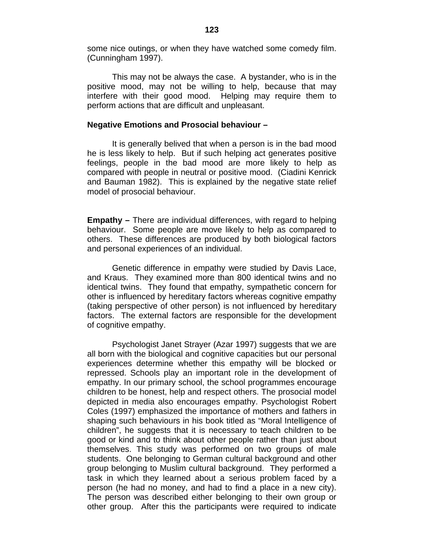some nice outings, or when they have watched some comedy film. (Cunningham 1997).

 This may not be always the case. A bystander, who is in the positive mood, may not be willing to help, because that may interfere with their good mood. Helping may require them to perform actions that are difficult and unpleasant.

#### **Negative Emotions and Prosocial behaviour –**

It is generally belived that when a person is in the bad mood he is less likely to help. But if such helping act generates positive feelings, people in the bad mood are more likely to help as compared with people in neutral or positive mood. (Ciadini Kenrick and Bauman 1982). This is explained by the negative state relief model of prosocial behaviour.

**Empathy –** There are individual differences, with regard to helping behaviour. Some people are move likely to help as compared to others. These differences are produced by both biological factors and personal experiences of an individual.

 Genetic difference in empathy were studied by Davis Lace, and Kraus. They examined more than 800 identical twins and no identical twins. They found that empathy, sympathetic concern for other is influenced by hereditary factors whereas cognitive empathy (taking perspective of other person) is not influenced by hereditary factors. The external factors are responsible for the development of cognitive empathy.

 Psychologist Janet Strayer (Azar 1997) suggests that we are all born with the biological and cognitive capacities but our personal experiences determine whether this empathy will be blocked or repressed. Schools play an important role in the development of empathy. In our primary school, the school programmes encourage children to be honest, help and respect others. The prosocial model depicted in media also encourages empathy. Psychologist Robert Coles (1997) emphasized the importance of mothers and fathers in shaping such behaviours in his book titled as "Moral Intelligence of children", he suggests that it is necessary to teach children to be good or kind and to think about other people rather than just about themselves. This study was performed on two groups of male students. One belonging to German cultural background and other group belonging to Muslim cultural background. They performed a task in which they learned about a serious problem faced by a person (he had no money, and had to find a place in a new city). The person was described either belonging to their own group or other group. After this the participants were required to indicate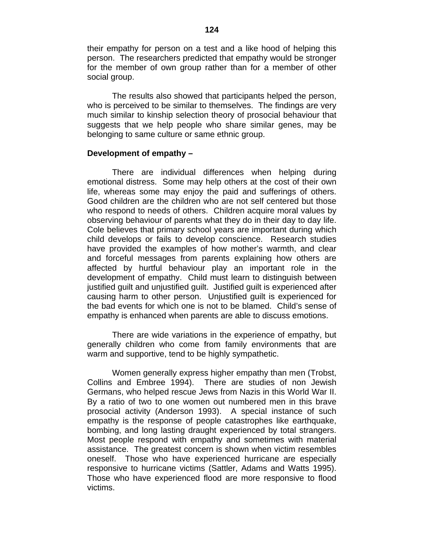their empathy for person on a test and a like hood of helping this person. The researchers predicted that empathy would be stronger for the member of own group rather than for a member of other social group.

 The results also showed that participants helped the person, who is perceived to be similar to themselves. The findings are very much similar to kinship selection theory of prosocial behaviour that suggests that we help people who share similar genes, may be belonging to same culture or same ethnic group.

#### **Development of empathy –**

 There are individual differences when helping during emotional distress. Some may help others at the cost of their own life, whereas some may enjoy the paid and sufferings of others. Good children are the children who are not self centered but those who respond to needs of others. Children acquire moral values by observing behaviour of parents what they do in their day to day life. Cole believes that primary school years are important during which child develops or fails to develop conscience. Research studies have provided the examples of how mother's warmth, and clear and forceful messages from parents explaining how others are affected by hurtful behaviour play an important role in the development of empathy. Child must learn to distinguish between justified guilt and unjustified guilt. Justified guilt is experienced after causing harm to other person. Unjustified guilt is experienced for the bad events for which one is not to be blamed. Child's sense of empathy is enhanced when parents are able to discuss emotions.

 There are wide variations in the experience of empathy, but generally children who come from family environments that are warm and supportive, tend to be highly sympathetic.

 Women generally express higher empathy than men (Trobst, Collins and Embree 1994). There are studies of non Jewish Germans, who helped rescue Jews from Nazis in this World War II. By a ratio of two to one women out numbered men in this brave prosocial activity (Anderson 1993). A special instance of such empathy is the response of people catastrophes like earthquake, bombing, and long lasting draught experienced by total strangers. Most people respond with empathy and sometimes with material assistance. The greatest concern is shown when victim resembles oneself. Those who have experienced hurricane are especially responsive to hurricane victims (Sattler, Adams and Watts 1995). Those who have experienced flood are more responsive to flood victims.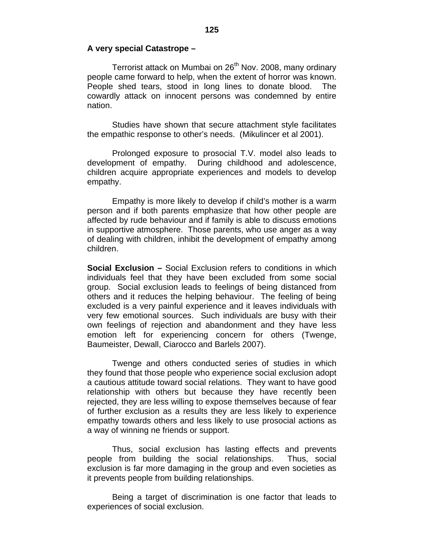#### **A very special Catastrope –**

Terrorist attack on Mumbai on 26<sup>th</sup> Nov. 2008, many ordinary people came forward to help, when the extent of horror was known. People shed tears, stood in long lines to donate blood. The cowardly attack on innocent persons was condemned by entire nation.

 Studies have shown that secure attachment style facilitates the empathic response to other's needs. (Mikulincer et al 2001).

 Prolonged exposure to prosocial T.V. model also leads to development of empathy. During childhood and adolescence, children acquire appropriate experiences and models to develop empathy.

 Empathy is more likely to develop if child's mother is a warm person and if both parents emphasize that how other people are affected by rude behaviour and if family is able to discuss emotions in supportive atmosphere. Those parents, who use anger as a way of dealing with children, inhibit the development of empathy among children.

**Social Exclusion –** Social Exclusion refers to conditions in which individuals feel that they have been excluded from some social group. Social exclusion leads to feelings of being distanced from others and it reduces the helping behaviour. The feeling of being excluded is a very painful experience and it leaves individuals with very few emotional sources. Such individuals are busy with their own feelings of rejection and abandonment and they have less emotion left for experiencing concern for others (Twenge, Baumeister, Dewall, Ciarocco and Barlels 2007).

 Twenge and others conducted series of studies in which they found that those people who experience social exclusion adopt a cautious attitude toward social relations. They want to have good relationship with others but because they have recently been rejected, they are less willing to expose themselves because of fear of further exclusion as a results they are less likely to experience empathy towards others and less likely to use prosocial actions as a way of winning ne friends or support.

 Thus, social exclusion has lasting effects and prevents people from building the social relationships. Thus, social exclusion is far more damaging in the group and even societies as it prevents people from building relationships.

 Being a target of discrimination is one factor that leads to experiences of social exclusion.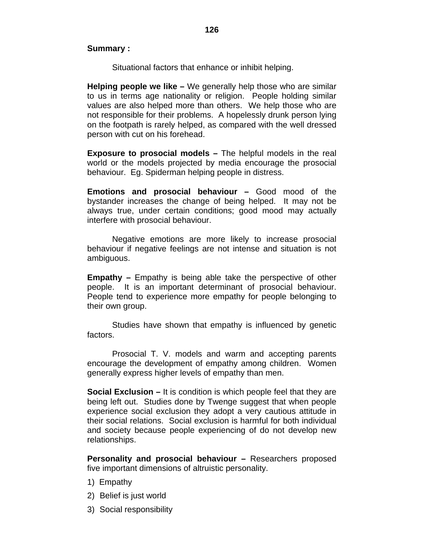#### **Summary :**

Situational factors that enhance or inhibit helping.

**Helping people we like –** We generally help those who are similar to us in terms age nationality or religion. People holding similar values are also helped more than others. We help those who are not responsible for their problems. A hopelessly drunk person lying on the footpath is rarely helped, as compared with the well dressed person with cut on his forehead.

**Exposure to prosocial models –** The helpful models in the real world or the models projected by media encourage the prosocial behaviour. Eg. Spiderman helping people in distress.

**Emotions and prosocial behaviour –** Good mood of the bystander increases the change of being helped. It may not be always true, under certain conditions; good mood may actually interfere with prosocial behaviour.

 Negative emotions are more likely to increase prosocial behaviour if negative feelings are not intense and situation is not ambiguous.

**Empathy –** Empathy is being able take the perspective of other people. It is an important determinant of prosocial behaviour. People tend to experience more empathy for people belonging to their own group.

 Studies have shown that empathy is influenced by genetic factors.

 Prosocial T. V. models and warm and accepting parents encourage the development of empathy among children. Women generally express higher levels of empathy than men.

**Social Exclusion –** It is condition is which people feel that they are being left out. Studies done by Twenge suggest that when people experience social exclusion they adopt a very cautious attitude in their social relations. Social exclusion is harmful for both individual and society because people experiencing of do not develop new relationships.

**Personality and prosocial behaviour –** Researchers proposed five important dimensions of altruistic personality.

- 1) Empathy
- 2) Belief is just world
- 3) Social responsibility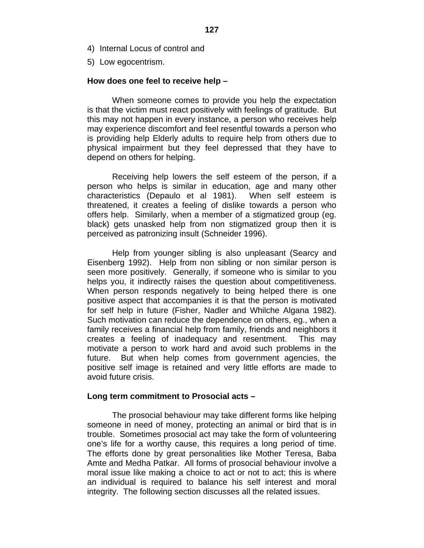- 4) Internal Locus of control and
- 5) Low egocentrism.

#### **How does one feel to receive help –**

 When someone comes to provide you help the expectation is that the victim must react positively with feelings of gratitude. But this may not happen in every instance, a person who receives help may experience discomfort and feel resentful towards a person who is providing help Elderly adults to require help from others due to physical impairment but they feel depressed that they have to depend on others for helping.

 Receiving help lowers the self esteem of the person, if a person who helps is similar in education, age and many other characteristics (Depaulo et al 1981). When self esteem is threatened, it creates a feeling of dislike towards a person who offers help. Similarly, when a member of a stigmatized group (eg. black) gets unasked help from non stigmatized group then it is perceived as patronizing insult (Schneider 1996).

 Help from younger sibling is also unpleasant (Searcy and Eisenberg 1992). Help from non sibling or non similar person is seen more positively. Generally, if someone who is similar to you helps you, it indirectly raises the question about competitiveness. When person responds negatively to being helped there is one positive aspect that accompanies it is that the person is motivated for self help in future (Fisher, Nadler and Whilche Algana 1982). Such motivation can reduce the dependence on others, eg., when a family receives a financial help from family, friends and neighbors it creates a feeling of inadequacy and resentment. This may motivate a person to work hard and avoid such problems in the future. But when help comes from government agencies, the positive self image is retained and very little efforts are made to avoid future crisis.

#### **Long term commitment to Prosocial acts –**

 The prosocial behaviour may take different forms like helping someone in need of money, protecting an animal or bird that is in trouble. Sometimes prosocial act may take the form of volunteering one's life for a worthy cause, this requires a long period of time. The efforts done by great personalities like Mother Teresa, Baba Amte and Medha Patkar. All forms of prosocial behaviour involve a moral issue like making a choice to act or not to act; this is where an individual is required to balance his self interest and moral integrity. The following section discusses all the related issues.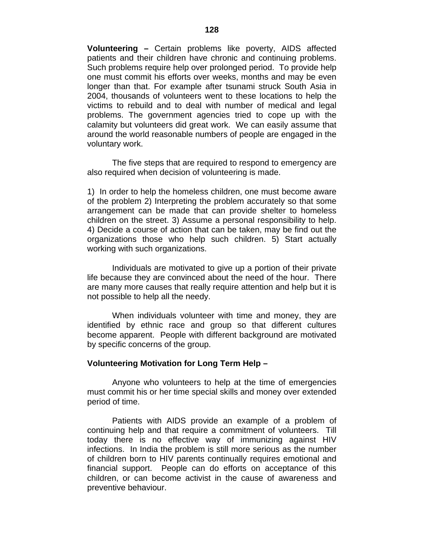**Volunteering –** Certain problems like poverty, AIDS affected patients and their children have chronic and continuing problems. Such problems require help over prolonged period. To provide help one must commit his efforts over weeks, months and may be even longer than that. For example after tsunami struck South Asia in 2004, thousands of volunteers went to these locations to help the victims to rebuild and to deal with number of medical and legal problems. The government agencies tried to cope up with the calamity but volunteers did great work. We can easily assume that around the world reasonable numbers of people are engaged in the voluntary work.

 The five steps that are required to respond to emergency are also required when decision of volunteering is made.

1) In order to help the homeless children, one must become aware of the problem 2) Interpreting the problem accurately so that some arrangement can be made that can provide shelter to homeless children on the street. 3) Assume a personal responsibility to help. 4) Decide a course of action that can be taken, may be find out the organizations those who help such children. 5) Start actually working with such organizations.

 Individuals are motivated to give up a portion of their private life because they are convinced about the need of the hour. There are many more causes that really require attention and help but it is not possible to help all the needy.

 When individuals volunteer with time and money, they are identified by ethnic race and group so that different cultures become apparent. People with different background are motivated by specific concerns of the group.

#### **Volunteering Motivation for Long Term Help –**

 Anyone who volunteers to help at the time of emergencies must commit his or her time special skills and money over extended period of time.

 Patients with AIDS provide an example of a problem of continuing help and that require a commitment of volunteers. Till today there is no effective way of immunizing against HIV infections. In India the problem is still more serious as the number of children born to HIV parents continually requires emotional and financial support. People can do efforts on acceptance of this children, or can become activist in the cause of awareness and preventive behaviour.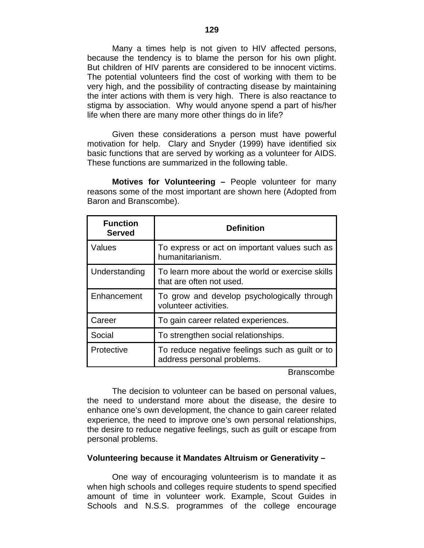Many a times help is not given to HIV affected persons, because the tendency is to blame the person for his own plight. But children of HIV parents are considered to be innocent victims. The potential volunteers find the cost of working with them to be very high, and the possibility of contracting disease by maintaining the inter actions with them is very high. There is also reactance to stigma by association. Why would anyone spend a part of his/her life when there are many more other things do in life?

 Given these considerations a person must have powerful motivation for help. Clary and Snyder (1999) have identified six basic functions that are served by working as a volunteer for AIDS. These functions are summarized in the following table.

**Motives for Volunteering –** People volunteer for many reasons some of the most important are shown here (Adopted from Baron and Branscombe).

| <b>Function</b><br><b>Served</b> | <b>Definition</b>                                                             |  |  |
|----------------------------------|-------------------------------------------------------------------------------|--|--|
| Values                           | To express or act on important values such as<br>humanitarianism.             |  |  |
| Understanding                    | To learn more about the world or exercise skills<br>that are often not used.  |  |  |
| Enhancement                      | To grow and develop psychologically through<br>volunteer activities.          |  |  |
| Career                           | To gain career related experiences.                                           |  |  |
| Social                           | To strengthen social relationships.                                           |  |  |
| Protective                       | To reduce negative feelings such as guilt or to<br>address personal problems. |  |  |

Branscombe

 The decision to volunteer can be based on personal values, the need to understand more about the disease, the desire to enhance one's own development, the chance to gain career related experience, the need to improve one's own personal relationships, the desire to reduce negative feelings, such as guilt or escape from personal problems.

#### **Volunteering because it Mandates Altruism or Generativity –**

 One way of encouraging volunteerism is to mandate it as when high schools and colleges require students to spend specified amount of time in volunteer work. Example, Scout Guides in Schools and N.S.S. programmes of the college encourage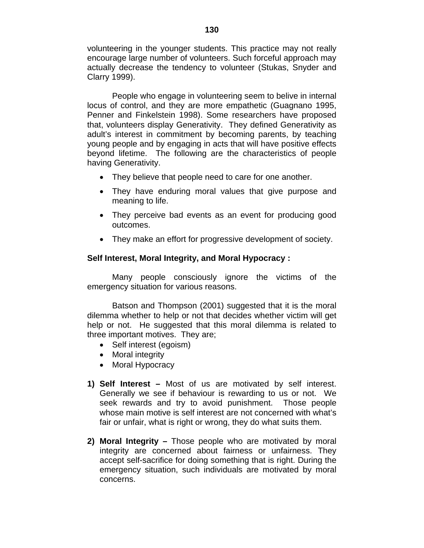volunteering in the younger students. This practice may not really encourage large number of volunteers. Such forceful approach may actually decrease the tendency to volunteer (Stukas, Snyder and Clarry 1999).

 People who engage in volunteering seem to belive in internal locus of control, and they are more empathetic (Guagnano 1995, Penner and Finkelstein 1998). Some researchers have proposed that, volunteers display Generativity. They defined Generativity as adult's interest in commitment by becoming parents, by teaching young people and by engaging in acts that will have positive effects beyond lifetime. The following are the characteristics of people having Generativity.

- They believe that people need to care for one another.
- They have enduring moral values that give purpose and meaning to life.
- They perceive bad events as an event for producing good outcomes.
- They make an effort for progressive development of society.

#### **Self Interest, Moral Integrity, and Moral Hypocracy :**

 Many people consciously ignore the victims of the emergency situation for various reasons.

 Batson and Thompson (2001) suggested that it is the moral dilemma whether to help or not that decides whether victim will get help or not. He suggested that this moral dilemma is related to three important motives. They are;

- Self interest (egoism)
- Moral integrity
- Moral Hypocracy
- **1) Self Interest –** Most of us are motivated by self interest. Generally we see if behaviour is rewarding to us or not. We seek rewards and try to avoid punishment. Those people whose main motive is self interest are not concerned with what's fair or unfair, what is right or wrong, they do what suits them.
- **2) Moral Integrity –** Those people who are motivated by moral integrity are concerned about fairness or unfairness. They accept self-sacrifice for doing something that is right. During the emergency situation, such individuals are motivated by moral concerns.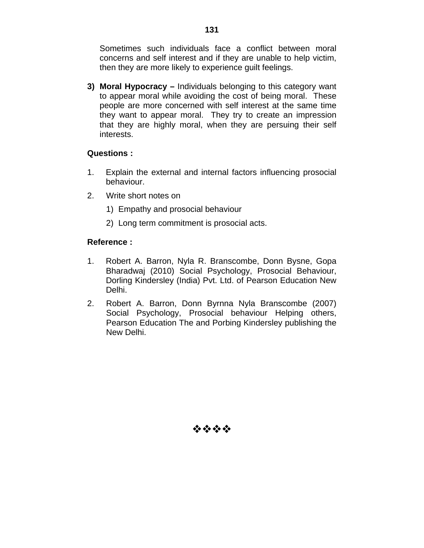Sometimes such individuals face a conflict between moral concerns and self interest and if they are unable to help victim, then they are more likely to experience guilt feelings.

**3) Moral Hypocracy –** Individuals belonging to this category want to appear moral while avoiding the cost of being moral. These people are more concerned with self interest at the same time they want to appear moral. They try to create an impression that they are highly moral, when they are persuing their self interests.

## **Questions :**

- 1. Explain the external and internal factors influencing prosocial behaviour.
- 2. Write short notes on
	- 1) Empathy and prosocial behaviour
	- 2)Long term commitment is prosocial acts.

## **Reference :**

- 1. Robert A. Barron, Nyla R. Branscombe, Donn Bysne, Gopa Bharadwaj (2010) Social Psychology, Prosocial Behaviour, Dorling Kindersley (India) Pvt. Ltd. of Pearson Education New Delhi.
- 2. Robert A. Barron, Donn Byrnna Nyla Branscombe (2007) Social Psychology, Prosocial behaviour Helping others, Pearson Education The and Porbing Kindersley publishing the New Delhi.

经合金额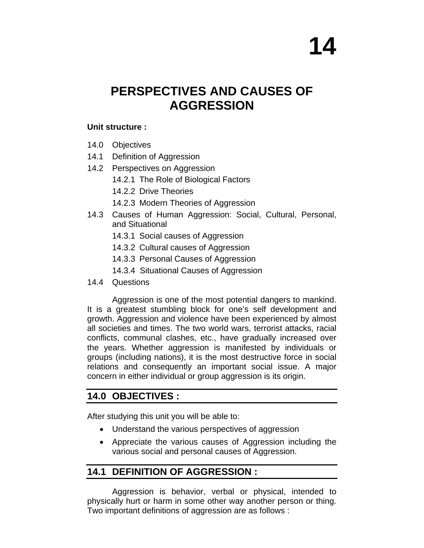# **14**

# **PERSPECTIVES AND CAUSES OF AGGRESSION**

## **Unit structure :**

- 14.0 Objectives
- 14.1 Definition of Aggression
- 14.2 Perspectives on Aggression
	- 14.2.1 The Role of Biological Factors
	- 14.2.2 Drive Theories
	- 14.2.3 Modern Theories of Aggression
- 14.3 Causes of Human Aggression: Social, Cultural, Personal, and Situational
	- 14.3.1 Social causes of Aggression
	- 14.3.2 Cultural causes of Aggression
	- 14.3.3 Personal Causes of Aggression
	- 14.3.4 Situational Causes of Aggression
- 14.4 Questions

Aggression is one of the most potential dangers to mankind. It is a greatest stumbling block for one's self development and growth. Aggression and violence have been experienced by almost all societies and times. The two world wars, terrorist attacks, racial conflicts, communal clashes, etc., have gradually increased over the years. Whether aggression is manifested by individuals or groups (including nations), it is the most destructive force in social relations and consequently an important social issue. A major concern in either individual or group aggression is its origin.

## **14.0 OBJECTIVES :**

After studying this unit you will be able to:

- Understand the various perspectives of aggression
- Appreciate the various causes of Aggression including the various social and personal causes of Aggression.

## **14.1 DEFINITION OF AGGRESSION :**

Aggression is behavior, verbal or physical, intended to physically hurt or harm in some other way another person or thing. Two important definitions of aggression are as follows :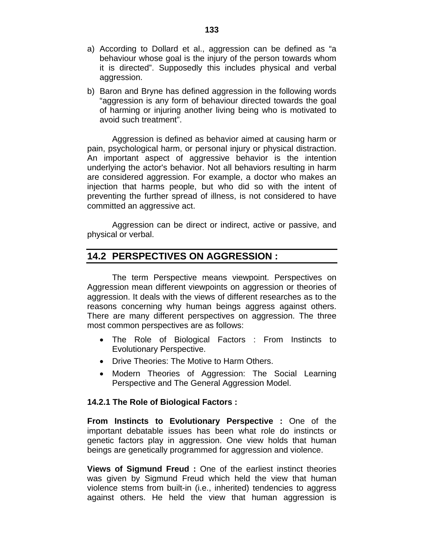- a) According to Dollard et al., aggression can be defined as "a behaviour whose goal is the injury of the person towards whom it is directed". Supposedly this includes physical and verbal aggression.
- b) Baron and Bryne has defined aggression in the following words "aggression is any form of behaviour directed towards the goal of harming or injuring another living being who is motivated to avoid such treatment".

Aggression is defined as behavior aimed at causing harm or pain, psychological harm, or personal injury or physical distraction. An important aspect of aggressive behavior is the intention underlying the actor's behavior. Not all behaviors resulting in harm are considered aggression. For example, a doctor who makes an injection that harms people, but who did so with the intent of preventing the further spread of illness, is not considered to have committed an aggressive act.

Aggression can be direct or indirect, active or passive, and physical or verbal.

## **14.2 PERSPECTIVES ON AGGRESSION :**

The term Perspective means viewpoint. Perspectives on Aggression mean different viewpoints on aggression or theories of aggression. It deals with the views of different researches as to the reasons concerning why human beings aggress against others. There are many different perspectives on aggression. The three most common perspectives are as follows:

- The Role of Biological Factors : From Instincts to Evolutionary Perspective.
- Drive Theories: The Motive to Harm Others.
- Modern Theories of Aggression: The Social Learning Perspective and The General Aggression Model.

#### **14.2.1 The Role of Biological Factors :**

**From Instincts to Evolutionary Perspective :** One of the important debatable issues has been what role do instincts or genetic factors play in aggression. One view holds that human beings are genetically programmed for aggression and violence.

**Views of Sigmund Freud :** One of the earliest instinct theories was given by Sigmund Freud which held the view that human violence stems from built-in (i.e., inherited) tendencies to aggress against others. He held the view that human aggression is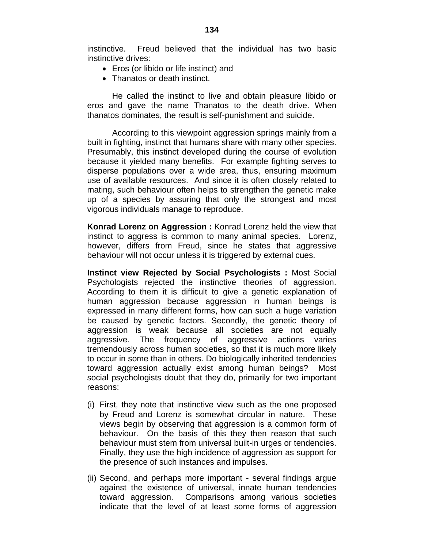instinctive. Freud believed that the individual has two basic instinctive drives:

- Eros (or libido or life instinct) and
- Thanatos or death instinct.

He called the instinct to live and obtain pleasure libido or eros and gave the name Thanatos to the death drive. When thanatos dominates, the result is self-punishment and suicide.

According to this viewpoint aggression springs mainly from a built in fighting, instinct that humans share with many other species. Presumably, this instinct developed during the course of evolution because it yielded many benefits. For example fighting serves to disperse populations over a wide area, thus, ensuring maximum use of available resources. And since it is often closely related to mating, such behaviour often helps to strengthen the genetic make up of a species by assuring that only the strongest and most vigorous individuals manage to reproduce.

**Konrad Lorenz on Aggression :** Konrad Lorenz held the view that instinct to aggress is common to many animal species. Lorenz, however, differs from Freud, since he states that aggressive behaviour will not occur unless it is triggered by external cues.

**Instinct view Rejected by Social Psychologists :** Most Social Psychologists rejected the instinctive theories of aggression. According to them it is difficult to give a genetic explanation of human aggression because aggression in human beings is expressed in many different forms, how can such a huge variation be caused by genetic factors. Secondly, the genetic theory of aggression is weak because all societies are not equally aggressive. The frequency of aggressive actions varies tremendously across human societies, so that it is much more likely to occur in some than in others. Do biologically inherited tendencies toward aggression actually exist among human beings? Most social psychologists doubt that they do, primarily for two important reasons:

- (i) First, they note that instinctive view such as the one proposed by Freud and Lorenz is somewhat circular in nature. These views begin by observing that aggression is a common form of behaviour. On the basis of this they then reason that such behaviour must stem from universal built-in urges or tendencies. Finally, they use the high incidence of aggression as support for the presence of such instances and impulses.
- (ii) Second, and perhaps more important several findings argue against the existence of universal, innate human tendencies toward aggression. Comparisons among various societies indicate that the level of at least some forms of aggression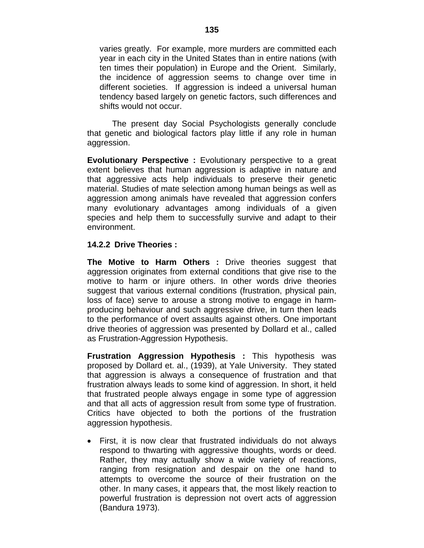varies greatly. For example, more murders are committed each year in each city in the United States than in entire nations (with ten times their population) in Europe and the Orient. Similarly, the incidence of aggression seems to change over time in different societies. If aggression is indeed a universal human tendency based largely on genetic factors, such differences and shifts would not occur.

 The present day Social Psychologists generally conclude that genetic and biological factors play little if any role in human aggression.

**Evolutionary Perspective :** Evolutionary perspective to a great extent believes that human aggression is adaptive in nature and that aggressive acts help individuals to preserve their genetic material. Studies of mate selection among human beings as well as aggression among animals have revealed that aggression confers many evolutionary advantages among individuals of a given species and help them to successfully survive and adapt to their environment.

#### **14.2.2 Drive Theories :**

**The Motive to Harm Others :** Drive theories suggest that aggression originates from external conditions that give rise to the motive to harm or injure others. In other words drive theories suggest that various external conditions (frustration, physical pain, loss of face) serve to arouse a strong motive to engage in harmproducing behaviour and such aggressive drive, in turn then leads to the performance of overt assaults against others. One important drive theories of aggression was presented by Dollard et al., called as Frustration-Aggression Hypothesis.

**Frustration Aggression Hypothesis :** This hypothesis was proposed by Dollard et. al., (1939), at Yale University. They stated that aggression is always a consequence of frustration and that frustration always leads to some kind of aggression. In short, it held that frustrated people always engage in some type of aggression and that all acts of aggression result from some type of frustration. Critics have objected to both the portions of the frustration aggression hypothesis.

• First, it is now clear that frustrated individuals do not always respond to thwarting with aggressive thoughts, words or deed. Rather, they may actually show a wide variety of reactions, ranging from resignation and despair on the one hand to attempts to overcome the source of their frustration on the other. In many cases, it appears that, the most likely reaction to powerful frustration is depression not overt acts of aggression (Bandura 1973).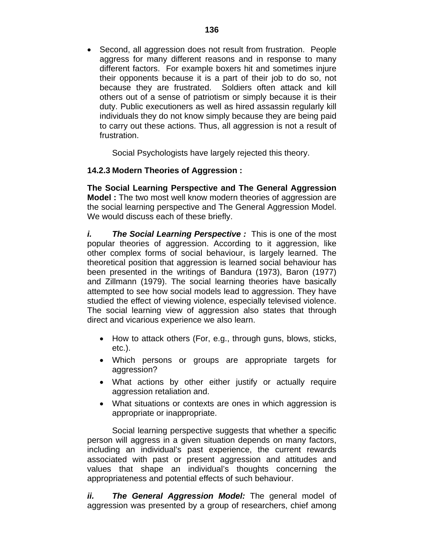• Second, all aggression does not result from frustration. People aggress for many different reasons and in response to many different factors. For example boxers hit and sometimes injure their opponents because it is a part of their job to do so, not because they are frustrated. Soldiers often attack and kill others out of a sense of patriotism or simply because it is their duty. Public executioners as well as hired assassin regularly kill individuals they do not know simply because they are being paid to carry out these actions. Thus, all aggression is not a result of frustration.

Social Psychologists have largely rejected this theory.

## **14.2.3 Modern Theories of Aggression :**

**The Social Learning Perspective and The General Aggression Model :** The two most well know modern theories of aggression are the social learning perspective and The General Aggression Model. We would discuss each of these briefly.

*i.* The Social Learning Perspective: This is one of the most popular theories of aggression. According to it aggression, like other complex forms of social behaviour, is largely learned. The theoretical position that aggression is learned social behaviour has been presented in the writings of Bandura (1973), Baron (1977) and Zillmann (1979). The social learning theories have basically attempted to see how social models lead to aggression. They have studied the effect of viewing violence, especially televised violence. The social learning view of aggression also states that through direct and vicarious experience we also learn.

- How to attack others (For, e.g., through guns, blows, sticks, etc.).
- Which persons or groups are appropriate targets for aggression?
- What actions by other either justify or actually require aggression retaliation and.
- What situations or contexts are ones in which aggression is appropriate or inappropriate.

Social learning perspective suggests that whether a specific person will aggress in a given situation depends on many factors, including an individual's past experience, the current rewards associated with past or present aggression and attitudes and values that shape an individual's thoughts concerning the appropriateness and potential effects of such behaviour.

*ii. The General Aggression Model:* The general model of aggression was presented by a group of researchers, chief among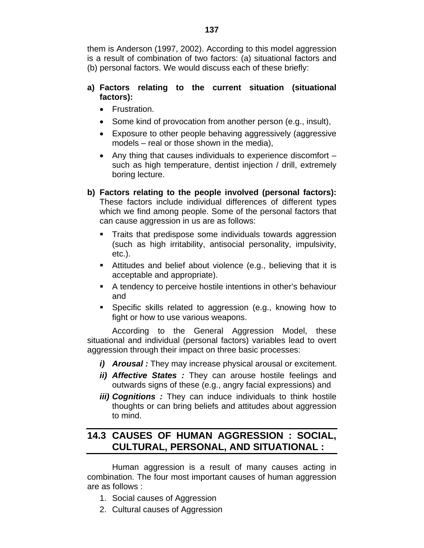them is Anderson (1997, 2002). According to this model aggression is a result of combination of two factors: (a) situational factors and (b) personal factors. We would discuss each of these briefly:

- **a) Factors relating to the current situation (situational factors):** 
	- Frustration.
	- Some kind of provocation from another person (e.g., insult),
	- Exposure to other people behaving aggressively (aggressive models – real or those shown in the media),
	- Any thing that causes individuals to experience discomfort such as high temperature, dentist injection / drill, extremely boring lecture.
- **b) Factors relating to the people involved (personal factors):**  These factors include individual differences of different types which we find among people. Some of the personal factors that can cause aggression in us are as follows:
	- **Traits that predispose some individuals towards aggression** (such as high irritability, antisocial personality, impulsivity, etc.).
	- Attitudes and belief about violence (e.g., believing that it is acceptable and appropriate).
	- A tendency to perceive hostile intentions in other's behaviour and
	- Specific skills related to aggression (e.g., knowing how to fight or how to use various weapons.

According to the General Aggression Model, these situational and individual (personal factors) variables lead to overt aggression through their impact on three basic processes:

- *i) Arousal :* They may increase physical arousal or excitement.
- *ii) Affective States :* They can arouse hostile feelings and outwards signs of these (e.g., angry facial expressions) and
- *iii) Cognitions :* They can induce individuals to think hostile thoughts or can bring beliefs and attitudes about aggression to mind.

## **14.3 CAUSES OF HUMAN AGGRESSION : SOCIAL, CULTURAL, PERSONAL, AND SITUATIONAL :**

Human aggression is a result of many causes acting in combination. The four most important causes of human aggression are as follows :

- 1. Social causes of Aggression
- 2. Cultural causes of Aggression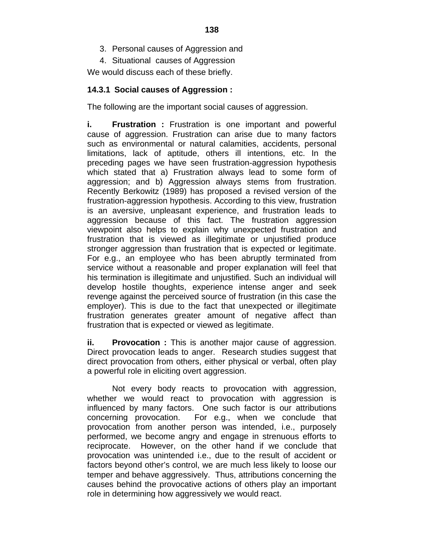- 3. Personal causes of Aggression and
- 4. Situational causes of Aggression

We would discuss each of these briefly.

#### **14.3.1 Social causes of Aggression :**

The following are the important social causes of aggression.

**i.** Frustration: Frustration is one important and powerful cause of aggression. Frustration can arise due to many factors such as environmental or natural calamities, accidents, personal limitations, lack of aptitude, others ill intentions, etc. In the preceding pages we have seen frustration-aggression hypothesis which stated that a) Frustration always lead to some form of aggression; and b) Aggression always stems from frustration. Recently Berkowitz (1989) has proposed a revised version of the frustration-aggression hypothesis. According to this view, frustration is an aversive, unpleasant experience, and frustration leads to aggression because of this fact. The frustration aggression viewpoint also helps to explain why unexpected frustration and frustration that is viewed as illegitimate or unjustified produce stronger aggression than frustration that is expected or legitimate. For e.g., an employee who has been abruptly terminated from service without a reasonable and proper explanation will feel that his termination is illegitimate and unjustified. Such an individual will develop hostile thoughts, experience intense anger and seek revenge against the perceived source of frustration (in this case the employer). This is due to the fact that unexpected or illegitimate frustration generates greater amount of negative affect than frustration that is expected or viewed as legitimate.

**ii. Provocation :** This is another major cause of aggression. Direct provocation leads to anger. Research studies suggest that direct provocation from others, either physical or verbal, often play a powerful role in eliciting overt aggression.

 Not every body reacts to provocation with aggression, whether we would react to provocation with aggression is influenced by many factors. One such factor is our attributions concerning provocation. For e.g., when we conclude that provocation from another person was intended, i.e., purposely performed, we become angry and engage in strenuous efforts to reciprocate. However, on the other hand if we conclude that provocation was unintended i.e., due to the result of accident or factors beyond other's control, we are much less likely to loose our temper and behave aggressively. Thus, attributions concerning the causes behind the provocative actions of others play an important role in determining how aggressively we would react.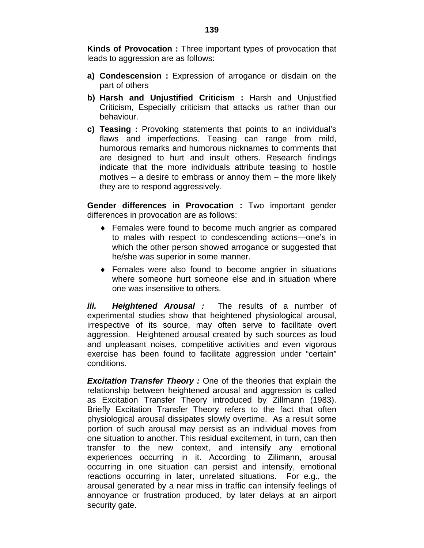**Kinds of Provocation :** Three important types of provocation that leads to aggression are as follows:

- **a) Condescension :** Expression of arrogance or disdain on the part of others
- **b) Harsh and Unjustified Criticism :** Harsh and Unjustified Criticism, Especially criticism that attacks us rather than our behaviour.
- **c) Teasing :** Provoking statements that points to an individual's flaws and imperfections. Teasing can range from mild, humorous remarks and humorous nicknames to comments that are designed to hurt and insult others. Research findings indicate that the more individuals attribute teasing to hostile motives – a desire to embrass or annoy them – the more likely they are to respond aggressively.

**Gender differences in Provocation :** Two important gender differences in provocation are as follows:

- ♦ Females were found to become much angrier as compared to males with respect to condescending actions—one's in which the other person showed arrogance or suggested that he/she was superior in some manner.
- ♦ Females were also found to become angrier in situations where someone hurt someone else and in situation where one was insensitive to others.

*iii. Heightened Arousal :* The results of a number of experimental studies show that heightened physiological arousal, irrespective of its source, may often serve to facilitate overt aggression. Heightened arousal created by such sources as loud and unpleasant noises, competitive activities and even vigorous exercise has been found to facilitate aggression under "certain" conditions.

*Excitation Transfer Theory : One of the theories that explain the* relationship between heightened arousal and aggression is called as Excitation Transfer Theory introduced by Zillmann (1983). Briefly Excitation Transfer Theory refers to the fact that often physiological arousal dissipates slowly overtime. As a result some portion of such arousal may persist as an individual moves from one situation to another. This residual excitement, in turn, can then transfer to the new context, and intensify any emotional experiences occurring in it. According to Zilimann, arousal occurring in one situation can persist and intensify, emotional reactions occurring in later, unrelated situations. For e.g., the arousal generated by a near miss in traffic can intensify feelings of annoyance or frustration produced, by later delays at an airport security gate.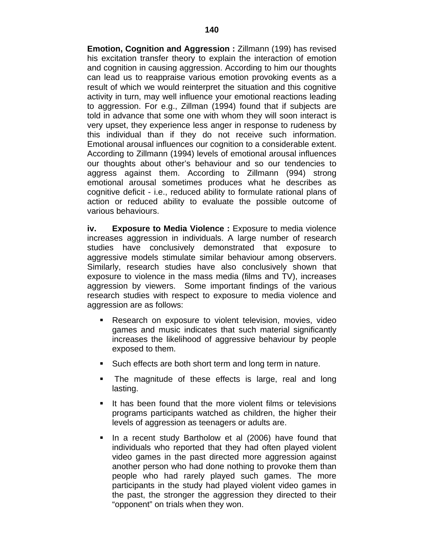**Emotion, Cognition and Aggression :** Zillmann (199) has revised his excitation transfer theory to explain the interaction of emotion and cognition in causing aggression. According to him our thoughts can lead us to reappraise various emotion provoking events as a result of which we would reinterpret the situation and this cognitive activity in turn, may well influence your emotional reactions leading to aggression. For e.g., Zillman (1994) found that if subjects are told in advance that some one with whom they will soon interact is very upset, they experience less anger in response to rudeness by this individual than if they do not receive such information. Emotional arousal influences our cognition to a considerable extent. According to Zillmann (1994) levels of emotional arousal influences our thoughts about other's behaviour and so our tendencies to aggress against them. According to Zillmann (994) strong emotional arousal sometimes produces what he describes as cognitive deficit - i.e., reduced ability to formulate rational plans of action or reduced ability to evaluate the possible outcome of various behaviours.

**iv.** Exposure to Media Violence: Exposure to media violence increases aggression in individuals. A large number of research studies have conclusively demonstrated that exposure to aggressive models stimulate similar behaviour among observers. Similarly, research studies have also conclusively shown that exposure to violence in the mass media (films and TV), increases aggression by viewers. Some important findings of the various research studies with respect to exposure to media violence and aggression are as follows:

- Research on exposure to violent television, movies, video games and music indicates that such material significantly increases the likelihood of aggressive behaviour by people exposed to them.
- Such effects are both short term and long term in nature.
- The magnitude of these effects is large, real and long lasting.
- If has been found that the more violent films or televisions programs participants watched as children, the higher their levels of aggression as teenagers or adults are.
- In a recent study Bartholow et al (2006) have found that individuals who reported that they had often played violent video games in the past directed more aggression against another person who had done nothing to provoke them than people who had rarely played such games. The more participants in the study had played violent video games in the past, the stronger the aggression they directed to their "opponent" on trials when they won.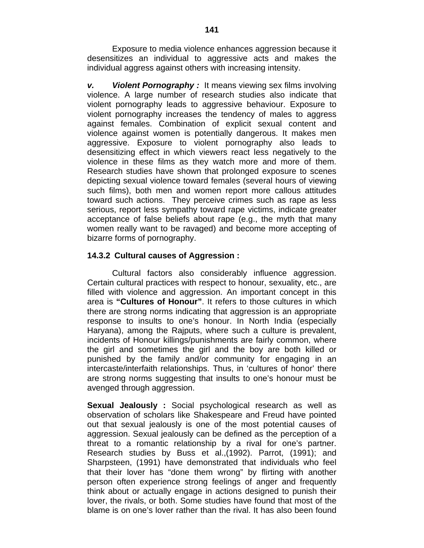Exposure to media violence enhances aggression because it desensitizes an individual to aggressive acts and makes the individual aggress against others with increasing intensity.

*v. Violent Pornography :* It means viewing sex films involving violence. A large number of research studies also indicate that violent pornography leads to aggressive behaviour. Exposure to violent pornography increases the tendency of males to aggress against females. Combination of explicit sexual content and violence against women is potentially dangerous. It makes men aggressive. Exposure to violent pornography also leads to desensitizing effect in which viewers react less negatively to the violence in these films as they watch more and more of them. Research studies have shown that prolonged exposure to scenes depicting sexual violence toward females (several hours of viewing such films), both men and women report more callous attitudes toward such actions. They perceive crimes such as rape as less serious, report less sympathy toward rape victims, indicate greater acceptance of false beliefs about rape (e.g., the myth that many women really want to be ravaged) and become more accepting of bizarre forms of pornography.

#### **14.3.2 Cultural causes of Aggression :**

Cultural factors also considerably influence aggression. Certain cultural practices with respect to honour, sexuality, etc., are filled with violence and aggression. An important concept in this area is **"Cultures of Honour"**. It refers to those cultures in which there are strong norms indicating that aggression is an appropriate response to insults to one's honour. In North India (especially Haryana), among the Rajputs, where such a culture is prevalent, incidents of Honour killings/punishments are fairly common, where the girl and sometimes the girl and the boy are both killed or punished by the family and/or community for engaging in an intercaste/interfaith relationships. Thus, in 'cultures of honor' there are strong norms suggesting that insults to one's honour must be avenged through aggression.

**Sexual Jealously :** Social psychological research as well as observation of scholars like Shakespeare and Freud have pointed out that sexual jealously is one of the most potential causes of aggression. Sexual jealously can be defined as the perception of a threat to a romantic relationship by a rival for one's partner. Research studies by Buss et al.,(1992). Parrot, (1991); and Sharpsteen, (1991) have demonstrated that individuals who feel that their lover has "done them wrong" by flirting with another person often experience strong feelings of anger and frequently think about or actually engage in actions designed to punish their lover, the rivals, or both. Some studies have found that most of the blame is on one's lover rather than the rival. It has also been found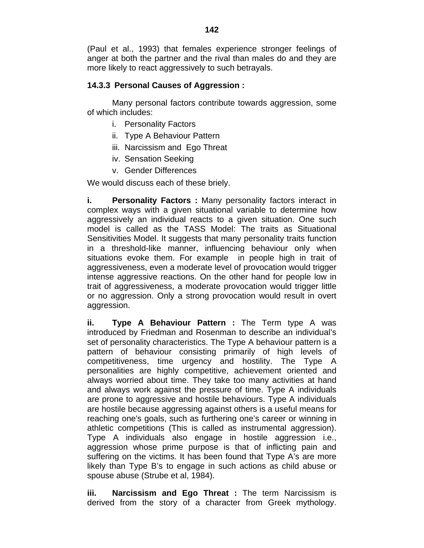(Paul et al., 1993) that females experience stronger feelings of anger at both the partner and the rival than males do and they are more likely to react aggressively to such betrayals.

#### **14.3.3 Personal Causes of Aggression :**

Many personal factors contribute towards aggression, some of which includes:

- i. Personality Factors
- ii. Type A Behaviour Pattern
- iii. Narcissism and Ego Threat
- iv. Sensation Seeking
- v. Gender Differences

We would discuss each of these briely.

**i.** Personality Factors: Many personality factors interact in complex ways with a given situational variable to determine how aggressively an individual reacts to a given situation. One such model is called as the TASS Model: The traits as Situational Sensitivities Model. It suggests that many personality traits function in a threshold-like manner, influencing behaviour only when situations evoke them. For example in people high in trait of aggressiveness, even a moderate level of provocation would trigger intense aggressive reactions. On the other hand for people low in trait of aggressiveness, a moderate provocation would trigger little or no aggression. Only a strong provocation would result in overt aggression.

**ii. Type A Behaviour Pattern :** The Term type A was introduced by Friedman and Rosenman to describe an individual's set of personality characteristics. The Type A behaviour pattern is a pattern of behaviour consisting primarily of high levels of competitiveness, time urgency and hostility. The Type A personalities are highly competitive, achievement oriented and always worried about time. They take too many activities at hand and always work against the pressure of time. Type A individuals are prone to aggressive and hostile behaviours. Type A individuals are hostile because aggressing against others is a useful means for reaching one's goals, such as furthering one's career or winning in athletic competitions (This is called as instrumental aggression). Type A individuals also engage in hostile aggression i.e., aggression whose prime purpose is that of inflicting pain and suffering on the victims. It has been found that Type A's are more likely than Type B's to engage in such actions as child abuse or spouse abuse (Strube et al, 1984).

**iii. Narcissism and Ego Threat :** The term Narcissism is derived from the story of a character from Greek mythology.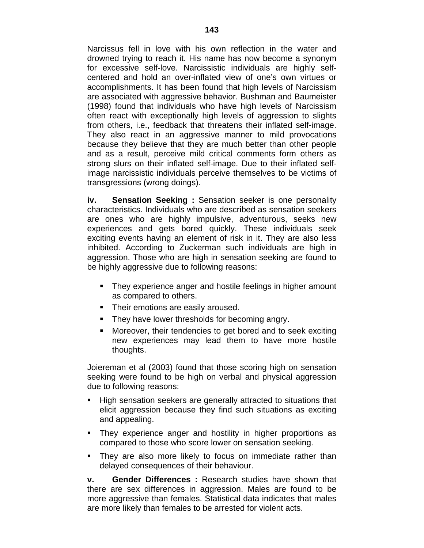Narcissus fell in love with his own reflection in the water and drowned trying to reach it. His name has now become a synonym for excessive self-love. Narcissistic individuals are highly selfcentered and hold an over-inflated view of one's own virtues or accomplishments. It has been found that high levels of Narcissism are associated with aggressive behavior. Bushman and Baumeister (1998) found that individuals who have high levels of Narcissism often react with exceptionally high levels of aggression to slights from others, i.e., feedback that threatens their inflated self-image. They also react in an aggressive manner to mild provocations because they believe that they are much better than other people and as a result, perceive mild critical comments form others as strong slurs on their inflated self-image. Due to their inflated selfimage narcissistic individuals perceive themselves to be victims of transgressions (wrong doings).

**iv. Sensation Seeking :** Sensation seeker is one personality characteristics. Individuals who are described as sensation seekers are ones who are highly impulsive, adventurous, seeks new experiences and gets bored quickly. These individuals seek exciting events having an element of risk in it. They are also less inhibited. According to Zuckerman such individuals are high in aggression. Those who are high in sensation seeking are found to be highly aggressive due to following reasons:

- **They experience anger and hostile feelings in higher amount** as compared to others.
- **Their emotions are easily aroused.**
- **They have lower thresholds for becoming angry.**
- Moreover, their tendencies to get bored and to seek exciting new experiences may lead them to have more hostile thoughts.

Joiereman et al (2003) found that those scoring high on sensation seeking were found to be high on verbal and physical aggression due to following reasons:

- High sensation seekers are generally attracted to situations that elicit aggression because they find such situations as exciting and appealing.
- They experience anger and hostility in higher proportions as compared to those who score lower on sensation seeking.
- **They are also more likely to focus on immediate rather than** delayed consequences of their behaviour.

**v. Gender Differences :** Research studies have shown that there are sex differences in aggression. Males are found to be more aggressive than females. Statistical data indicates that males are more likely than females to be arrested for violent acts.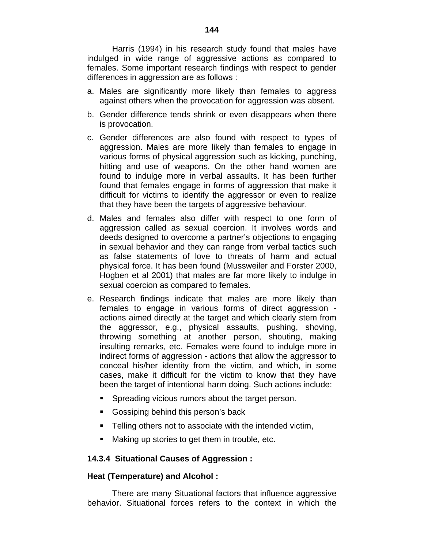Harris (1994) in his research study found that males have indulged in wide range of aggressive actions as compared to females. Some important research findings with respect to gender differences in aggression are as follows :

- a. Males are significantly more likely than females to aggress against others when the provocation for aggression was absent.
- b. Gender difference tends shrink or even disappears when there is provocation.
- c. Gender differences are also found with respect to types of aggression. Males are more likely than females to engage in various forms of physical aggression such as kicking, punching, hitting and use of weapons. On the other hand women are found to indulge more in verbal assaults. It has been further found that females engage in forms of aggression that make it difficult for victims to identify the aggressor or even to realize that they have been the targets of aggressive behaviour.
- d. Males and females also differ with respect to one form of aggression called as sexual coercion. It involves words and deeds designed to overcome a partner's objections to engaging in sexual behavior and they can range from verbal tactics such as false statements of love to threats of harm and actual physical force. It has been found (Mussweiler and Forster 2000, Hogben et al 2001) that males are far more likely to indulge in sexual coercion as compared to females.
- e. Research findings indicate that males are more likely than females to engage in various forms of direct aggression actions aimed directly at the target and which clearly stem from the aggressor, e.g., physical assaults, pushing, shoving, throwing something at another person, shouting, making insulting remarks, etc. Females were found to indulge more in indirect forms of aggression - actions that allow the aggressor to conceal his/her identity from the victim, and which, in some cases, make it difficult for the victim to know that they have been the target of intentional harm doing. Such actions include:
	- Spreading vicious rumors about the target person.
	- Gossiping behind this person's back
	- **Telling others not to associate with the intended victim,**
	- Making up stories to get them in trouble, etc.

#### **14.3.4 Situational Causes of Aggression :**

#### **Heat (Temperature) and Alcohol :**

There are many Situational factors that influence aggressive behavior. Situational forces refers to the context in which the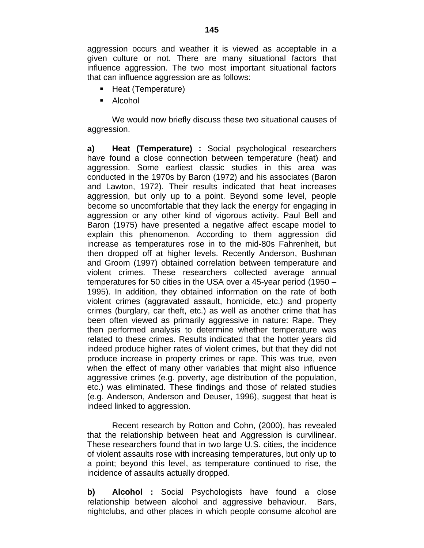aggression occurs and weather it is viewed as acceptable in a given culture or not. There are many situational factors that influence aggression. The two most important situational factors that can influence aggression are as follows:

- Heat (Temperature)
- Alcohol

We would now briefly discuss these two situational causes of aggression.

**a) Heat (Temperature) :** Social psychological researchers have found a close connection between temperature (heat) and aggression. Some earliest classic studies in this area was conducted in the 1970s by Baron (1972) and his associates (Baron and Lawton, 1972). Their results indicated that heat increases aggression, but only up to a point. Beyond some level, people become so uncomfortable that they lack the energy for engaging in aggression or any other kind of vigorous activity. Paul Bell and Baron (1975) have presented a negative affect escape model to explain this phenomenon. According to them aggression did increase as temperatures rose in to the mid-80s Fahrenheit, but then dropped off at higher levels. Recently Anderson, Bushman and Groom (1997) obtained correlation between temperature and violent crimes. These researchers collected average annual temperatures for 50 cities in the USA over a 45-year period (1950 – 1995). In addition, they obtained information on the rate of both violent crimes (aggravated assault, homicide, etc.) and property crimes (burglary, car theft, etc.) as well as another crime that has been often viewed as primarily aggressive in nature: Rape. They then performed analysis to determine whether temperature was related to these crimes. Results indicated that the hotter years did indeed produce higher rates of violent crimes, but that they did not produce increase in property crimes or rape. This was true, even when the effect of many other variables that might also influence aggressive crimes (e.g. poverty, age distribution of the population, etc.) was eliminated. These findings and those of related studies (e.g. Anderson, Anderson and Deuser, 1996), suggest that heat is indeed linked to aggression.

 Recent research by Rotton and Cohn, (2000), has revealed that the relationship between heat and Aggression is curvilinear. These researchers found that in two large U.S. cities, the incidence of violent assaults rose with increasing temperatures, but only up to a point; beyond this level, as temperature continued to rise, the incidence of assaults actually dropped.

**b) Alcohol :** Social Psychologists have found a close relationship between alcohol and aggressive behaviour. Bars, nightclubs, and other places in which people consume alcohol are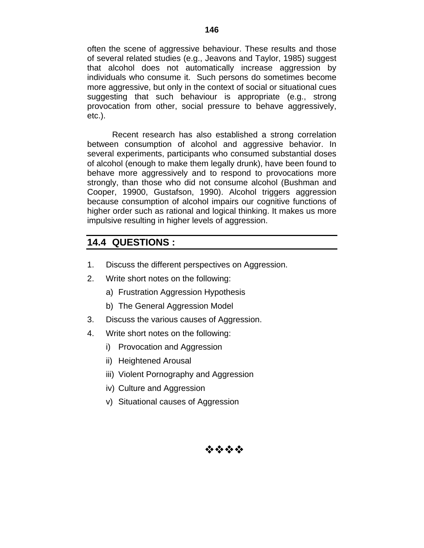often the scene of aggressive behaviour. These results and those of several related studies (e.g., Jeavons and Taylor, 1985) suggest that alcohol does not automatically increase aggression by individuals who consume it. Such persons do sometimes become more aggressive, but only in the context of social or situational cues suggesting that such behaviour is appropriate (e.g., strong provocation from other, social pressure to behave aggressively, etc.).

 Recent research has also established a strong correlation between consumption of alcohol and aggressive behavior. In several experiments, participants who consumed substantial doses of alcohol (enough to make them legally drunk), have been found to behave more aggressively and to respond to provocations more strongly, than those who did not consume alcohol (Bushman and Cooper, 19900, Gustafson, 1990). Alcohol triggers aggression because consumption of alcohol impairs our cognitive functions of higher order such as rational and logical thinking. It makes us more impulsive resulting in higher levels of aggression.

# **14.4 QUESTIONS :**

- 1. Discuss the different perspectives on Aggression.
- 2. Write short notes on the following:
	- a) Frustration Aggression Hypothesis
	- b) The General Aggression Model
- 3. Discuss the various causes of Aggression.
- 4. Write short notes on the following:
	- i) Provocation and Aggression
	- ii) Heightened Arousal
	- iii) Violent Pornography and Aggression
	- iv) Culture and Aggression
	- v) Situational causes of Aggression

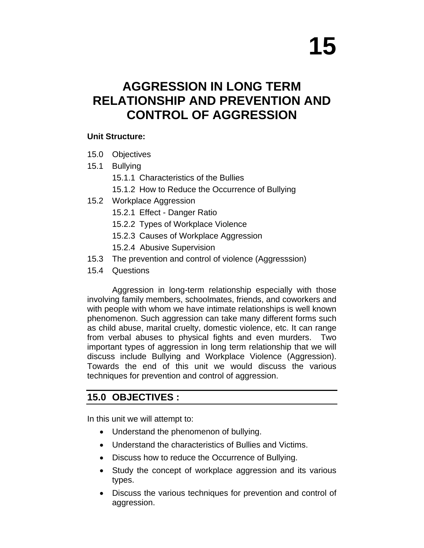# **15**

# **AGGRESSION IN LONG TERM RELATIONSHIP AND PREVENTION AND CONTROL OF AGGRESSION**

# **Unit Structure:**

- 15.0 Objectives
- 15.1 Bullying
	- 15.1.1 Characteristics of the Bullies
	- 15.1.2 How to Reduce the Occurrence of Bullying
- 15.2 Workplace Aggression
	- 15.2.1 Effect Danger Ratio
	- 15.2.2 Types of Workplace Violence
	- 15.2.3 Causes of Workplace Aggression
	- 15.2.4 Abusive Supervision
- 15.3 The prevention and control of violence (Aggresssion)
- 15.4 Questions

Aggression in long-term relationship especially with those involving family members, schoolmates, friends, and coworkers and with people with whom we have intimate relationships is well known phenomenon. Such aggression can take many different forms such as child abuse, marital cruelty, domestic violence, etc. It can range from verbal abuses to physical fights and even murders. Two important types of aggression in long term relationship that we will discuss include Bullying and Workplace Violence (Aggression). Towards the end of this unit we would discuss the various techniques for prevention and control of aggression.

# **15.0 OBJECTIVES :**

In this unit we will attempt to:

- Understand the phenomenon of bullying.
- Understand the characteristics of Bullies and Victims.
- Discuss how to reduce the Occurrence of Bullying.
- Study the concept of workplace aggression and its various types.
- Discuss the various techniques for prevention and control of aggression.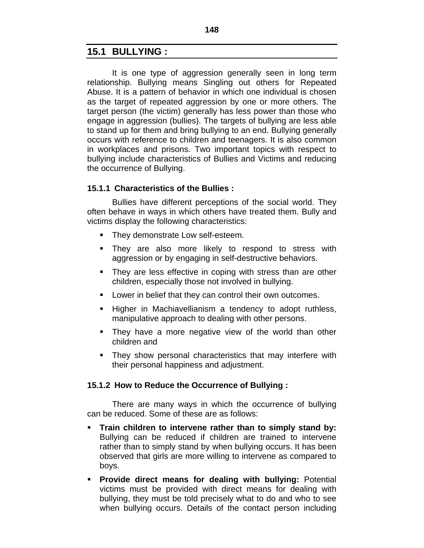# **15.1 BULLYING :**

It is one type of aggression generally seen in long term relationship. Bullying means Singling out others for Repeated Abuse. It is a pattern of behavior in which one individual is chosen as the target of repeated aggression by one or more others. The target person (the victim) generally has less power than those who engage in aggression (bullies). The targets of bullying are less able to stand up for them and bring bullying to an end. Bullying generally occurs with reference to children and teenagers. It is also common in workplaces and prisons. Two important topics with respect to bullying include characteristics of Bullies and Victims and reducing the occurrence of Bullying.

#### **15.1.1 Characteristics of the Bullies :**

Bullies have different perceptions of the social world. They often behave in ways in which others have treated them. Bully and victims display the following characteristics:

- **They demonstrate Low self-esteem.**
- **They are also more likely to respond to stress with** aggression or by engaging in self-destructive behaviors.
- **They are less effective in coping with stress than are other** children, especially those not involved in bullying.
- **Lower in belief that they can control their own outcomes.**
- **Higher in Machiavellianism a tendency to adopt ruthless,** manipulative approach to dealing with other persons.
- They have a more negative view of the world than other children and
- **They show personal characteristics that may interfere with** their personal happiness and adjustment.

#### **15.1.2 How to Reduce the Occurrence of Bullying :**

There are many ways in which the occurrence of bullying can be reduced. Some of these are as follows:

- **Train children to intervene rather than to simply stand by:**  Bullying can be reduced if children are trained to intervene rather than to simply stand by when bullying occurs. It has been observed that girls are more willing to intervene as compared to boys.
- **Provide direct means for dealing with bullying:** Potential victims must be provided with direct means for dealing with bullying, they must be told precisely what to do and who to see when bullying occurs. Details of the contact person including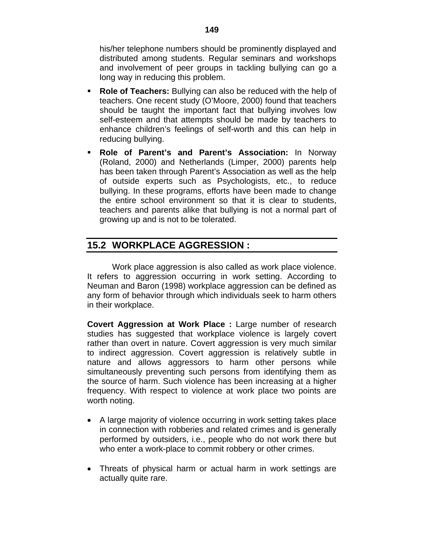his/her telephone numbers should be prominently displayed and distributed among students. Regular seminars and workshops and involvement of peer groups in tackling bullying can go a long way in reducing this problem.

- **Role of Teachers:** Bullying can also be reduced with the help of teachers. One recent study (O'Moore, 2000) found that teachers should be taught the important fact that bullying involves low self-esteem and that attempts should be made by teachers to enhance children's feelings of self-worth and this can help in reducing bullying.
- **Role of Parent's and Parent's Association:** In Norway (Roland, 2000) and Netherlands (Limper, 2000) parents help has been taken through Parent's Association as well as the help of outside experts such as Psychologists, etc., to reduce bullying. In these programs, efforts have been made to change the entire school environment so that it is clear to students, teachers and parents alike that bullying is not a normal part of growing up and is not to be tolerated.

# **15.2 WORKPLACE AGGRESSION :**

Work place aggression is also called as work place violence. It refers to aggression occurring in work setting. According to Neuman and Baron (1998) workplace aggression can be defined as any form of behavior through which individuals seek to harm others in their workplace.

**Covert Aggression at Work Place : Large number of research** studies has suggested that workplace violence is largely covert rather than overt in nature. Covert aggression is very much similar to indirect aggression. Covert aggression is relatively subtle in nature and allows aggressors to harm other persons while simultaneously preventing such persons from identifying them as the source of harm. Such violence has been increasing at a higher frequency. With respect to violence at work place two points are worth noting.

- A large majority of violence occurring in work setting takes place in connection with robberies and related crimes and is generally performed by outsiders, i.e., people who do not work there but who enter a work-place to commit robbery or other crimes.
- Threats of physical harm or actual harm in work settings are actually quite rare.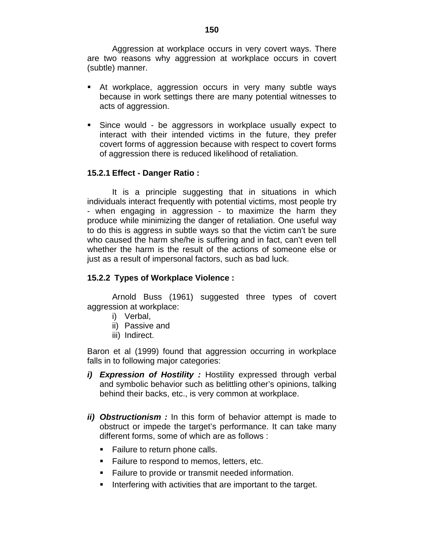Aggression at workplace occurs in very covert ways. There are two reasons why aggression at workplace occurs in covert (subtle) manner.

- At workplace, aggression occurs in very many subtle ways because in work settings there are many potential witnesses to acts of aggression.
- Since would be aggressors in workplace usually expect to interact with their intended victims in the future, they prefer covert forms of aggression because with respect to covert forms of aggression there is reduced likelihood of retaliation.

#### **15.2.1 Effect - Danger Ratio :**

It is a principle suggesting that in situations in which individuals interact frequently with potential victims, most people try - when engaging in aggression - to maximize the harm they produce while minimizing the danger of retaliation. One useful way to do this is aggress in subtle ways so that the victim can't be sure who caused the harm she/he is suffering and in fact, can't even tell whether the harm is the result of the actions of someone else or just as a result of impersonal factors, such as bad luck.

#### **15.2.2 Types of Workplace Violence :**

Arnold Buss (1961) suggested three types of covert aggression at workplace:

- i) Verbal,
	- ii) Passive and
	- iii) Indirect.

Baron et al (1999) found that aggression occurring in workplace falls in to following major categories:

- *i) Expression of Hostility :* Hostility expressed through verbal and symbolic behavior such as belittling other's opinions, talking behind their backs, etc., is very common at workplace.
- *ii) Obstructionism :* In this form of behavior attempt is made to obstruct or impede the target's performance. It can take many different forms, some of which are as follows :
	- Failure to return phone calls.
	- Failure to respond to memos, letters, etc.
	- **Failure to provide or transmit needed information.**
	- **Interfering with activities that are important to the target.**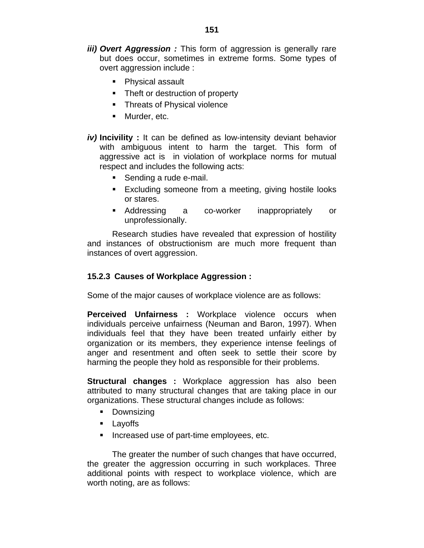- *iii) Overt Aggression : This form of aggression is generally rare* but does occur, sometimes in extreme forms. Some types of overt aggression include :
	- Physical assault
	- Theft or destruction of property
	- **Threats of Physical violence**
	- **Murder, etc.**
- *iv)* **Incivility :** It can be defined as low-intensity deviant behavior with ambiguous intent to harm the target. This form of aggressive act is in violation of workplace norms for mutual respect and includes the following acts:
	- Sending a rude e-mail.
	- **Excluding someone from a meeting, giving hostile looks** or stares.
	- Addressing a co-worker inappropriately or unprofessionally.

 Research studies have revealed that expression of hostility and instances of obstructionism are much more frequent than instances of overt aggression.

#### **15.2.3 Causes of Workplace Aggression :**

Some of the major causes of workplace violence are as follows:

**Perceived Unfairness :** Workplace violence occurs when individuals perceive unfairness (Neuman and Baron, 1997). When individuals feel that they have been treated unfairly either by organization or its members, they experience intense feelings of anger and resentment and often seek to settle their score by harming the people they hold as responsible for their problems.

**Structural changes :** Workplace aggression has also been attributed to many structural changes that are taking place in our organizations. These structural changes include as follows:

- **Downsizing**
- **Layoffs**
- **Increased use of part-time employees, etc.**

 The greater the number of such changes that have occurred, the greater the aggression occurring in such workplaces. Three additional points with respect to workplace violence, which are worth noting, are as follows: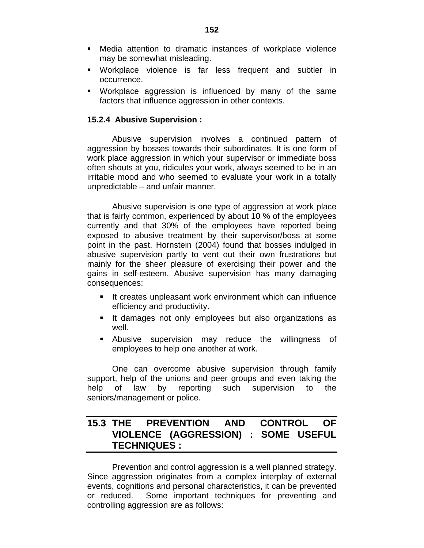- Media attention to dramatic instances of workplace violence may be somewhat misleading.
- Workplace violence is far less frequent and subtler in occurrence.
- Workplace aggression is influenced by many of the same factors that influence aggression in other contexts.

#### **15.2.4 Abusive Supervision :**

Abusive supervision involves a continued pattern of aggression by bosses towards their subordinates. It is one form of work place aggression in which your supervisor or immediate boss often shouts at you, ridicules your work, always seemed to be in an irritable mood and who seemed to evaluate your work in a totally unpredictable – and unfair manner.

Abusive supervision is one type of aggression at work place that is fairly common, experienced by about 10 % of the employees currently and that 30% of the employees have reported being exposed to abusive treatment by their supervisor/boss at some point in the past. Hornstein (2004) found that bosses indulged in abusive supervision partly to vent out their own frustrations but mainly for the sheer pleasure of exercising their power and the gains in self-esteem. Abusive supervision has many damaging consequences:

- **It creates unpleasant work environment which can influence** efficiency and productivity.
- It damages not only employees but also organizations as well.
- Abusive supervision may reduce the willingness of employees to help one another at work.

One can overcome abusive supervision through family support, help of the unions and peer groups and even taking the help of law by reporting such supervision to the seniors/management or police.

# **15.3 THE PREVENTION AND CONTROL OF VIOLENCE (AGGRESSION) : SOME USEFUL TECHNIQUES :**

Prevention and control aggression is a well planned strategy. Since aggression originates from a complex interplay of external events, cognitions and personal characteristics, it can be prevented or reduced. Some important techniques for preventing and controlling aggression are as follows: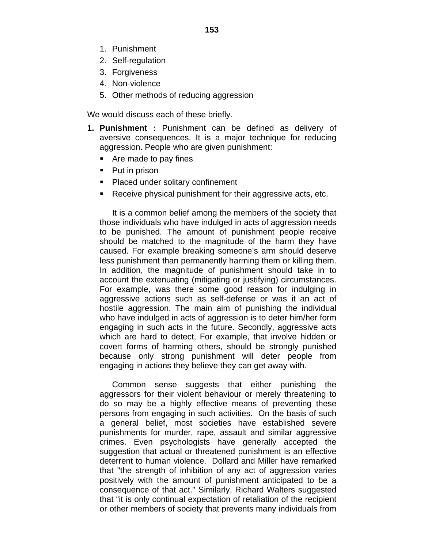- 1. Punishment
- 2. Self-regulation
- 3. Forgiveness
- 4. Non-violence
- 5. Other methods of reducing aggression

We would discuss each of these briefly.

- **1. Punishment :** Punishment can be defined as delivery of aversive consequences. It is a major technique for reducing aggression. People who are given punishment:
	- Are made to pay fines
	- Put in prison
	- Placed under solitary confinement
	- Receive physical punishment for their aggressive acts, etc.

It is a common belief among the members of the society that those individuals who have indulged in acts of aggression needs to be punished. The amount of punishment people receive should be matched to the magnitude of the harm they have caused. For example breaking someone's arm should deserve less punishment than permanently harming them or killing them. In addition, the magnitude of punishment should take in to account the extenuating (mitigating or justifying) circumstances. For example, was there some good reason for indulging in aggressive actions such as self-defense or was it an act of hostile aggression. The main aim of punishing the individual who have indulged in acts of aggression is to deter him/her form engaging in such acts in the future. Secondly, aggressive acts which are hard to detect, For example, that involve hidden or covert forms of harming others, should be strongly punished because only strong punishment will deter people from engaging in actions they believe they can get away with.

 Common sense suggests that either punishing the aggressors for their violent behaviour or merely threatening to do so may be a highly effective means of preventing these persons from engaging in such activities. On the basis of such a general belief, most societies have established severe punishments for murder, rape, assault and similar aggressive crimes. Even psychologists have generally accepted the suggestion that actual or threatened punishment is an effective deterrent to human violence. Dollard and Miller have remarked that "the strength of inhibition of any act of aggression varies positively with the amount of punishment anticipated to be a consequence of that act." Similarly, Richard Walters suggested that "it is only continual expectation of retaliation of the recipient or other members of society that prevents many individuals from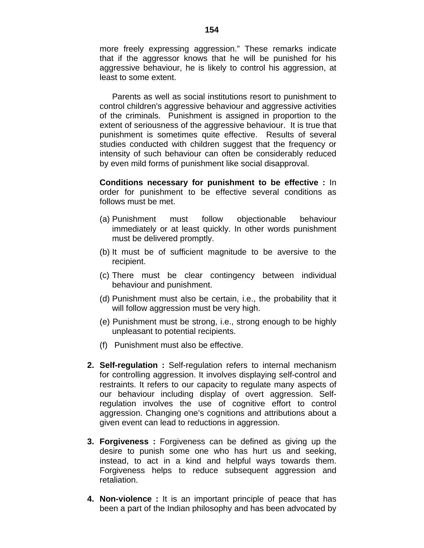more freely expressing aggression." These remarks indicate that if the aggressor knows that he will be punished for his aggressive behaviour, he is likely to control his aggression, at least to some extent.

Parents as well as social institutions resort to punishment to control children's aggressive behaviour and aggressive activities of the criminals. Punishment is assigned in proportion to the extent of seriousness of the aggressive behaviour. It is true that punishment is sometimes quite effective. Results of several studies conducted with children suggest that the frequency or intensity of such behaviour can often be considerably reduced by even mild forms of punishment like social disapproval.

**Conditions necessary for punishment to be effective :** In order for punishment to be effective several conditions as follows must be met.

- (a) Punishment must follow objectionable behaviour immediately or at least quickly. In other words punishment must be delivered promptly.
- (b) It must be of sufficient magnitude to be aversive to the recipient.
- (c) There must be clear contingency between individual behaviour and punishment.
- (d) Punishment must also be certain, i.e., the probability that it will follow aggression must be very high.
- (e) Punishment must be strong, i.e., strong enough to be highly unpleasant to potential recipients.
- (f) Punishment must also be effective.
- **2. Self-regulation :** Self-regulation refers to internal mechanism for controlling aggression. It involves displaying self-control and restraints. It refers to our capacity to regulate many aspects of our behaviour including display of overt aggression. Selfregulation involves the use of cognitive effort to control aggression. Changing one's cognitions and attributions about a given event can lead to reductions in aggression.
- **3. Forgiveness :** Forgiveness can be defined as giving up the desire to punish some one who has hurt us and seeking, instead, to act in a kind and helpful ways towards them. Forgiveness helps to reduce subsequent aggression and retaliation.
- **4. Non-violence :** It is an important principle of peace that has been a part of the Indian philosophy and has been advocated by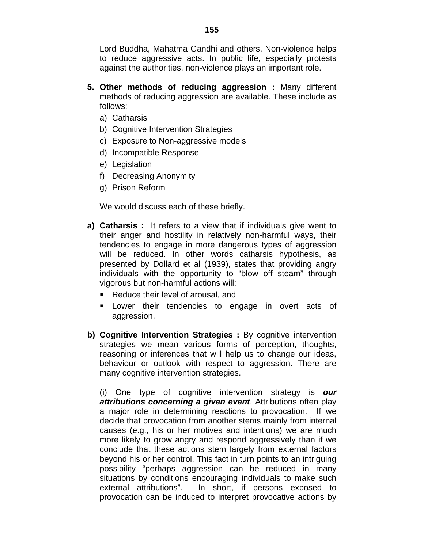Lord Buddha, Mahatma Gandhi and others. Non-violence helps to reduce aggressive acts. In public life, especially protests against the authorities, non-violence plays an important role.

- **5. Other methods of reducing aggression :** Many different methods of reducing aggression are available. These include as follows:
	- a) Catharsis
	- b) Cognitive Intervention Strategies
	- c) Exposure to Non-aggressive models
	- d) Incompatible Response
	- e) Legislation
	- f) Decreasing Anonymity
	- g) Prison Reform

We would discuss each of these briefly.

- **a) Catharsis :** It refers to a view that if individuals give went to their anger and hostility in relatively non-harmful ways, their tendencies to engage in more dangerous types of aggression will be reduced. In other words catharsis hypothesis, as presented by Dollard et al (1939), states that providing angry individuals with the opportunity to "blow off steam" through vigorous but non-harmful actions will:
	- Reduce their level of arousal, and
	- **EXEC** Lower their tendencies to engage in overt acts of aggression.
- **b) Cognitive Intervention Strategies :** By cognitive intervention strategies we mean various forms of perception, thoughts, reasoning or inferences that will help us to change our ideas, behaviour or outlook with respect to aggression. There are many cognitive intervention strategies.

(i) One type of cognitive intervention strategy is *our attributions concerning a given event*. Attributions often play a major role in determining reactions to provocation. If we decide that provocation from another stems mainly from internal causes (e.g., his or her motives and intentions) we are much more likely to grow angry and respond aggressively than if we conclude that these actions stem largely from external factors beyond his or her control. This fact in turn points to an intriguing possibility "perhaps aggression can be reduced in many situations by conditions encouraging individuals to make such external attributions". In short, if persons exposed to provocation can be induced to interpret provocative actions by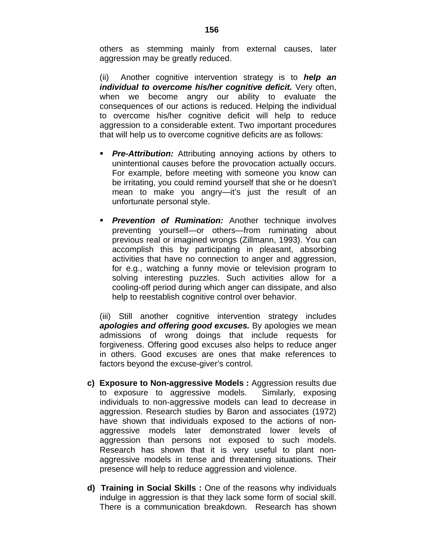others as stemming mainly from external causes, later aggression may be greatly reduced.

(ii) Another cognitive intervention strategy is to *help an individual to overcome his/her cognitive deficit.* Very often, when we become angry our ability to evaluate the consequences of our actions is reduced. Helping the individual to overcome his/her cognitive deficit will help to reduce aggression to a considerable extent. Two important procedures that will help us to overcome cognitive deficits are as follows:

- **Pre-Attribution:** Attributing annoying actions by others to unintentional causes before the provocation actually occurs. For example, before meeting with someone you know can be irritating, you could remind yourself that she or he doesn't mean to make you angry—it's just the result of an unfortunate personal style.
- **Prevention of Rumination:** Another technique involves preventing yourself—or others—from ruminating about previous real or imagined wrongs (Zillmann, 1993). You can accomplish this by participating in pleasant, absorbing activities that have no connection to anger and aggression, for e.g., watching a funny movie or television program to solving interesting puzzles. Such activities allow for a cooling-off period during which anger can dissipate, and also help to reestablish cognitive control over behavior.

(iii) Still another cognitive intervention strategy includes *apologies and offering good excuses.* By apologies we mean admissions of wrong doings that include requests for forgiveness. Offering good excuses also helps to reduce anger in others. Good excuses are ones that make references to factors beyond the excuse-giver's control.

- **c) Exposure to Non-aggressive Models :** Aggression results due to exposure to aggressive models. Similarly, exposing individuals to non-aggressive models can lead to decrease in aggression. Research studies by Baron and associates (1972) have shown that individuals exposed to the actions of nonaggressive models later demonstrated lower levels of aggression than persons not exposed to such models. Research has shown that it is very useful to plant nonaggressive models in tense and threatening situations. Their presence will help to reduce aggression and violence.
- **d) Training in Social Skills :** One of the reasons why individuals indulge in aggression is that they lack some form of social skill. There is a communication breakdown. Research has shown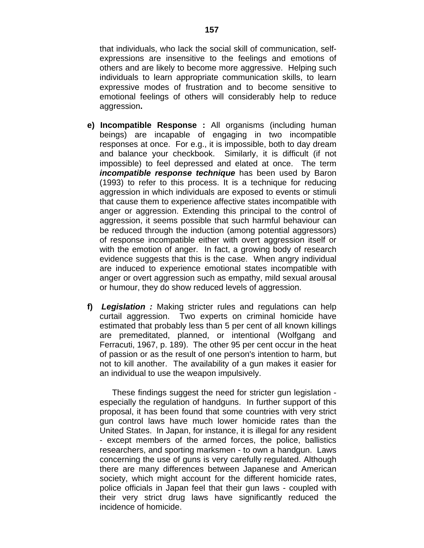that individuals, who lack the social skill of communication, selfexpressions are insensitive to the feelings and emotions of others and are likely to become more aggressive. Helping such individuals to learn appropriate communication skills, to learn expressive modes of frustration and to become sensitive to emotional feelings of others will considerably help to reduce aggression**.** 

- **e) Incompatible Response :** All organisms (including human beings) are incapable of engaging in two incompatible responses at once. For e.g., it is impossible, both to day dream and balance your checkbook. Similarly, it is difficult (if not impossible) to feel depressed and elated at once. The term *incompatible response technique* has been used by Baron (1993) to refer to this process. It is a technique for reducing aggression in which individuals are exposed to events or stimuli that cause them to experience affective states incompatible with anger or aggression. Extending this principal to the control of aggression, it seems possible that such harmful behaviour can be reduced through the induction (among potential aggressors) of response incompatible either with overt aggression itself or with the emotion of anger. In fact, a growing body of research evidence suggests that this is the case. When angry individual are induced to experience emotional states incompatible with anger or overt aggression such as empathy, mild sexual arousal or humour, they do show reduced levels of aggression.
- **f)** *Legislation :* Making stricter rules and regulations can help curtail aggression. Two experts on criminal homicide have estimated that probably less than 5 per cent of all known killings are premeditated, planned, or intentional (Wolfgang and Ferracuti, 1967, p. 189). The other 95 per cent occur in the heat of passion or as the result of one person's intention to harm, but not to kill another. The availability of a gun makes it easier for an individual to use the weapon impulsively.

These findings suggest the need for stricter gun legislation especially the regulation of handguns. In further support of this proposal, it has been found that some countries with very strict gun control laws have much lower homicide rates than the United States. In Japan, for instance, it is illegal for any resident - except members of the armed forces, the police, ballistics researchers, and sporting marksmen - to own a handgun. Laws concerning the use of guns is very carefully regulated. Although there are many differences between Japanese and American society, which might account for the different homicide rates, police officials in Japan feel that their gun laws - coupled with their very strict drug laws have significantly reduced the incidence of homicide.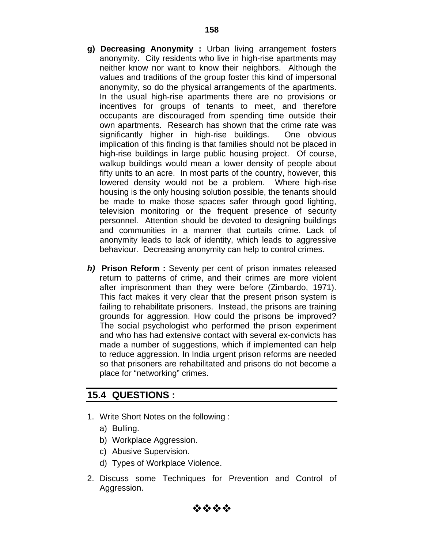- **g) Decreasing Anonymity :** Urban living arrangement fosters anonymity. City residents who live in high-rise apartments may neither know nor want to know their neighbors. Although the values and traditions of the group foster this kind of impersonal anonymity, so do the physical arrangements of the apartments. In the usual high-rise apartments there are no provisions or incentives for groups of tenants to meet, and therefore occupants are discouraged from spending time outside their own apartments. Research has shown that the crime rate was significantly higher in high-rise buildings. One obvious implication of this finding is that families should not be placed in high-rise buildings in large public housing project. Of course, walkup buildings would mean a lower density of people about fifty units to an acre. In most parts of the country, however, this lowered density would not be a problem. Where high-rise housing is the only housing solution possible, the tenants should be made to make those spaces safer through good lighting, television monitoring or the frequent presence of security personnel. Attention should be devoted to designing buildings and communities in a manner that curtails crime. Lack of anonymity leads to lack of identity, which leads to aggressive behaviour. Decreasing anonymity can help to control crimes.
- *h)* **Prison Reform :** Seventy per cent of prison inmates released return to patterns of crime, and their crimes are more violent after imprisonment than they were before (Zimbardo, 1971). This fact makes it very clear that the present prison system is failing to rehabilitate prisoners. Instead, the prisons are training grounds for aggression. How could the prisons be improved? The social psychologist who performed the prison experiment and who has had extensive contact with several ex-convicts has made a number of suggestions, which if implemented can help to reduce aggression. In India urgent prison reforms are needed so that prisoners are rehabilitated and prisons do not become a place for "networking" crimes.

# **15.4 QUESTIONS :**

- 1. Write Short Notes on the following :
	- a) Bulling.
	- b) Workplace Aggression.
	- c) Abusive Supervision.
	- d) Types of Workplace Violence.
- 2. Discuss some Techniques for Prevention and Control of Aggression.

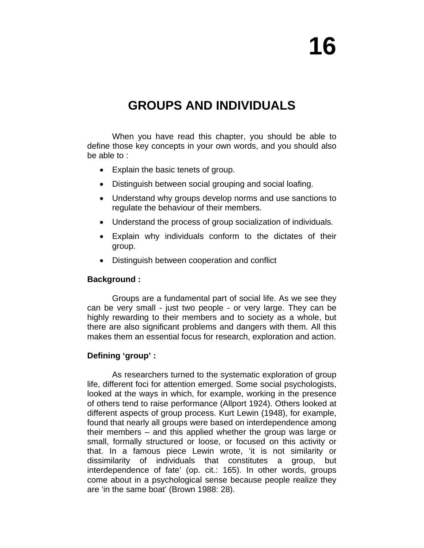# **16**

# **GROUPS AND INDIVIDUALS**

When you have read this chapter, you should be able to define those key concepts in your own words, and you should also be able to :

- Explain the basic tenets of group.
- Distinguish between social grouping and social loafing.
- Understand why groups develop norms and use sanctions to regulate the behaviour of their members.
- Understand the process of group socialization of individuals.
- Explain why individuals conform to the dictates of their group.
- Distinguish between cooperation and conflict

#### **Background :**

Groups are a fundamental part of social life. As we see they can be very small - just two people - or very large. They can be highly rewarding to their members and to society as a whole, but there are also significant problems and dangers with them. All this makes them an essential focus for research, exploration and action.

#### **Defining 'group' :**

As researchers turned to the systematic exploration of group life, different foci for attention emerged. Some social psychologists, looked at the ways in which, for example, working in the presence of others tend to raise performance (Allport 1924). Others looked at different aspects of group process. Kurt Lewin (1948), for example, found that nearly all groups were based on interdependence among their members – and this applied whether the group was large or small, formally structured or loose, or focused on this activity or that. In a famous piece Lewin wrote, 'it is not similarity or dissimilarity of individuals that constitutes a group, but interdependence of fate' (op. cit.: 165). In other words, groups come about in a psychological sense because people realize they are 'in the same boat' (Brown 1988: 28).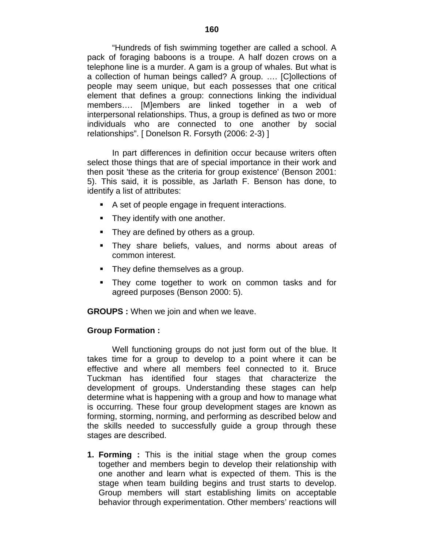"Hundreds of fish swimming together are called a school. A pack of foraging baboons is a troupe. A half dozen crows on a telephone line is a murder. A gam is a group of whales. But what is a collection of human beings called? A group. …. [C]ollections of people may seem unique, but each possesses that one critical element that defines a group: connections linking the individual members…. [M]embers are linked together in a web of interpersonal relationships. Thus, a group is defined as two or more individuals who are connected to one another by social relationships". [ Donelson R. Forsyth (2006: 2-3) ]

In part differences in definition occur because writers often select those things that are of special importance in their work and then posit 'these as the criteria for group existence' (Benson 2001: 5). This said, it is possible, as Jarlath F. Benson has done, to identify a list of attributes:

- A set of people engage in frequent interactions.
- They identify with one another.
- They are defined by others as a group.
- They share beliefs, values, and norms about areas of common interest.
- They define themselves as a group.
- They come together to work on common tasks and for agreed purposes (Benson 2000: 5).

**GROUPS :** When we join and when we leave.

#### **Group Formation :**

Well functioning groups do not just form out of the blue. It takes time for a group to develop to a point where it can be effective and where all members feel connected to it. Bruce Tuckman has identified four stages that characterize the development of groups. Understanding these stages can help determine what is happening with a group and how to manage what is occurring. These four group development stages are known as forming, storming, norming, and performing as described below and the skills needed to successfully guide a group through these stages are described.

**1. Forming :** This is the initial stage when the group comes together and members begin to develop their relationship with one another and learn what is expected of them. This is the stage when team building begins and trust starts to develop. Group members will start establishing limits on acceptable behavior through experimentation. Other members' reactions will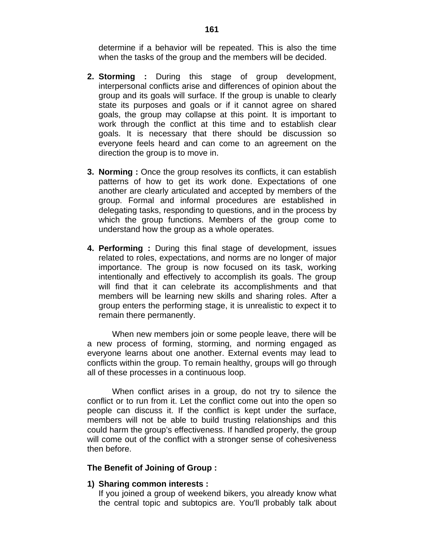determine if a behavior will be repeated. This is also the time when the tasks of the group and the members will be decided.

- **2. Storming :** During this stage of group development, interpersonal conflicts arise and differences of opinion about the group and its goals will surface. If the group is unable to clearly state its purposes and goals or if it cannot agree on shared goals, the group may collapse at this point. It is important to work through the conflict at this time and to establish clear goals. It is necessary that there should be discussion so everyone feels heard and can come to an agreement on the direction the group is to move in.
- **3. Norming :** Once the group resolves its conflicts, it can establish patterns of how to get its work done. Expectations of one another are clearly articulated and accepted by members of the group. Formal and informal procedures are established in delegating tasks, responding to questions, and in the process by which the group functions. Members of the group come to understand how the group as a whole operates.
- **4. Performing :** During this final stage of development, issues related to roles, expectations, and norms are no longer of major importance. The group is now focused on its task, working intentionally and effectively to accomplish its goals. The group will find that it can celebrate its accomplishments and that members will be learning new skills and sharing roles. After a group enters the performing stage, it is unrealistic to expect it to remain there permanently.

When new members join or some people leave, there will be a new process of forming, storming, and norming engaged as everyone learns about one another. External events may lead to conflicts within the group. To remain healthy, groups will go through all of these processes in a continuous loop.

When conflict arises in a group, do not try to silence the conflict or to run from it. Let the conflict come out into the open so people can discuss it. If the conflict is kept under the surface, members will not be able to build trusting relationships and this could harm the group's effectiveness. If handled properly, the group will come out of the conflict with a stronger sense of cohesiveness then before.

#### **The Benefit of Joining of Group :**

#### **1) Sharing common interests :**

If you joined a group of weekend bikers, you already know what the central topic and subtopics are. You'll probably talk about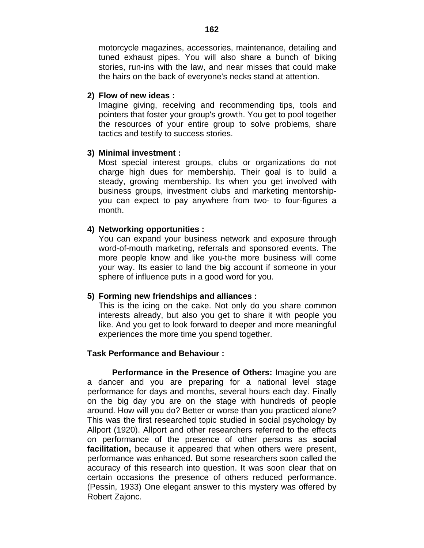motorcycle magazines, accessories, maintenance, detailing and tuned exhaust pipes. You will also share a bunch of biking stories, run-ins with the law, and near misses that could make the hairs on the back of everyone's necks stand at attention.

#### **2) Flow of new ideas :**

Imagine giving, receiving and recommending tips, tools and pointers that foster your group's growth. You get to pool together the resources of your entire group to solve problems, share tactics and testify to success stories.

#### **3) Minimal investment :**

Most special interest groups, clubs or organizations do not charge high dues for membership. Their goal is to build a steady, growing membership. Its when you get involved with business groups, investment clubs and marketing mentorshipyou can expect to pay anywhere from two- to four-figures a month.

#### **4) Networking opportunities :**

You can expand your business network and exposure through word-of-mouth marketing, referrals and sponsored events. The more people know and like you-the more business will come your way. Its easier to land the big account if someone in your sphere of influence puts in a good word for you.

#### **5) Forming new friendships and alliances :**

This is the icing on the cake. Not only do you share common interests already, but also you get to share it with people you like. And you get to look forward to deeper and more meaningful experiences the more time you spend together.

#### **Task Performance and Behaviour :**

**Performance in the Presence of Others:** Imagine you are a dancer and you are preparing for a national level stage performance for days and months, several hours each day. Finally on the big day you are on the stage with hundreds of people around. How will you do? Better or worse than you practiced alone? This was the first researched topic studied in social psychology by Allport (1920). Allport and other researchers referred to the effects on performance of the presence of other persons as **social facilitation,** because it appeared that when others were present, performance was enhanced. But some researchers soon called the accuracy of this research into question. It was soon clear that on certain occasions the presence of others reduced performance. (Pessin, 1933) One elegant answer to this mystery was offered by Robert Zajonc.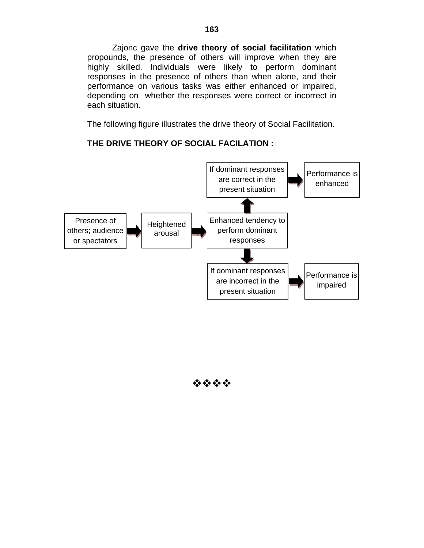Zajonc gave the **drive theory of social facilitation** which propounds, the presence of others will improve when they are highly skilled. Individuals were likely to perform dominant responses in the presence of others than when alone, and their performance on various tasks was either enhanced or impaired, depending on whether the responses were correct or incorrect in each situation.

The following figure illustrates the drive theory of Social Facilitation.

# **THE DRIVE THEORY OF SOCIAL FACILATION :**



经合金券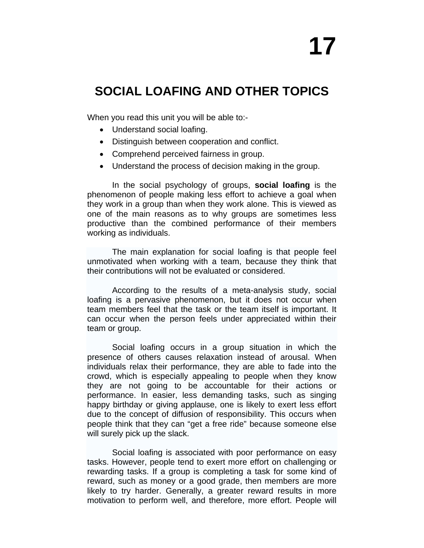# **SOCIAL LOAFING AND OTHER TOPICS**

When you read this unit you will be able to:-

- Understand social loafing.
- Distinguish between cooperation and conflict.
- Comprehend perceived fairness in group.
- Understand the process of decision making in the group.

In the social psychology of groups, **social loafing** is the phenomenon of people making less effort to achieve a goal when they work in a group than when they work alone. This is viewed as one of the main reasons as to why groups are sometimes less productive than the combined performance of their members working as individuals.

The main explanation for social loafing is that people feel unmotivated when working with a team, because they think that their contributions will not be evaluated or considered.

According to the results of a meta-analysis study, social loafing is a pervasive phenomenon, but it does not occur when team members feel that the task or the team itself is important. It can occur when the person feels under appreciated within their team or group.

Social loafing occurs in a group situation in which the presence of others causes relaxation instead of arousal. When individuals relax their performance, they are able to fade into the crowd, which is especially appealing to people when they know they are not going to be accountable for their actions or performance. In easier, less demanding tasks, such as singing happy birthday or giving applause, one is likely to exert less effort due to the concept of diffusion of responsibility. This occurs when people think that they can "get a free ride" because someone else will surely pick up the slack.

Social loafing is associated with poor performance on easy tasks. However, people tend to exert more effort on challenging or rewarding tasks. If a group is completing a task for some kind of reward, such as money or a good grade, then members are more likely to try harder. Generally, a greater reward results in more motivation to perform well, and therefore, more effort. People will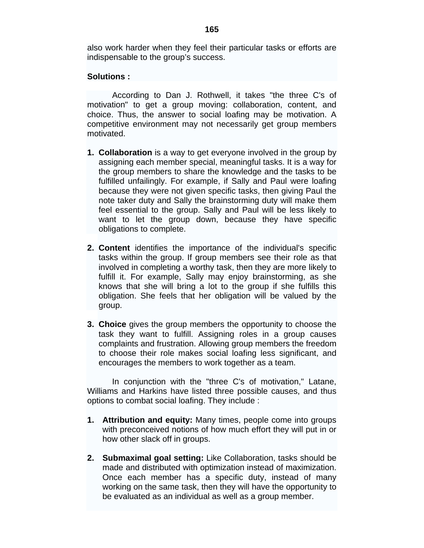also work harder when they feel their particular tasks or efforts are indispensable to the group's success.

#### **Solutions :**

According to Dan J. Rothwell, it takes "the three C's of motivation" to get a group moving: collaboration, content, and choice. Thus, the answer to social loafing may be motivation. A competitive environment may not necessarily get group members motivated.

- **1. Collaboration** is a way to get everyone involved in the group by assigning each member special, meaningful tasks. It is a way for the group members to share the knowledge and the tasks to be fulfilled unfailingly. For example, if Sally and Paul were loafing because they were not given specific tasks, then giving Paul the note taker duty and Sally the brainstorming duty will make them feel essential to the group. Sally and Paul will be less likely to want to let the group down, because they have specific obligations to complete.
- **2. Content** identifies the importance of the individual's specific tasks within the group. If group members see their role as that involved in completing a worthy task, then they are more likely to fulfill it. For example, Sally may enjoy brainstorming, as she knows that she will bring a lot to the group if she fulfills this obligation. She feels that her obligation will be valued by the group.
- **3. Choice** gives the group members the opportunity to choose the task they want to fulfill. Assigning roles in a group causes complaints and frustration. Allowing group members the freedom to choose their role makes social loafing less significant, and encourages the members to work together as a team.

 In conjunction with the "three C's of motivation," Latane, Williams and Harkins have listed three possible causes, and thus options to combat social loafing. They include :

- **1. Attribution and equity:** Many times, people come into groups with preconceived notions of how much effort they will put in or how other slack off in groups.
- **2. Submaximal goal setting:** Like Collaboration, tasks should be made and distributed with optimization instead of maximization. Once each member has a specific duty, instead of many working on the same task, then they will have the opportunity to be evaluated as an individual as well as a group member.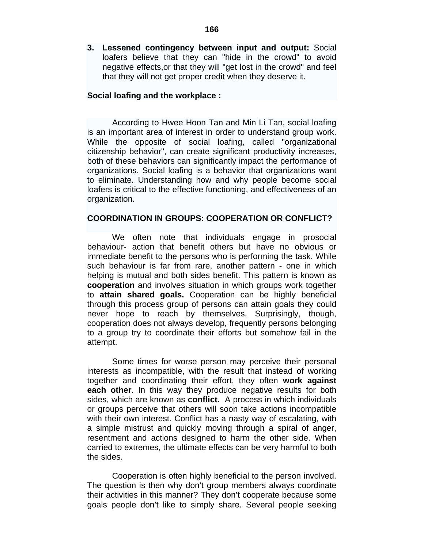**3. Lessened contingency between input and output:** Social loafers believe that they can "hide in the crowd" to avoid negative effects,or that they will "get lost in the crowd" and feel that they will not get proper credit when they deserve it.

#### **Social loafing and the workplace :**

According to Hwee Hoon Tan and Min Li Tan, social loafing is an important area of interest in order to understand group work. While the opposite of social loafing, called "organizational citizenship behavior", can create significant productivity increases, both of these behaviors can significantly impact the performance of organizations. Social loafing is a behavior that organizations want to eliminate. Understanding how and why people become social loafers is critical to the effective functioning, and effectiveness of an organization.

#### **COORDINATION IN GROUPS: COOPERATION OR CONFLICT?**

We often note that individuals engage in prosocial behaviour- action that benefit others but have no obvious or immediate benefit to the persons who is performing the task. While such behaviour is far from rare, another pattern - one in which helping is mutual and both sides benefit. This pattern is known as **cooperation** and involves situation in which groups work together to **attain shared goals.** Cooperation can be highly beneficial through this process group of persons can attain goals they could never hope to reach by themselves. Surprisingly, though, cooperation does not always develop, frequently persons belonging to a group try to coordinate their efforts but somehow fail in the attempt.

Some times for worse person may perceive their personal interests as incompatible, with the result that instead of working together and coordinating their effort, they often **work against each other**. In this way they produce negative results for both sides, which are known as **conflict.** A process in which individuals or groups perceive that others will soon take actions incompatible with their own interest. Conflict has a nasty way of escalating, with a simple mistrust and quickly moving through a spiral of anger, resentment and actions designed to harm the other side. When carried to extremes, the ultimate effects can be very harmful to both the sides.

Cooperation is often highly beneficial to the person involved. The question is then why don't group members always coordinate their activities in this manner? They don't cooperate because some goals people don't like to simply share. Several people seeking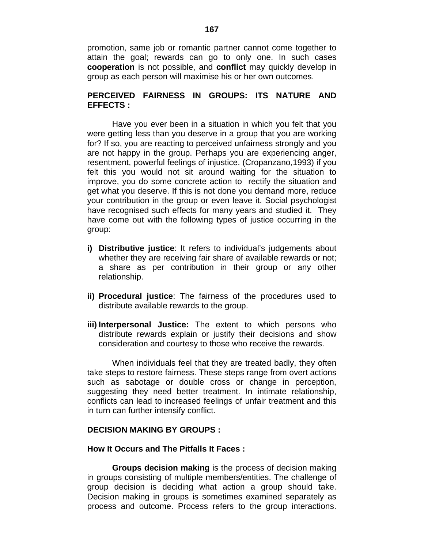promotion, same job or romantic partner cannot come together to attain the goal; rewards can go to only one. In such cases **cooperation** is not possible, and **conflict** may quickly develop in group as each person will maximise his or her own outcomes.

#### **PERCEIVED FAIRNESS IN GROUPS: ITS NATURE AND EFFECTS :**

Have you ever been in a situation in which you felt that you were getting less than you deserve in a group that you are working for? If so, you are reacting to perceived unfairness strongly and you are not happy in the group. Perhaps you are experiencing anger, resentment, powerful feelings of injustice. (Cropanzano,1993) if you felt this you would not sit around waiting for the situation to improve, you do some concrete action to rectify the situation and get what you deserve. If this is not done you demand more, reduce your contribution in the group or even leave it. Social psychologist have recognised such effects for many years and studied it. They have come out with the following types of justice occurring in the group:

- **i)** Distributive justice: It refers to individual's judgements about whether they are receiving fair share of available rewards or not; a share as per contribution in their group or any other relationship.
- **ii) Procedural justice**: The fairness of the procedures used to distribute available rewards to the group.
- **iii) Interpersonal Justice:** The extent to which persons who distribute rewards explain or justify their decisions and show consideration and courtesy to those who receive the rewards.

When individuals feel that they are treated badly, they often take steps to restore fairness. These steps range from overt actions such as sabotage or double cross or change in perception, suggesting they need better treatment. In intimate relationship, conflicts can lead to increased feelings of unfair treatment and this in turn can further intensify conflict.

#### **DECISION MAKING BY GROUPS :**

#### **How It Occurs and The Pitfalls It Faces :**

**Groups decision making** is the process of decision making in groups consisting of multiple members/entities. The challenge of group decision is deciding what action a group should take. Decision making in groups is sometimes examined separately as process and outcome. Process refers to the group interactions.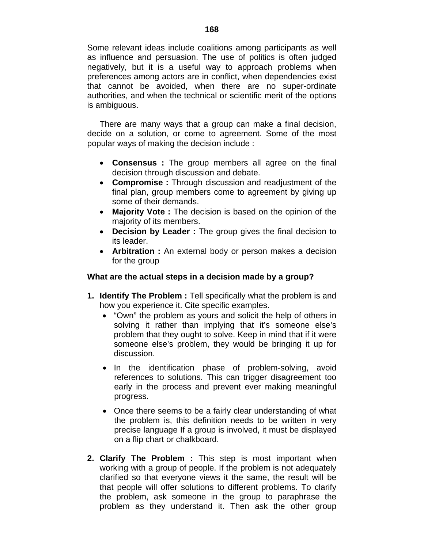Some relevant ideas include coalitions among participants as well as influence and persuasion. The use of politics is often judged negatively, but it is a useful way to approach problems when preferences among actors are in conflict, when dependencies exist that cannot be avoided, when there are no super-ordinate authorities, and when the technical or scientific merit of the options is ambiguous.

There are many ways that a group can make a final decision, decide on a solution, or come to agreement. Some of the most popular ways of making the decision include :

- **Consensus :** The group members all agree on the final decision through discussion and debate.
- **Compromise :** Through discussion and readjustment of the final plan, group members come to agreement by giving up some of their demands.
- **Majority Vote :** The decision is based on the opinion of the majority of its members.
- **Decision by Leader :** The group gives the final decision to its leader.
- **Arbitration :** An external body or person makes a decision for the group

#### **What are the actual steps in a decision made by a group?**

- **1. Identify The Problem :** Tell specifically what the problem is and how you experience it. Cite specific examples.
	- "Own" the problem as yours and solicit the help of others in solving it rather than implying that it's someone else's problem that they ought to solve. Keep in mind that if it were someone else's problem, they would be bringing it up for discussion.
	- In the identification phase of problem-solving, avoid references to solutions. This can trigger disagreement too early in the process and prevent ever making meaningful progress.
	- Once there seems to be a fairly clear understanding of what the problem is, this definition needs to be written in very precise language If a group is involved, it must be displayed on a flip chart or chalkboard.
- **2. Clarify The Problem :** This step is most important when working with a group of people. If the problem is not adequately clarified so that everyone views it the same, the result will be that people will offer solutions to different problems. To clarify the problem, ask someone in the group to paraphrase the problem as they understand it. Then ask the other group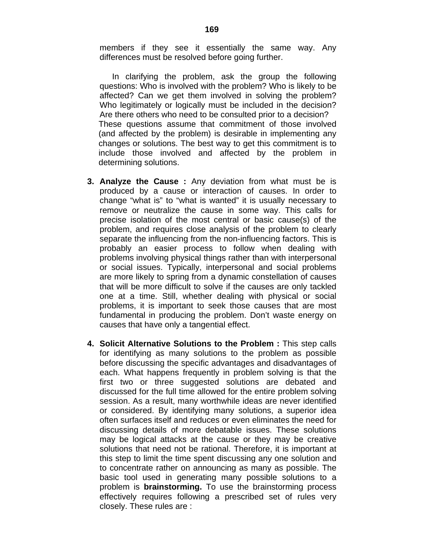members if they see it essentially the same way. Any differences must be resolved before going further.

In clarifying the problem, ask the group the following questions: Who is involved with the problem? Who is likely to be affected? Can we get them involved in solving the problem? Who legitimately or logically must be included in the decision? Are there others who need to be consulted prior to a decision? These questions assume that commitment of those involved (and affected by the problem) is desirable in implementing any changes or solutions. The best way to get this commitment is to include those involved and affected by the problem in determining solutions.

- **3. Analyze the Cause :** Any deviation from what must be is produced by a cause or interaction of causes. In order to change "what is" to "what is wanted" it is usually necessary to remove or neutralize the cause in some way. This calls for precise isolation of the most central or basic cause(s) of the problem, and requires close analysis of the problem to clearly separate the influencing from the non-influencing factors. This is probably an easier process to follow when dealing with problems involving physical things rather than with interpersonal or social issues. Typically, interpersonal and social problems are more likely to spring from a dynamic constellation of causes that will be more difficult to solve if the causes are only tackled one at a time. Still, whether dealing with physical or social problems, it is important to seek those causes that are most fundamental in producing the problem. Don't waste energy on causes that have only a tangential effect.
- **4. Solicit Alternative Solutions to the Problem :** This step calls for identifying as many solutions to the problem as possible before discussing the specific advantages and disadvantages of each. What happens frequently in problem solving is that the first two or three suggested solutions are debated and discussed for the full time allowed for the entire problem solving session. As a result, many worthwhile ideas are never identified or considered. By identifying many solutions, a superior idea often surfaces itself and reduces or even eliminates the need for discussing details of more debatable issues. These solutions may be logical attacks at the cause or they may be creative solutions that need not be rational. Therefore, it is important at this step to limit the time spent discussing any one solution and to concentrate rather on announcing as many as possible. The basic tool used in generating many possible solutions to a problem is **brainstorming.** To use the brainstorming process effectively requires following a prescribed set of rules very closely. These rules are :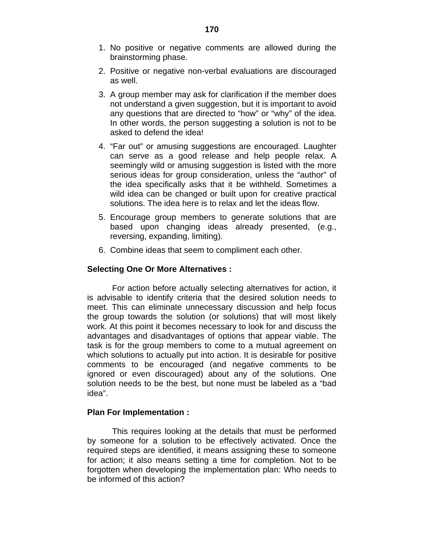- 1. No positive or negative comments are allowed during the brainstorming phase.
- 2. Positive or negative non-verbal evaluations are discouraged as well.
- 3. A group member may ask for clarification if the member does not understand a given suggestion, but it is important to avoid any questions that are directed to "how" or "why" of the idea. In other words, the person suggesting a solution is not to be asked to defend the idea!
- 4. "Far out" or amusing suggestions are encouraged. Laughter can serve as a good release and help people relax. A seemingly wild or amusing suggestion is listed with the more serious ideas for group consideration, unless the "author" of the idea specifically asks that it be withheld. Sometimes a wild idea can be changed or built upon for creative practical solutions. The idea here is to relax and let the ideas flow.
- 5. Encourage group members to generate solutions that are based upon changing ideas already presented, (e.g., reversing, expanding, limiting).
- 6. Combine ideas that seem to compliment each other.

#### **Selecting One Or More Alternatives :**

For action before actually selecting alternatives for action, it is advisable to identify criteria that the desired solution needs to meet. This can eliminate unnecessary discussion and help focus the group towards the solution (or solutions) that will most likely work. At this point it becomes necessary to look for and discuss the advantages and disadvantages of options that appear viable. The task is for the group members to come to a mutual agreement on which solutions to actually put into action. It is desirable for positive comments to be encouraged (and negative comments to be ignored or even discouraged) about any of the solutions. One solution needs to be the best, but none must be labeled as a "bad idea".

#### **Plan For Implementation :**

This requires looking at the details that must be performed by someone for a solution to be effectively activated. Once the required steps are identified, it means assigning these to someone for action; it also means setting a time for completion. Not to be forgotten when developing the implementation plan: Who needs to be informed of this action?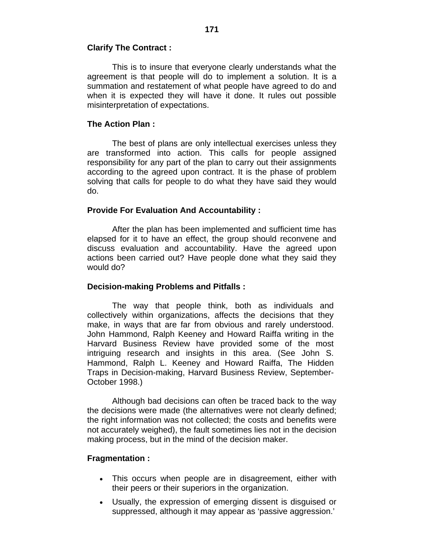#### **Clarify The Contract :**

This is to insure that everyone clearly understands what the agreement is that people will do to implement a solution. It is a summation and restatement of what people have agreed to do and when it is expected they will have it done. It rules out possible misinterpretation of expectations.

#### **The Action Plan :**

The best of plans are only intellectual exercises unless they are transformed into action. This calls for people assigned responsibility for any part of the plan to carry out their assignments according to the agreed upon contract. It is the phase of problem solving that calls for people to do what they have said they would do.

#### **Provide For Evaluation And Accountability :**

After the plan has been implemented and sufficient time has elapsed for it to have an effect, the group should reconvene and discuss evaluation and accountability. Have the agreed upon actions been carried out? Have people done what they said they would do?

#### **Decision-making Problems and Pitfalls :**

The way that people think, both as individuals and collectively within organizations, affects the decisions that they make, in ways that are far from obvious and rarely understood. John Hammond, Ralph Keeney and Howard Raiffa writing in the Harvard Business Review have provided some of the most intriguing research and insights in this area. (See John S. Hammond, Ralph L. Keeney and Howard Raiffa, The Hidden Traps in Decision-making, Harvard Business Review, September-October 1998.)

Although bad decisions can often be traced back to the way the decisions were made (the alternatives were not clearly defined; the right information was not collected; the costs and benefits were not accurately weighed), the fault sometimes lies not in the decision making process, but in the mind of the decision maker.

#### **Fragmentation :**

- This occurs when people are in disagreement, either with their peers or their superiors in the organization.
- Usually, the expression of emerging dissent is disguised or suppressed, although it may appear as 'passive aggression.'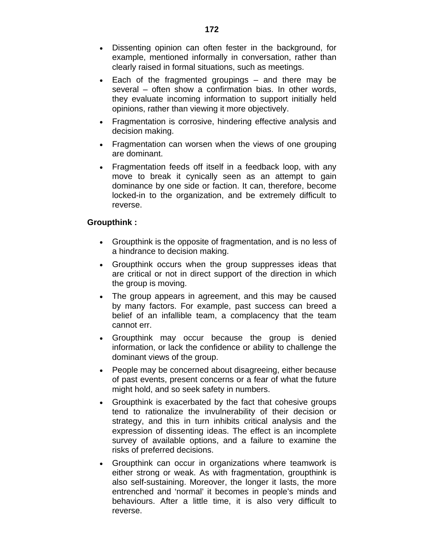- Dissenting opinion can often fester in the background, for example, mentioned informally in conversation, rather than clearly raised in formal situations, such as meetings.
- Each of the fragmented groupings  $-$  and there may be several – often show a confirmation bias. In other words, they evaluate incoming information to support initially held opinions, rather than viewing it more objectively.
- Fragmentation is corrosive, hindering effective analysis and decision making.
- Fragmentation can worsen when the views of one grouping are dominant.
- Fragmentation feeds off itself in a feedback loop, with any move to break it cynically seen as an attempt to gain dominance by one side or faction. It can, therefore, become locked-in to the organization, and be extremely difficult to reverse.

### **Groupthink :**

- Groupthink is the opposite of fragmentation, and is no less of a hindrance to decision making.
- Groupthink occurs when the group suppresses ideas that are critical or not in direct support of the direction in which the group is moving.
- The group appears in agreement, and this may be caused by many factors. For example, past success can breed a belief of an infallible team, a complacency that the team cannot err.
- Groupthink may occur because the group is denied information, or lack the confidence or ability to challenge the dominant views of the group.
- People may be concerned about disagreeing, either because of past events, present concerns or a fear of what the future might hold, and so seek safety in numbers.
- Groupthink is exacerbated by the fact that cohesive groups tend to rationalize the invulnerability of their decision or strategy, and this in turn inhibits critical analysis and the expression of dissenting ideas. The effect is an incomplete survey of available options, and a failure to examine the risks of preferred decisions.
- Groupthink can occur in organizations where teamwork is either strong or weak. As with fragmentation, groupthink is also self-sustaining. Moreover, the longer it lasts, the more entrenched and 'normal' it becomes in people's minds and behaviours. After a little time, it is also very difficult to reverse.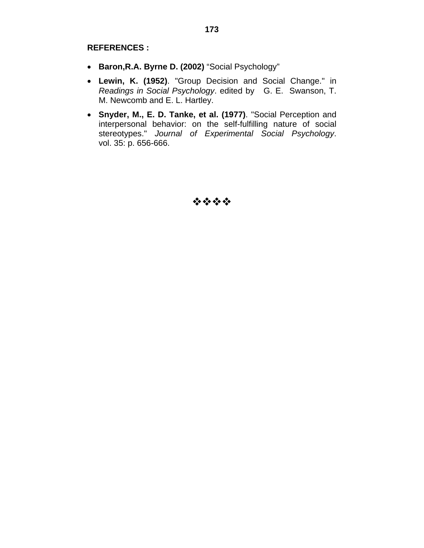#### **REFERENCES :**

- **Baron,R.A. Byrne D. (2002)** "Social Psychology"
- **Lewin, K. (1952)**. "Group Decision and Social Change." in *Readings in Social Psychology*. edited by G. E. Swanson, T. M. Newcomb and E. L. Hartley.
- **Snyder, M., E. D. Tanke, et al. (1977)**. "Social Perception and interpersonal behavior: on the self-fulfilling nature of social stereotypes." *Journal of Experimental Social Psychology*. vol. 35: p. 656-666.

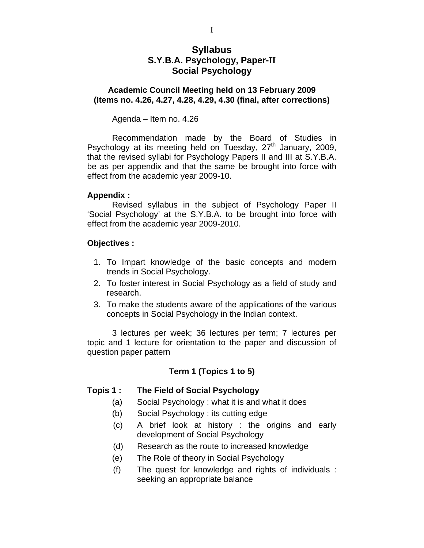# **Syllabus S.Y.B.A. Psychology, Paper-II Social Psychology**

#### **Academic Council Meeting held on 13 February 2009 (Items no. 4.26, 4.27, 4.28, 4.29, 4.30 (final, after corrections)**

Agenda – Item no. 4.26

 Recommendation made by the Board of Studies in Psychology at its meeting held on Tuesday, 27<sup>th</sup> January, 2009, that the revised syllabi for Psychology Papers II and III at S.Y.B.A. be as per appendix and that the same be brought into force with effect from the academic year 2009-10.

#### **Appendix :**

 Revised syllabus in the subject of Psychology Paper II 'Social Psychology' at the S.Y.B.A. to be brought into force with effect from the academic year 2009-2010.

#### **Objectives :**

- 1. To Impart knowledge of the basic concepts and modern trends in Social Psychology.
- 2. To foster interest in Social Psychology as a field of study and research.
- 3. To make the students aware of the applications of the various concepts in Social Psychology in the Indian context.

 3 lectures per week; 36 lectures per term; 7 lectures per topic and 1 lecture for orientation to the paper and discussion of question paper pattern

# **Term 1 (Topics 1 to 5)**

#### **Topis 1 : The Field of Social Psychology**

- (a) Social Psychology : what it is and what it does
- (b) Social Psychology : its cutting edge
- (c) A brief look at history : the origins and early development of Social Psychology
- (d) Research as the route to increased knowledge
- (e) The Role of theory in Social Psychology
- (f) The quest for knowledge and rights of individuals : seeking an appropriate balance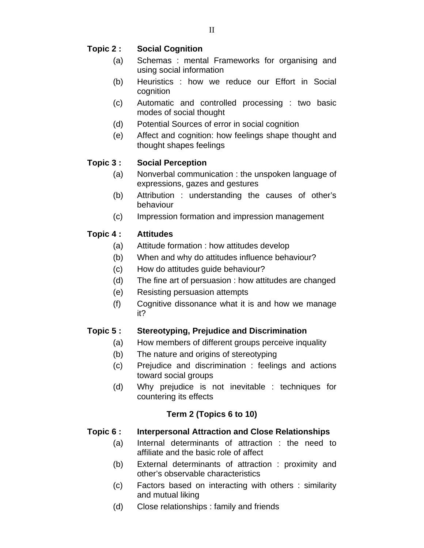# **Topic 2 : Social Cognition**

- (a) Schemas : mental Frameworks for organising and using social information
- (b) Heuristics : how we reduce our Effort in Social cognition
- (c) Automatic and controlled processing : two basic modes of social thought
- (d) Potential Sources of error in social cognition
- (e) Affect and cognition: how feelings shape thought and thought shapes feelings

# **Topic 3 : Social Perception**

- (a) Nonverbal communication : the unspoken language of expressions, gazes and gestures
- (b) Attribution : understanding the causes of other's behaviour
- (c) Impression formation and impression management

# **Topic 4 : Attitudes**

- (a) Attitude formation : how attitudes develop
- (b) When and why do attitudes influence behaviour?
- (c) How do attitudes guide behaviour?
- (d) The fine art of persuasion : how attitudes are changed
- (e) Resisting persuasion attempts
- (f) Cognitive dissonance what it is and how we manage it?

# **Topic 5 : Stereotyping, Prejudice and Discrimination**

- (a) How members of different groups perceive inquality
- (b) The nature and origins of stereotyping
- (c) Prejudice and discrimination : feelings and actions toward social groups
- (d) Why prejudice is not inevitable : techniques for countering its effects

# **Term 2 (Topics 6 to 10)**

# **Topic 6 : Interpersonal Attraction and Close Relationships**

- (a) Internal determinants of attraction : the need to affiliate and the basic role of affect
- (b) External determinants of attraction : proximity and other's observable characteristics
- (c) Factors based on interacting with others : similarity and mutual liking
- (d) Close relationships : family and friends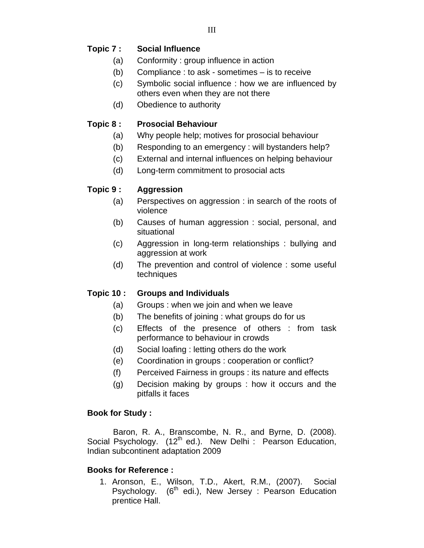# **Topic 7 : Social Influence**

- (a) Conformity : group influence in action
- (b) Compliance : to ask sometimes is to receive
- (c) Symbolic social influence : how we are influenced by others even when they are not there
- (d) Obedience to authority

# **Topic 8 : Prosocial Behaviour**

- (a) Why people help; motives for prosocial behaviour
- (b) Responding to an emergency : will bystanders help?
- (c) External and internal influences on helping behaviour
- (d) Long-term commitment to prosocial acts

# **Topic 9 : Aggression**

- (a) Perspectives on aggression : in search of the roots of violence
- (b) Causes of human aggression : social, personal, and situational
- (c) Aggression in long-term relationships : bullying and aggression at work
- (d) The prevention and control of violence : some useful techniques

# **Topic 10 : Groups and Individuals**

- (a) Groups : when we join and when we leave
- (b) The benefits of joining : what groups do for us
- (c) Effects of the presence of others : from task performance to behaviour in crowds
- (d) Social loafing : letting others do the work
- (e) Coordination in groups : cooperation or conflict?
- (f) Perceived Fairness in groups : its nature and effects
- (g) Decision making by groups : how it occurs and the pitfalls it faces

# **Book for Study :**

 Baron, R. A., Branscombe, N. R., and Byrne, D. (2008). Social Psychology.  $(12^{th}$  ed.). New Delhi : Pearson Education, Indian subcontinent adaptation 2009

# **Books for Reference :**

1. Aronson, E., Wilson, T.D., Akert, R.M., (2007). Social Psychology.  $(6<sup>th</sup>$  edi.), New Jersey : Pearson Education prentice Hall.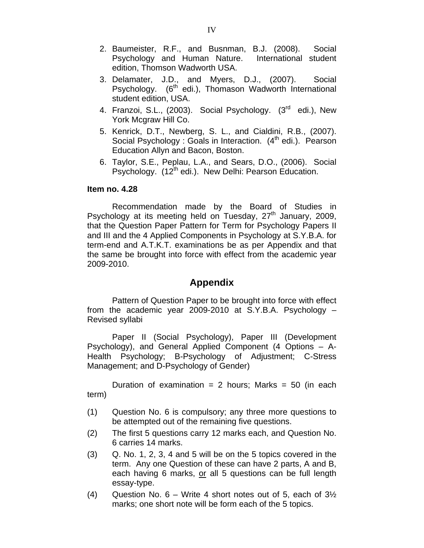- 2. Baumeister, R.F., and Busnman, B.J. (2008). Social Psychology and Human Nature. International student edition, Thomson Wadworth USA.
- 3. Delamater, J.D., and Myers, D.J., (2007). Social Psychology. (6<sup>th</sup> edi.), Thomason Wadworth International student edition, USA.
- 4. Franzoi, S.L., (2003). Social Psychology. (3<sup>rd</sup> edi.), New York Mcgraw Hill Co.
- 5. Kenrick, D.T., Newberg, S. L., and Cialdini, R.B., (2007). Social Psychology : Goals in Interaction.  $(4<sup>th</sup>$  edi.). Pearson Education Allyn and Bacon, Boston.
- 6. Taylor, S.E., Peplau, L.A., and Sears, D.O., (2006). Social Psychology. (12<sup>th</sup> edi.). New Delhi: Pearson Education.

#### **Item no. 4.28**

 Recommendation made by the Board of Studies in Psychology at its meeting held on Tuesday, 27<sup>th</sup> January, 2009, that the Question Paper Pattern for Term for Psychology Papers II and III and the 4 Applied Components in Psychology at S.Y.B.A. for term-end and A.T.K.T. examinations be as per Appendix and that the same be brought into force with effect from the academic year 2009-2010.

#### **Appendix**

 Pattern of Question Paper to be brought into force with effect from the academic year 2009-2010 at S.Y.B.A. Psychology – Revised syllabi

 Paper II (Social Psychology), Paper III (Development Psychology), and General Applied Component (4 Options – A-Health Psychology; B-Psychology of Adjustment; C-Stress Management; and D-Psychology of Gender)

Duration of examination = 2 hours; Marks =  $50$  (in each term)

- (1) Question No. 6 is compulsory; any three more questions to be attempted out of the remaining five questions.
- (2) The first 5 questions carry 12 marks each, and Question No. 6 carries 14 marks.
- $(3)$  Q. No. 1, 2, 3, 4 and 5 will be on the 5 topics covered in the term. Any one Question of these can have 2 parts, A and B, each having 6 marks, or all 5 questions can be full length essay-type.
- (4) Question No.  $6 W$ rite 4 short notes out of 5, each of  $3\frac{1}{2}$ marks; one short note will be form each of the 5 topics.